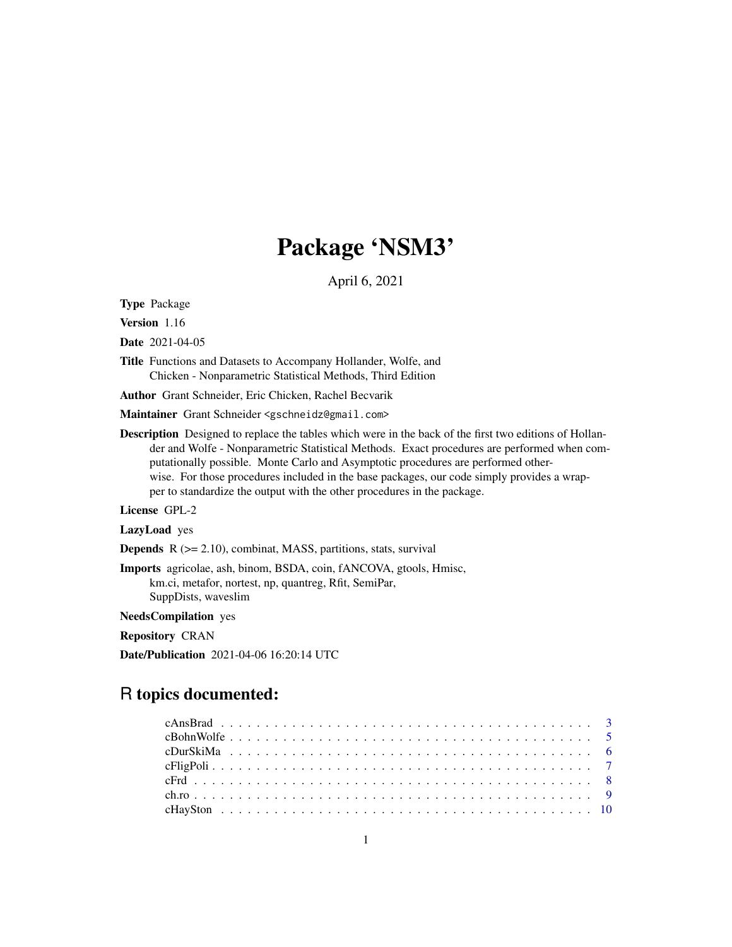# Package 'NSM3'

April 6, 2021

Type Package

Version 1.16

Date 2021-04-05

Title Functions and Datasets to Accompany Hollander, Wolfe, and Chicken - Nonparametric Statistical Methods, Third Edition

Author Grant Schneider, Eric Chicken, Rachel Becvarik

Maintainer Grant Schneider <gschneidz@gmail.com>

Description Designed to replace the tables which were in the back of the first two editions of Hollander and Wolfe - Nonparametric Statistical Methods. Exact procedures are performed when computationally possible. Monte Carlo and Asymptotic procedures are performed otherwise. For those procedures included in the base packages, our code simply provides a wrapper to standardize the output with the other procedures in the package.

License GPL-2

LazyLoad yes

**Depends**  $R$  ( $>= 2.10$ ), combinat, MASS, partitions, stats, survival

Imports agricolae, ash, binom, BSDA, coin, fANCOVA, gtools, Hmisc, km.ci, metafor, nortest, np, quantreg, Rfit, SemiPar, SuppDists, waveslim

NeedsCompilation yes

Repository CRAN

Date/Publication 2021-04-06 16:20:14 UTC

# R topics documented: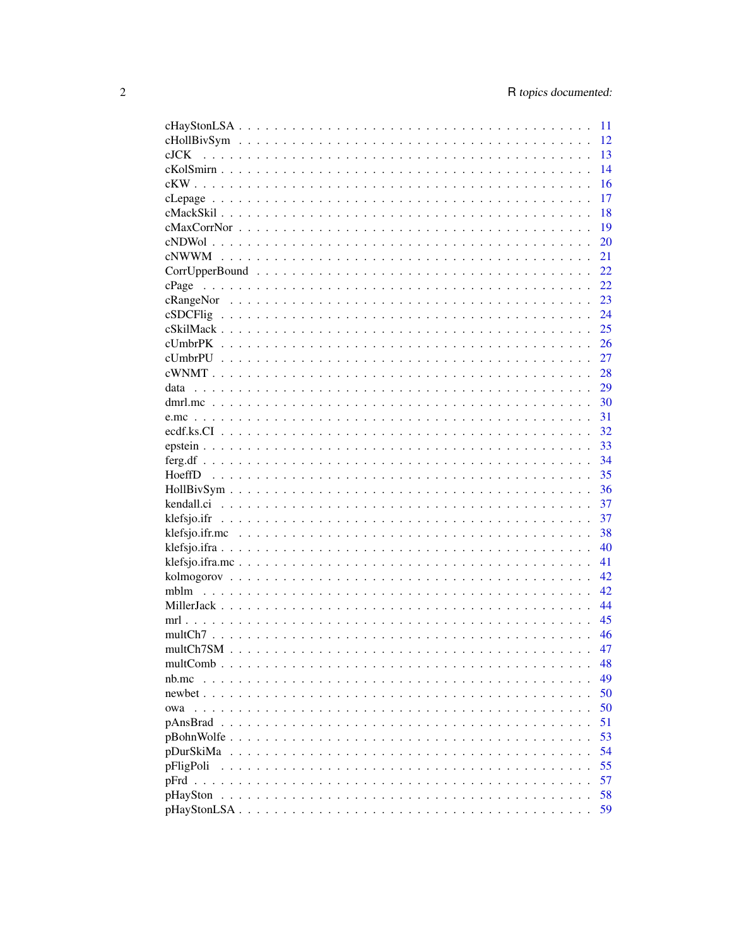|                                                                                                                                                                                                                                                                                                                                                | 11 |
|------------------------------------------------------------------------------------------------------------------------------------------------------------------------------------------------------------------------------------------------------------------------------------------------------------------------------------------------|----|
|                                                                                                                                                                                                                                                                                                                                                | 12 |
| $c$ JCK                                                                                                                                                                                                                                                                                                                                        | 13 |
|                                                                                                                                                                                                                                                                                                                                                | 14 |
|                                                                                                                                                                                                                                                                                                                                                | 16 |
|                                                                                                                                                                                                                                                                                                                                                | 17 |
|                                                                                                                                                                                                                                                                                                                                                | 18 |
|                                                                                                                                                                                                                                                                                                                                                | 19 |
|                                                                                                                                                                                                                                                                                                                                                | 20 |
|                                                                                                                                                                                                                                                                                                                                                | 21 |
|                                                                                                                                                                                                                                                                                                                                                | 22 |
| cPage                                                                                                                                                                                                                                                                                                                                          | 22 |
|                                                                                                                                                                                                                                                                                                                                                | 23 |
|                                                                                                                                                                                                                                                                                                                                                | 24 |
|                                                                                                                                                                                                                                                                                                                                                | 25 |
|                                                                                                                                                                                                                                                                                                                                                | 26 |
|                                                                                                                                                                                                                                                                                                                                                | 27 |
|                                                                                                                                                                                                                                                                                                                                                | 28 |
|                                                                                                                                                                                                                                                                                                                                                | 29 |
|                                                                                                                                                                                                                                                                                                                                                | 30 |
|                                                                                                                                                                                                                                                                                                                                                | 31 |
|                                                                                                                                                                                                                                                                                                                                                | 32 |
|                                                                                                                                                                                                                                                                                                                                                | 33 |
|                                                                                                                                                                                                                                                                                                                                                | 34 |
|                                                                                                                                                                                                                                                                                                                                                |    |
|                                                                                                                                                                                                                                                                                                                                                | 35 |
|                                                                                                                                                                                                                                                                                                                                                | 36 |
|                                                                                                                                                                                                                                                                                                                                                | 37 |
|                                                                                                                                                                                                                                                                                                                                                | 37 |
|                                                                                                                                                                                                                                                                                                                                                | 38 |
|                                                                                                                                                                                                                                                                                                                                                | 40 |
|                                                                                                                                                                                                                                                                                                                                                | 41 |
|                                                                                                                                                                                                                                                                                                                                                | 42 |
|                                                                                                                                                                                                                                                                                                                                                | 42 |
|                                                                                                                                                                                                                                                                                                                                                | 44 |
|                                                                                                                                                                                                                                                                                                                                                | 45 |
|                                                                                                                                                                                                                                                                                                                                                | 46 |
|                                                                                                                                                                                                                                                                                                                                                | 47 |
| multComb $\ldots$ $\ldots$ .                                                                                                                                                                                                                                                                                                                   | 48 |
| nb.mc<br>$\mathbf{r}$ . The set of the set of the set of the set of the set of the set of the set of the set of the set of the set of the set of the set of the set of the set of the set of the set of the set of the set of the set of t<br>$\mathbf{r}$ , $\mathbf{r}$ , $\mathbf{r}$ , $\mathbf{r}$ , $\mathbf{r}$<br>$\ddot{\phantom{1}}$ | 49 |
| $newbet \dots$                                                                                                                                                                                                                                                                                                                                 | 50 |
| owa                                                                                                                                                                                                                                                                                                                                            | 50 |
| pAnsBrad<br>$\mathbf{1}$ $\mathbf{1}$ $\mathbf{1}$ $\mathbf{1}$ $\mathbf{1}$                                                                                                                                                                                                                                                                   | 51 |
| pBohnWolfe                                                                                                                                                                                                                                                                                                                                     | 53 |
| pDurSkiMa                                                                                                                                                                                                                                                                                                                                      | 54 |
| pFligPoli                                                                                                                                                                                                                                                                                                                                      | 55 |
| $pFrd$ .                                                                                                                                                                                                                                                                                                                                       | 57 |
| pHaySton                                                                                                                                                                                                                                                                                                                                       | 58 |
|                                                                                                                                                                                                                                                                                                                                                | 59 |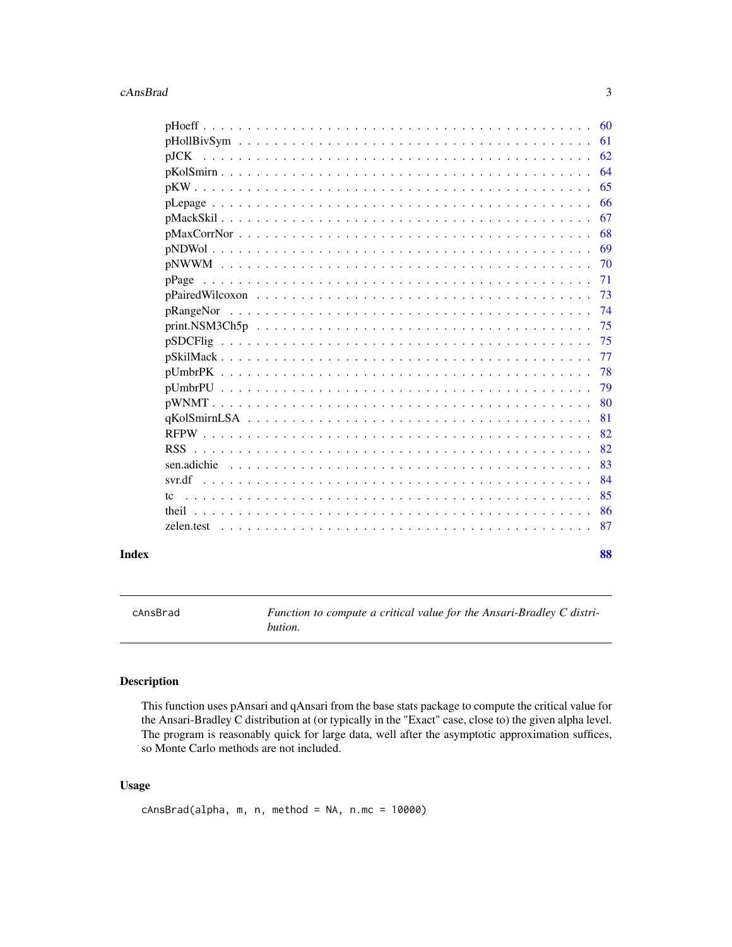#### <span id="page-2-0"></span>cAnsBrad 3

|               | 60  |
|---------------|-----|
|               | 61  |
| $\rm{d}$ DJCK | 62  |
|               | 64  |
|               | 65  |
|               | 66  |
|               | 67  |
|               | 68  |
|               | 69  |
|               | 70  |
|               | 71  |
|               | 73  |
|               | 74  |
|               | 75  |
|               | 75  |
|               | 77  |
|               | 78  |
|               | 79  |
|               | -80 |
|               | 81  |
|               | 82  |
|               | 82  |
|               | 83  |
|               | 84  |
| tc            | 85  |
|               | 86  |
| zelen.test    | 87  |
|               |     |

#### **Index [88](#page-87-0) Second Line Control Control Control Control Control Control Control Control Control Control Control Co**

cAnsBrad *Function to compute a critical value for the Ansari-Bradley C distribution.*

### Description

This function uses pAnsari and qAnsari from the base stats package to compute the critical value for the Ansari-Bradley C distribution at (or typically in the "Exact" case, close to) the given alpha level. The program is reasonably quick for large data, well after the asymptotic approximation suffices, so Monte Carlo methods are not included.

### Usage

```
cAnsBrad(alpha, m, n, method = NA, n.mc = 10000)
```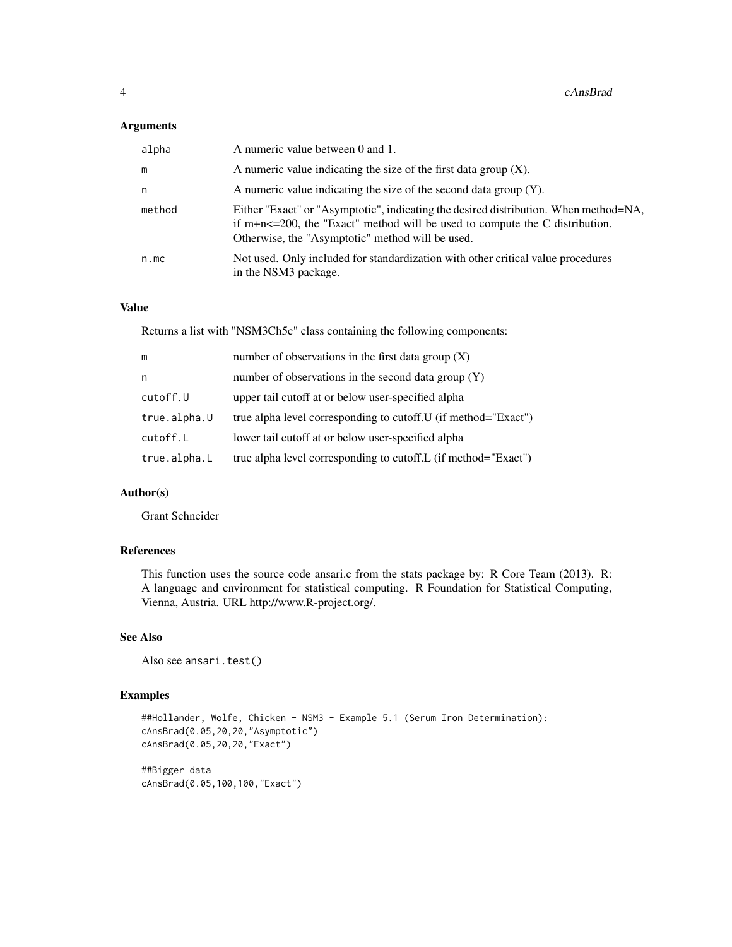### Arguments

| alpha  | A numeric value between 0 and 1.                                                                                                                                                                                              |
|--------|-------------------------------------------------------------------------------------------------------------------------------------------------------------------------------------------------------------------------------|
| m      | A numeric value indicating the size of the first data group $(X)$ .                                                                                                                                                           |
| n      | A numeric value indicating the size of the second data group $(Y)$ .                                                                                                                                                          |
| method | Either "Exact" or "Asymptotic", indicating the desired distribution. When method=NA,<br>if $m+n < = 200$ , the "Exact" method will be used to compute the C distribution.<br>Otherwise, the "Asymptotic" method will be used. |
| n.mc   | Not used. Only included for standardization with other critical value procedures<br>in the NSM3 package.                                                                                                                      |

### Value

Returns a list with "NSM3Ch5c" class containing the following components:

| m            | number of observations in the first data group $(X)$            |
|--------------|-----------------------------------------------------------------|
| n            | number of observations in the second data group $(Y)$           |
| cutoff.U     | upper tail cutoff at or below user-specified alpha              |
| true.alpha.U | true alpha level corresponding to cutoff. U (if method="Exact") |
| cutoff.L     | lower tail cutoff at or below user-specified alpha              |
| true.alpha.L | true alpha level corresponding to cutoff.L (if method="Exact")  |

### Author(s)

Grant Schneider

### References

This function uses the source code ansari.c from the stats package by: R Core Team (2013). R: A language and environment for statistical computing. R Foundation for Statistical Computing, Vienna, Austria. URL http://www.R-project.org/.

### See Also

Also see ansari.test()

```
##Hollander, Wolfe, Chicken - NSM3 - Example 5.1 (Serum Iron Determination):
cAnsBrad(0.05,20,20,"Asymptotic")
cAnsBrad(0.05,20,20,"Exact")
##Bigger data
cAnsBrad(0.05,100,100,"Exact")
```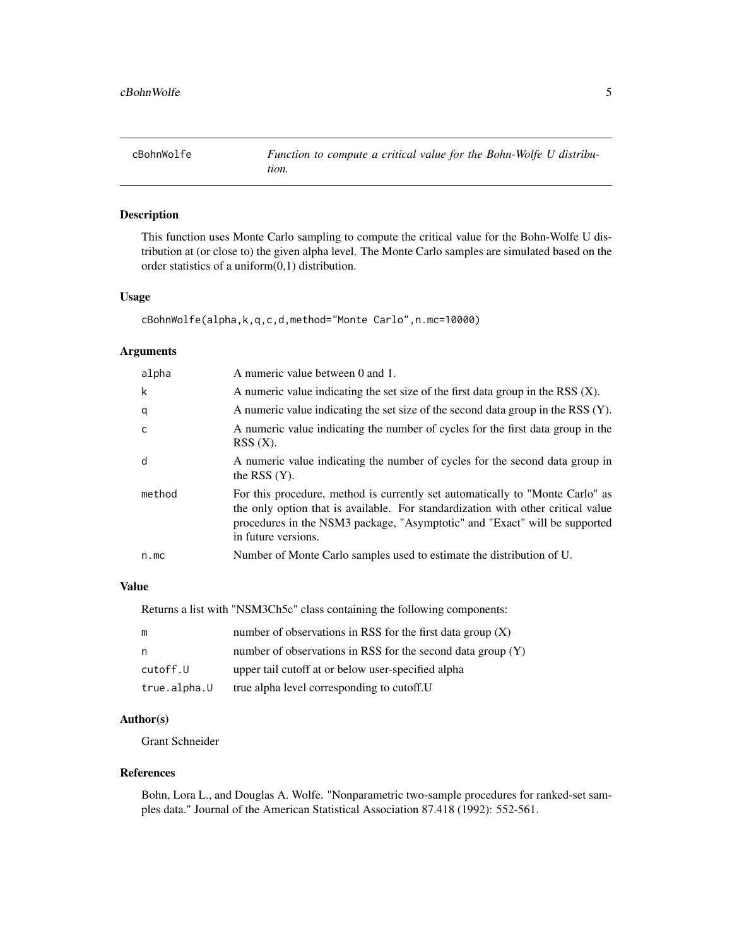<span id="page-4-0"></span>

This function uses Monte Carlo sampling to compute the critical value for the Bohn-Wolfe U distribution at (or close to) the given alpha level. The Monte Carlo samples are simulated based on the order statistics of a uniform(0,1) distribution.

### Usage

```
cBohnWolfe(alpha,k,q,c,d,method="Monte Carlo",n.mc=10000)
```
### Arguments

| alpha  | A numeric value between 0 and 1.                                                                                                                                                                                                                                       |
|--------|------------------------------------------------------------------------------------------------------------------------------------------------------------------------------------------------------------------------------------------------------------------------|
| k      | A numeric value indicating the set size of the first data group in the RSS $(X)$ .                                                                                                                                                                                     |
| q      | A numeric value indicating the set size of the second data group in the RSS (Y).                                                                                                                                                                                       |
| c      | A numeric value indicating the number of cycles for the first data group in the<br>RSS(X).                                                                                                                                                                             |
| d      | A numeric value indicating the number of cycles for the second data group in<br>the RSS $(Y)$ .                                                                                                                                                                        |
| method | For this procedure, method is currently set automatically to "Monte Carlo" as<br>the only option that is available. For standardization with other critical value<br>procedures in the NSM3 package, "Asymptotic" and "Exact" will be supported<br>in future versions. |
| n.mc   | Number of Monte Carlo samples used to estimate the distribution of U.                                                                                                                                                                                                  |

### Value

Returns a list with "NSM3Ch5c" class containing the following components:

| m            | number of observations in RSS for the first data group $(X)$  |
|--------------|---------------------------------------------------------------|
| n.           | number of observations in RSS for the second data group $(Y)$ |
| cutoff.U     | upper tail cutoff at or below user-specified alpha            |
| true.alpha.U | true alpha level corresponding to cutoff. U                   |

### Author(s)

Grant Schneider

#### References

Bohn, Lora L., and Douglas A. Wolfe. "Nonparametric two-sample procedures for ranked-set samples data." Journal of the American Statistical Association 87.418 (1992): 552-561.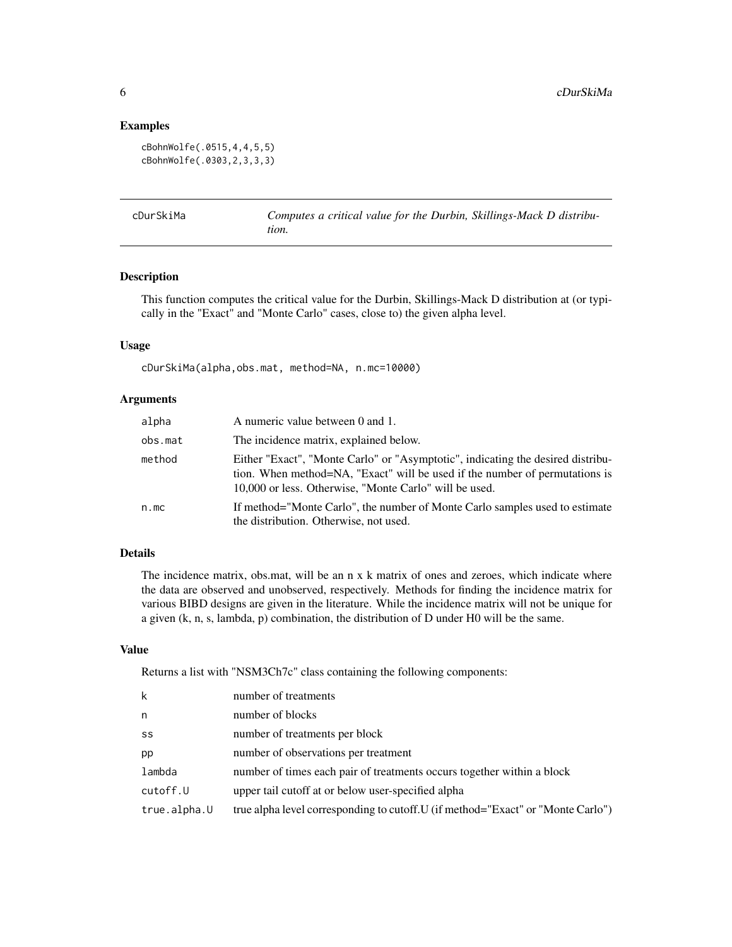#### Examples

```
cBohnWolfe(.0515,4,4,5,5)
cBohnWolfe(.0303,2,3,3,3)
```

| cDurSkiMa | Computes a critical value for the Durbin, Skillings-Mack D distribu- |
|-----------|----------------------------------------------------------------------|
|           | tion.                                                                |

#### Description

This function computes the critical value for the Durbin, Skillings-Mack D distribution at (or typically in the "Exact" and "Monte Carlo" cases, close to) the given alpha level.

#### Usage

cDurSkiMa(alpha,obs.mat, method=NA, n.mc=10000)

#### Arguments

| alpha   | A numeric value between 0 and 1.                                                                                                                                                                                         |
|---------|--------------------------------------------------------------------------------------------------------------------------------------------------------------------------------------------------------------------------|
| obs.mat | The incidence matrix, explained below.                                                                                                                                                                                   |
| method  | Either "Exact", "Monte Carlo" or "Asymptotic", indicating the desired distribu-<br>tion. When method=NA, "Exact" will be used if the number of permutations is<br>10,000 or less. Otherwise, "Monte Carlo" will be used. |
| n.mc    | If method="Monte Carlo", the number of Monte Carlo samples used to estimate<br>the distribution. Otherwise, not used.                                                                                                    |

# Details

The incidence matrix, obs.mat, will be an n x k matrix of ones and zeroes, which indicate where the data are observed and unobserved, respectively. Methods for finding the incidence matrix for various BIBD designs are given in the literature. While the incidence matrix will not be unique for a given (k, n, s, lambda, p) combination, the distribution of D under H0 will be the same.

### Value

Returns a list with "NSM3Ch7c" class containing the following components:

| k            | number of treatments                                                             |
|--------------|----------------------------------------------------------------------------------|
| n            | number of blocks                                                                 |
| SS           | number of treatments per block                                                   |
| pp           | number of observations per treatment                                             |
| lambda       | number of times each pair of treatments occurs together within a block           |
| cutoff.U     | upper tail cutoff at or below user-specified alpha                               |
| true.alpha.U | true alpha level corresponding to cutoff. U (if method="Exact" or "Monte Carlo") |
|              |                                                                                  |

<span id="page-5-0"></span>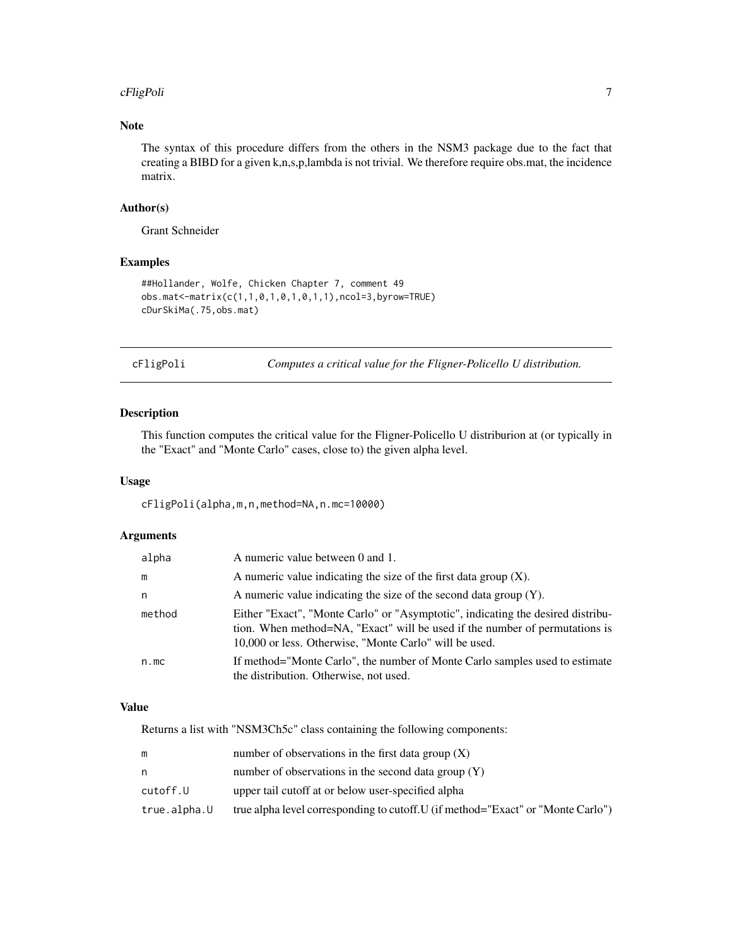#### <span id="page-6-0"></span>cFligPoli **7**

# Note

The syntax of this procedure differs from the others in the NSM3 package due to the fact that creating a BIBD for a given k,n,s,p,lambda is not trivial. We therefore require obs.mat, the incidence matrix.

#### Author(s)

Grant Schneider

## Examples

```
##Hollander, Wolfe, Chicken Chapter 7, comment 49
obs.mat<-matrix(c(1,1,0,1,0,1,0,1,1),ncol=3,byrow=TRUE)
cDurSkiMa(.75,obs.mat)
```
cFligPoli *Computes a critical value for the Fligner-Policello U distribution.*

### Description

This function computes the critical value for the Fligner-Policello U distriburion at (or typically in the "Exact" and "Monte Carlo" cases, close to) the given alpha level.

#### Usage

cFligPoli(alpha,m,n,method=NA,n.mc=10000)

#### Arguments

| alpha  | A numeric value between 0 and 1.                                                                                                                                                                                         |
|--------|--------------------------------------------------------------------------------------------------------------------------------------------------------------------------------------------------------------------------|
| m      | A numeric value indicating the size of the first data group $(X)$ .                                                                                                                                                      |
| n      | A numeric value indicating the size of the second data group $(Y)$ .                                                                                                                                                     |
| method | Either "Exact", "Monte Carlo" or "Asymptotic", indicating the desired distribu-<br>tion. When method=NA, "Exact" will be used if the number of permutations is<br>10,000 or less. Otherwise, "Monte Carlo" will be used. |
| n.mc   | If method="Monte Carlo", the number of Monte Carlo samples used to estimate<br>the distribution. Otherwise, not used.                                                                                                    |

#### Value

Returns a list with "NSM3Ch5c" class containing the following components:

|              | number of observations in the first data group $(X)$                             |
|--------------|----------------------------------------------------------------------------------|
| n            | number of observations in the second data group $(Y)$                            |
| cutoff.U     | upper tail cutoff at or below user-specified alpha                               |
| true.alpha.U | true alpha level corresponding to cutoff. U (if method="Exact" or "Monte Carlo") |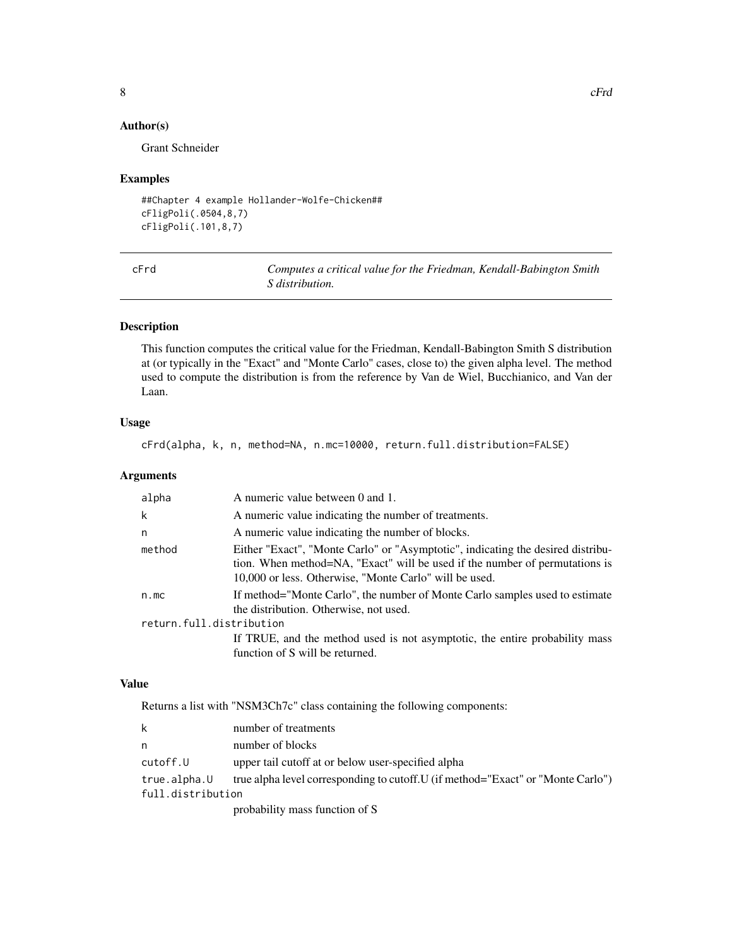### Author(s)

Grant Schneider

#### Examples

```
##Chapter 4 example Hollander-Wolfe-Chicken##
cFligPoli(.0504,8,7)
cFligPoli(.101,8,7)
```

| ×<br>I<br>×<br>$\sim$<br>M.<br>۰. |  |
|-----------------------------------|--|
|-----------------------------------|--|

Computes a critical value for the Friedman, Kendall-Babington Smith *S distribution.*

#### Description

This function computes the critical value for the Friedman, Kendall-Babington Smith S distribution at (or typically in the "Exact" and "Monte Carlo" cases, close to) the given alpha level. The method used to compute the distribution is from the reference by Van de Wiel, Bucchianico, and Van der Laan.

### Usage

cFrd(alpha, k, n, method=NA, n.mc=10000, return.full.distribution=FALSE)

#### Arguments

| alpha                    | A numeric value between 0 and 1.                                                                                                                                                                                         |  |
|--------------------------|--------------------------------------------------------------------------------------------------------------------------------------------------------------------------------------------------------------------------|--|
| k                        | A numeric value indicating the number of treatments.                                                                                                                                                                     |  |
| n                        | A numeric value indicating the number of blocks.                                                                                                                                                                         |  |
| method                   | Either "Exact", "Monte Carlo" or "Asymptotic", indicating the desired distribu-<br>tion. When method=NA, "Exact" will be used if the number of permutations is<br>10,000 or less. Otherwise, "Monte Carlo" will be used. |  |
| n.mc                     | If method="Monte Carlo", the number of Monte Carlo samples used to estimate<br>the distribution. Otherwise, not used.                                                                                                    |  |
| return.full.distribution |                                                                                                                                                                                                                          |  |
|                          | If TRUE, and the method used is not asymptotic, the entire probability mass<br>function of S will be returned.                                                                                                           |  |

# Value

Returns a list with "NSM3Ch7c" class containing the following components:

|                   | number of treatments                                                             |
|-------------------|----------------------------------------------------------------------------------|
| n                 | number of blocks                                                                 |
| cutoff.U          | upper tail cutoff at or below user-specified alpha                               |
| true.alpha.U      | true alpha level corresponding to cutoff. U (if method="Exact" or "Monte Carlo") |
| full.distribution |                                                                                  |
|                   | probability mass function of S                                                   |

<span id="page-7-0"></span>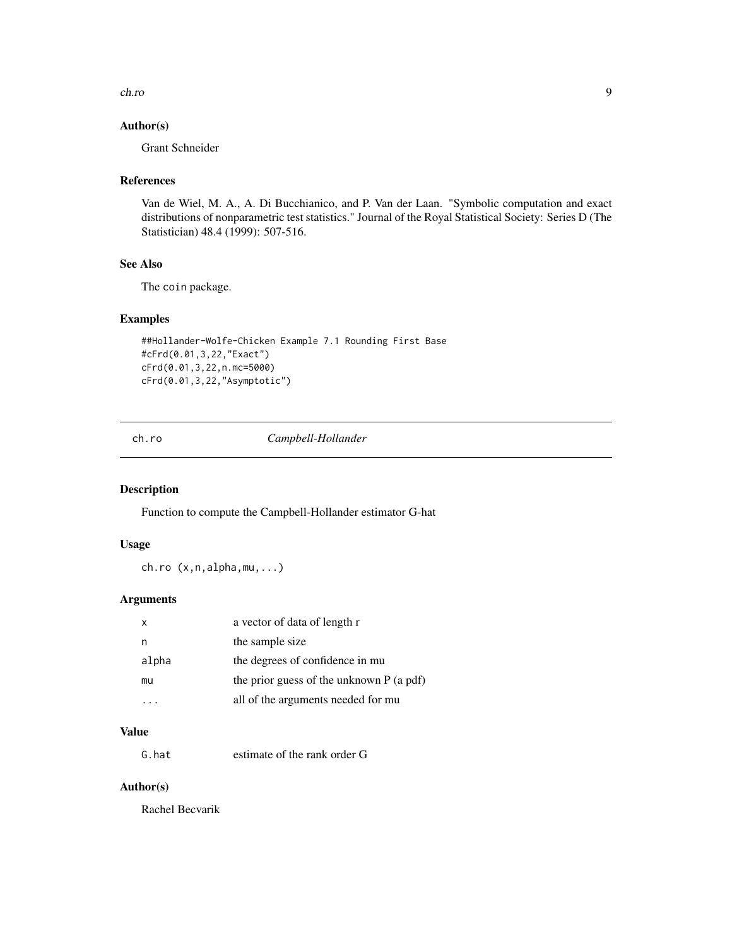<span id="page-8-0"></span>ch.ro 9

### Author(s)

Grant Schneider

### References

Van de Wiel, M. A., A. Di Bucchianico, and P. Van der Laan. "Symbolic computation and exact distributions of nonparametric test statistics." Journal of the Royal Statistical Society: Series D (The Statistician) 48.4 (1999): 507-516.

# See Also

The coin package.

#### Examples

```
##Hollander-Wolfe-Chicken Example 7.1 Rounding First Base
#cFrd(0.01,3,22,"Exact")
cFrd(0.01,3,22,n.mc=5000)
cFrd(0.01,3,22,"Asymptotic")
```
ch.ro *Campbell-Hollander*

### Description

Function to compute the Campbell-Hollander estimator G-hat

### Usage

ch.ro (x,n,alpha,mu,...)

### Arguments

| x     | a vector of data of length r             |
|-------|------------------------------------------|
| n     | the sample size                          |
| alpha | the degrees of confidence in mu          |
| mu    | the prior guess of the unknown P (a pdf) |
|       | all of the arguments needed for mu       |

# Value

G.hat estimate of the rank order G

# Author(s)

Rachel Becvarik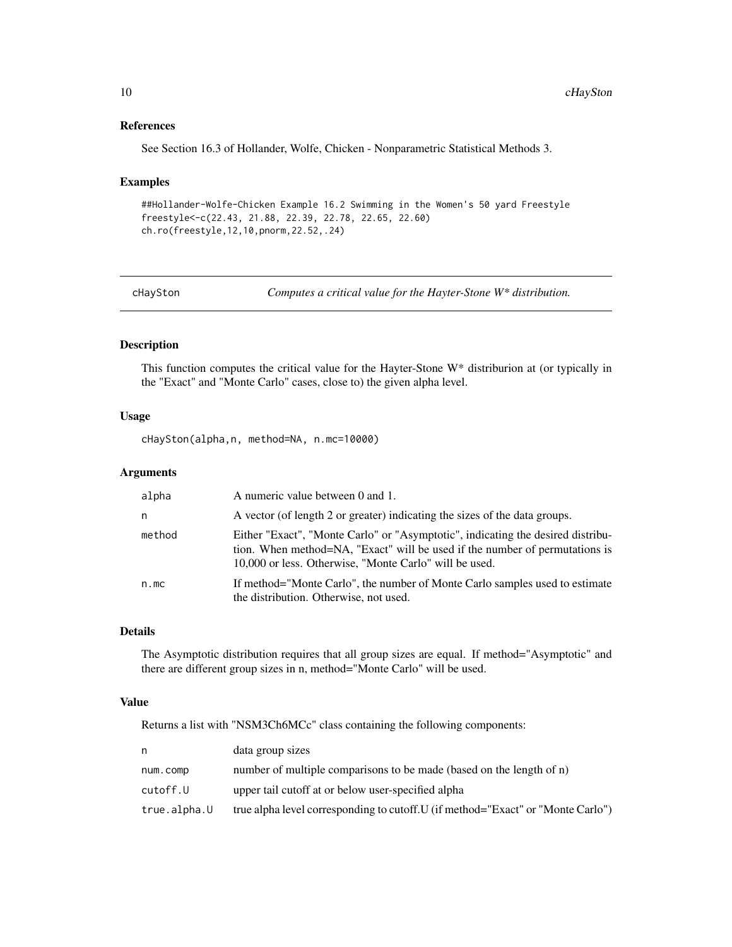### References

See Section 16.3 of Hollander, Wolfe, Chicken - Nonparametric Statistical Methods 3.

#### Examples

```
##Hollander-Wolfe-Chicken Example 16.2 Swimming in the Women's 50 yard Freestyle
freestyle<-c(22.43, 21.88, 22.39, 22.78, 22.65, 22.60)
ch.ro(freestyle,12,10,pnorm,22.52,.24)
```
cHaySton *Computes a critical value for the Hayter-Stone W\* distribution.*

### Description

This function computes the critical value for the Hayter-Stone W\* distriburion at (or typically in the "Exact" and "Monte Carlo" cases, close to) the given alpha level.

### Usage

cHaySton(alpha,n, method=NA, n.mc=10000)

### Arguments

| alpha  | A numeric value between 0 and 1.                                                                                                                                                                                         |
|--------|--------------------------------------------------------------------------------------------------------------------------------------------------------------------------------------------------------------------------|
| n      | A vector (of length 2 or greater) indicating the sizes of the data groups.                                                                                                                                               |
| method | Either "Exact", "Monte Carlo" or "Asymptotic", indicating the desired distribu-<br>tion. When method=NA, "Exact" will be used if the number of permutations is<br>10,000 or less. Otherwise, "Monte Carlo" will be used. |
| n.mc   | If method="Monte Carlo", the number of Monte Carlo samples used to estimate<br>the distribution. Otherwise, not used.                                                                                                    |

### Details

The Asymptotic distribution requires that all group sizes are equal. If method="Asymptotic" and there are different group sizes in n, method="Monte Carlo" will be used.

### Value

Returns a list with "NSM3Ch6MCc" class containing the following components:

| n            | data group sizes                                                                 |
|--------------|----------------------------------------------------------------------------------|
| num.comp     | number of multiple comparisons to be made (based on the length of n)             |
| cutoff.U     | upper tail cutoff at or below user-specified alpha                               |
| true.alpha.U | true alpha level corresponding to cutoff. U (if method="Exact" or "Monte Carlo") |

<span id="page-9-0"></span>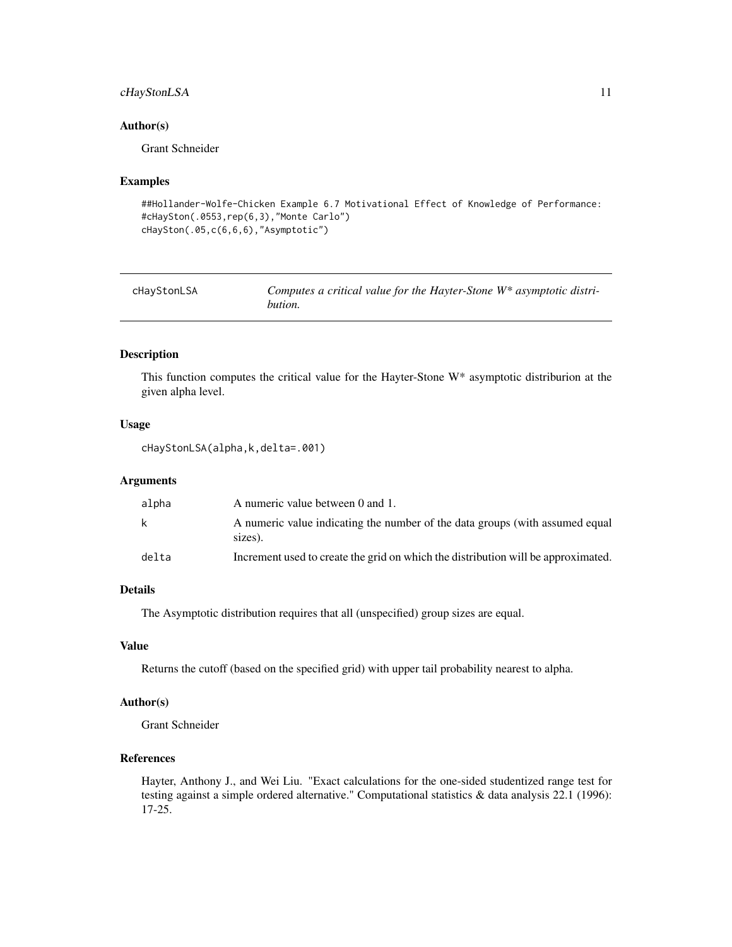### <span id="page-10-0"></span>cHayStonLSA 11

#### Author(s)

Grant Schneider

### Examples

```
##Hollander-Wolfe-Chicken Example 6.7 Motivational Effect of Knowledge of Performance:
#cHaySton(.0553,rep(6,3),"Monte Carlo")
cHaySton(.05,c(6,6,6),"Asymptotic")
```

| cHayStonLSA | Computes a critical value for the Hayter-Stone $W^*$ asymptotic distri- |
|-------------|-------------------------------------------------------------------------|
|             | bution.                                                                 |

### Description

This function computes the critical value for the Hayter-Stone W\* asymptotic distriburion at the given alpha level.

#### Usage

cHayStonLSA(alpha,k,delta=.001)

### Arguments

| alpha | A numeric value between 0 and 1.                                                        |
|-------|-----------------------------------------------------------------------------------------|
| k     | A numeric value indicating the number of the data groups (with assumed equal<br>sizes). |
| delta | Increment used to create the grid on which the distribution will be approximated.       |

### Details

The Asymptotic distribution requires that all (unspecified) group sizes are equal.

#### Value

Returns the cutoff (based on the specified grid) with upper tail probability nearest to alpha.

#### Author(s)

Grant Schneider

### References

Hayter, Anthony J., and Wei Liu. "Exact calculations for the one-sided studentized range test for testing against a simple ordered alternative." Computational statistics & data analysis 22.1 (1996): 17-25.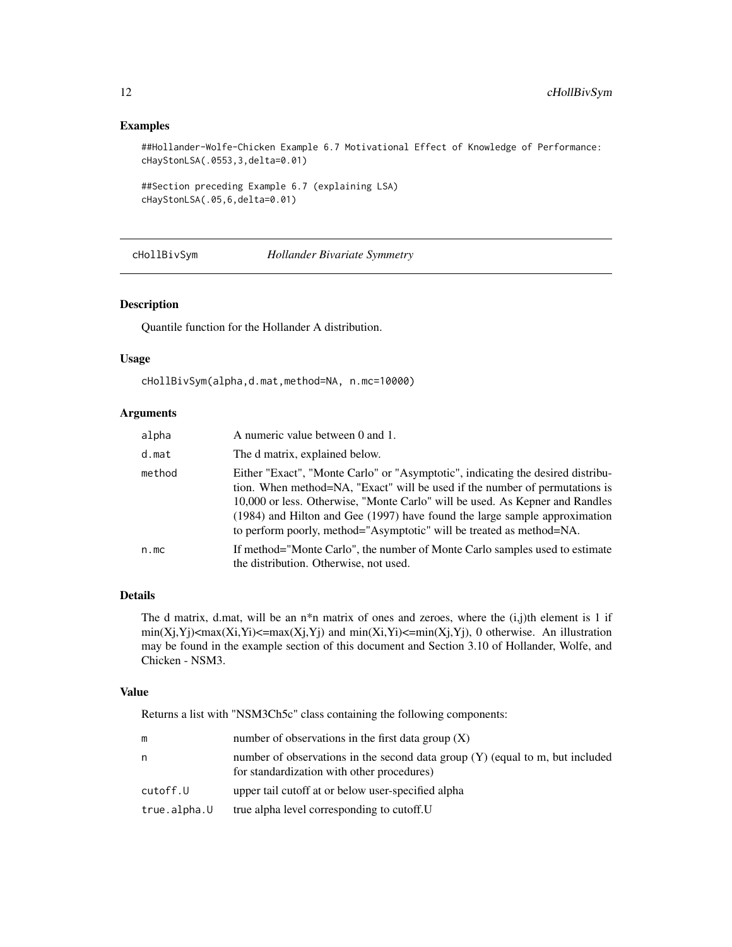### Examples

```
##Hollander-Wolfe-Chicken Example 6.7 Motivational Effect of Knowledge of Performance:
cHayStonLSA(.0553,3,delta=0.01)
```

```
##Section preceding Example 6.7 (explaining LSA)
cHayStonLSA(.05,6,delta=0.01)
```
cHollBivSym *Hollander Bivariate Symmetry*

### Description

Quantile function for the Hollander A distribution.

#### Usage

```
cHollBivSym(alpha,d.mat,method=NA, n.mc=10000)
```
### Arguments

| alpha  | A numeric value between 0 and 1.                                                                                                                                                                                                                                                                                                                                                                         |
|--------|----------------------------------------------------------------------------------------------------------------------------------------------------------------------------------------------------------------------------------------------------------------------------------------------------------------------------------------------------------------------------------------------------------|
| d.mat  | The d matrix, explained below.                                                                                                                                                                                                                                                                                                                                                                           |
| method | Either "Exact", "Monte Carlo" or "Asymptotic", indicating the desired distribu-<br>tion. When method=NA, "Exact" will be used if the number of permutations is<br>10,000 or less. Otherwise, "Monte Carlo" will be used. As Kepner and Randles<br>$(1984)$ and Hilton and Gee $(1997)$ have found the large sample approximation<br>to perform poorly, method="Asymptotic" will be treated as method=NA. |
| n.mc   | If method="Monte Carlo", the number of Monte Carlo samples used to estimate<br>the distribution. Otherwise, not used.                                                                                                                                                                                                                                                                                    |

### Details

The d matrix, d.mat, will be an  $n^*n$  matrix of ones and zeroes, where the  $(i,j)$ th element is 1 if  $min(X_j,Y_j)$ <max $(X_i,Y_j)$ <=max $(X_j,Y_j)$  and  $min(X_i,Y_j)$ <=min $(X_j,Y_j)$ , 0 otherwise. An illustration may be found in the example section of this document and Section 3.10 of Hollander, Wolfe, and Chicken - NSM3.

### Value

Returns a list with "NSM3Ch5c" class containing the following components:

| m            | number of observations in the first data group $(X)$                                                                          |
|--------------|-------------------------------------------------------------------------------------------------------------------------------|
| n            | number of observations in the second data group $(Y)$ (equal to m, but included<br>for standardization with other procedures) |
| cutoff.U     | upper tail cutoff at or below user-specified alpha                                                                            |
| true.alpha.U | true alpha level corresponding to cutoff. U                                                                                   |

<span id="page-11-0"></span>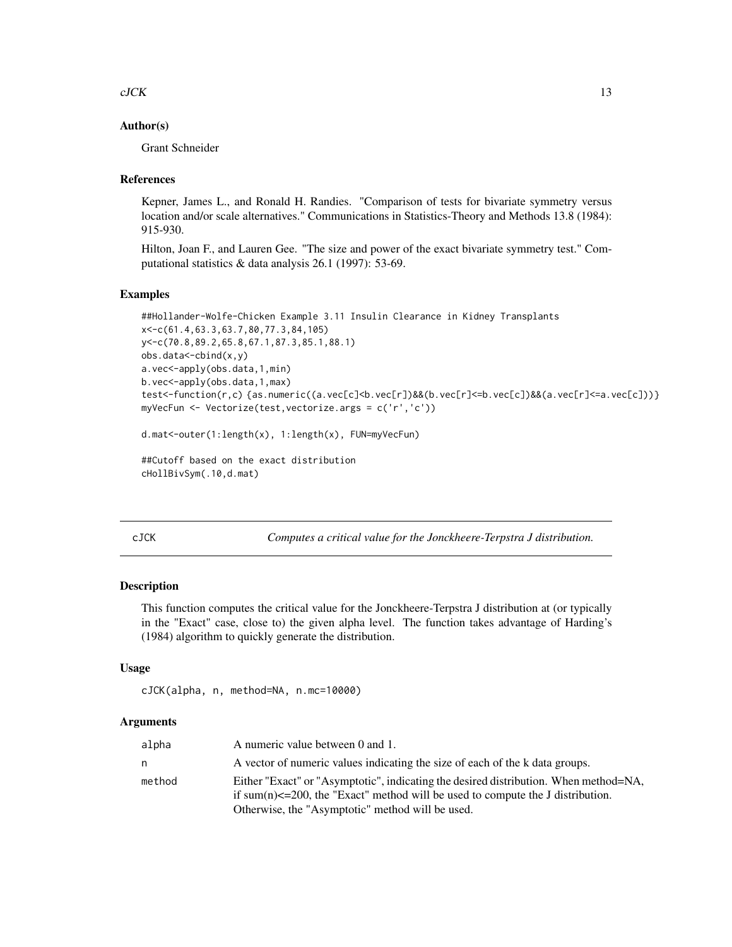#### <span id="page-12-0"></span> $c$ JCK  $13$

#### Author(s)

Grant Schneider

#### References

Kepner, James L., and Ronald H. Randies. "Comparison of tests for bivariate symmetry versus location and/or scale alternatives." Communications in Statistics-Theory and Methods 13.8 (1984): 915-930.

Hilton, Joan F., and Lauren Gee. "The size and power of the exact bivariate symmetry test." Computational statistics & data analysis 26.1 (1997): 53-69.

### Examples

```
##Hollander-Wolfe-Chicken Example 3.11 Insulin Clearance in Kidney Transplants
x<-c(61.4,63.3,63.7,80,77.3,84,105)
y<-c(70.8,89.2,65.8,67.1,87.3,85.1,88.1)
obs.data<-cbind(x,y)
a.vec<-apply(obs.data,1,min)
b.vec<-apply(obs.data,1,max)
test<-function(r,c) {as.numeric((a.vec[c]<br/><br/>b.vec[r]<=b.vec[c])&&(a.vec[r]<=a.vec[c])}}
myVecFun <- Vectorize(test,vectorize.args = c('r','c'))
```

```
d.mat<-outer(1:length(x), 1:length(x), FUN=myVecFun)
```
##Cutoff based on the exact distribution cHollBivSym(.10,d.mat)

cJCK *Computes a critical value for the Jonckheere-Terpstra J distribution.*

#### Description

This function computes the critical value for the Jonckheere-Terpstra J distribution at (or typically in the "Exact" case, close to) the given alpha level. The function takes advantage of Harding's (1984) algorithm to quickly generate the distribution.

#### Usage

```
cJCK(alpha, n, method=NA, n.mc=10000)
```
#### **Arguments**

| alpha  | A numeric value between 0 and 1.                                                      |
|--------|---------------------------------------------------------------------------------------|
| n.     | A vector of numeric values indicating the size of each of the k data groups.          |
| method | Either "Exact" or "Asymptotic", indicating the desired distribution. When method=NA,  |
|        | if sum(n) $\leq$ =200, the "Exact" method will be used to compute the J distribution. |
|        | Otherwise, the "Asymptotic" method will be used.                                      |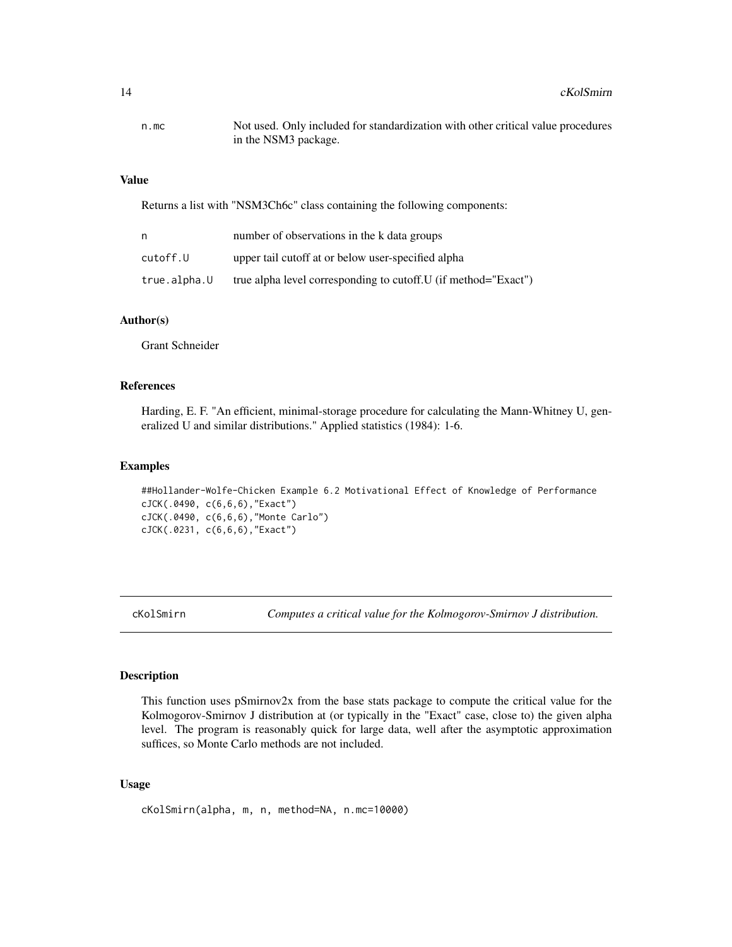#### <span id="page-13-0"></span>Value

Returns a list with "NSM3Ch6c" class containing the following components:

| n            | number of observations in the k data groups                     |
|--------------|-----------------------------------------------------------------|
| cutoff.U     | upper tail cutoff at or below user-specified alpha              |
| true.alpha.U | true alpha level corresponding to cutoff. U (if method="Exact") |

#### Author(s)

Grant Schneider

### References

Harding, E. F. "An efficient, minimal-storage procedure for calculating the Mann-Whitney U, generalized U and similar distributions." Applied statistics (1984): 1-6.

#### Examples

##Hollander-Wolfe-Chicken Example 6.2 Motivational Effect of Knowledge of Performance cJCK(.0490, c(6,6,6),"Exact") cJCK(.0490, c(6,6,6),"Monte Carlo") cJCK(.0231, c(6,6,6),"Exact")

cKolSmirn *Computes a critical value for the Kolmogorov-Smirnov J distribution.*

#### Description

This function uses pSmirnov2x from the base stats package to compute the critical value for the Kolmogorov-Smirnov J distribution at (or typically in the "Exact" case, close to) the given alpha level. The program is reasonably quick for large data, well after the asymptotic approximation suffices, so Monte Carlo methods are not included.

#### Usage

cKolSmirn(alpha, m, n, method=NA, n.mc=10000)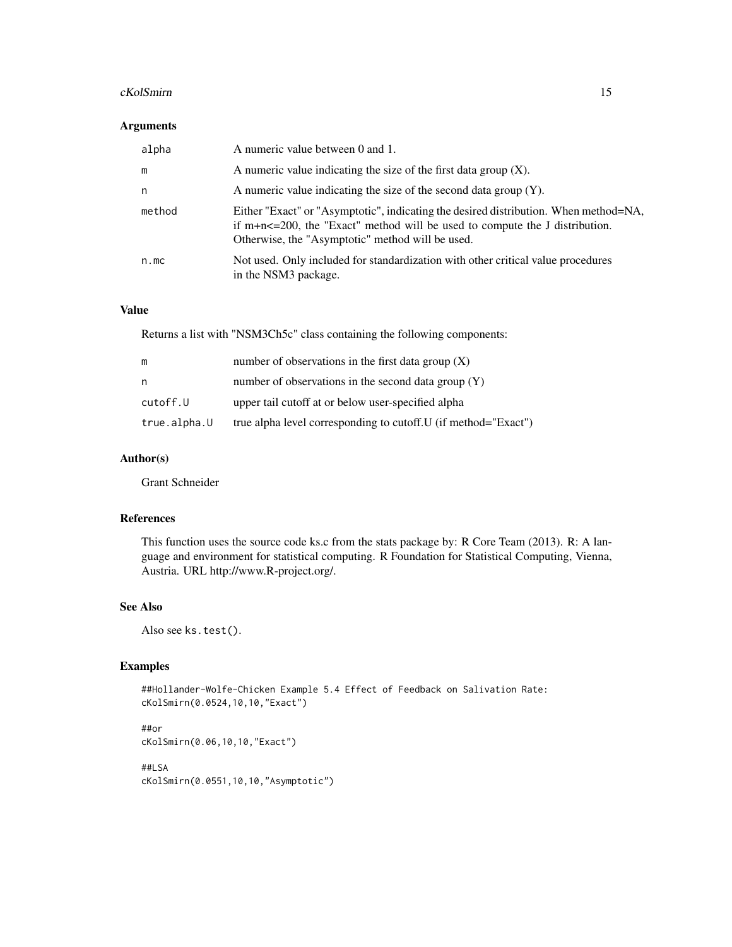#### cKolSmirn 15

### Arguments

| alpha  | A numeric value between 0 and 1.                                                                                                                                                                                               |
|--------|--------------------------------------------------------------------------------------------------------------------------------------------------------------------------------------------------------------------------------|
| m      | A numeric value indicating the size of the first data group $(X)$ .                                                                                                                                                            |
| n      | A numeric value indicating the size of the second data group $(Y)$ .                                                                                                                                                           |
| method | Either "Exact" or "Asymptotic", indicating the desired distribution. When method=NA,<br>if $m+n \leq 200$ , the "Exact" method will be used to compute the J distribution.<br>Otherwise, the "Asymptotic" method will be used. |
| n.mc   | Not used. Only included for standardization with other critical value procedures<br>in the NSM3 package.                                                                                                                       |

# Value

Returns a list with "NSM3Ch5c" class containing the following components:

| m            | number of observations in the first data group $(X)$            |
|--------------|-----------------------------------------------------------------|
| n            | number of observations in the second data group $(Y)$           |
| cutoff.U     | upper tail cutoff at or below user-specified alpha              |
| true.alpha.U | true alpha level corresponding to cutoff. U (if method="Exact") |

### Author(s)

Grant Schneider

### References

This function uses the source code ks.c from the stats package by: R Core Team (2013). R: A language and environment for statistical computing. R Foundation for Statistical Computing, Vienna, Austria. URL http://www.R-project.org/.

### See Also

Also see ks.test().

#### Examples

##Hollander-Wolfe-Chicken Example 5.4 Effect of Feedback on Salivation Rate: cKolSmirn(0.0524,10,10,"Exact")

##or cKolSmirn(0.06,10,10,"Exact")

##LSA cKolSmirn(0.0551,10,10,"Asymptotic")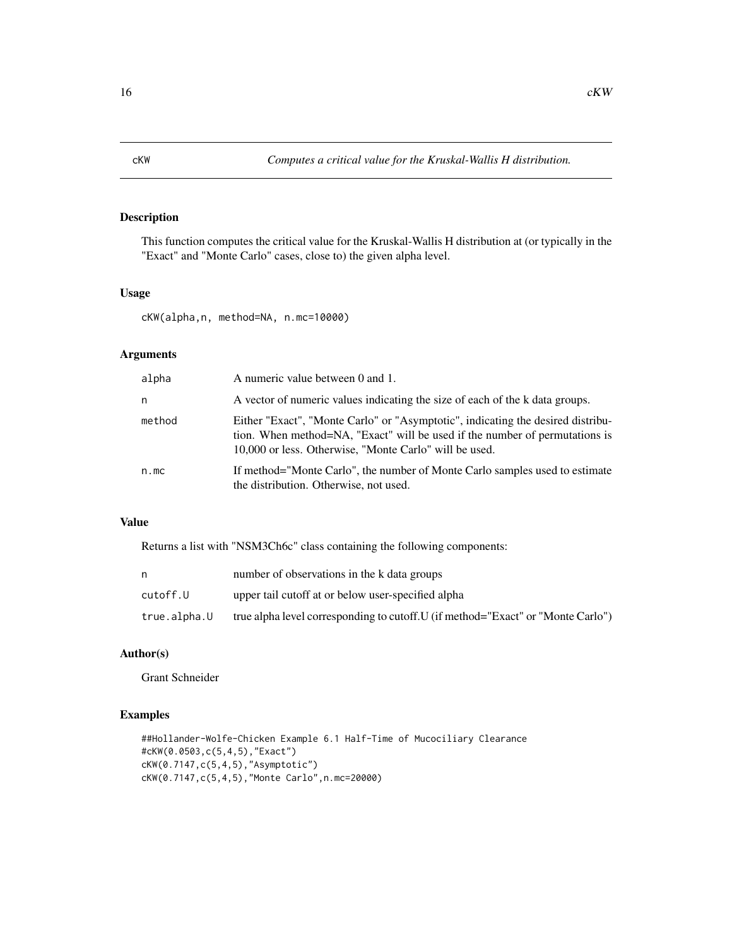<span id="page-15-0"></span>This function computes the critical value for the Kruskal-Wallis H distribution at (or typically in the "Exact" and "Monte Carlo" cases, close to) the given alpha level.

#### Usage

cKW(alpha,n, method=NA, n.mc=10000)

### Arguments

| alpha  | A numeric value between 0 and 1.                                                                                                                                                                                         |
|--------|--------------------------------------------------------------------------------------------------------------------------------------------------------------------------------------------------------------------------|
| n      | A vector of numeric values indicating the size of each of the k data groups.                                                                                                                                             |
| method | Either "Exact", "Monte Carlo" or "Asymptotic", indicating the desired distribu-<br>tion. When method=NA, "Exact" will be used if the number of permutations is<br>10,000 or less. Otherwise, "Monte Carlo" will be used. |
| n.mc   | If method="Monte Carlo", the number of Monte Carlo samples used to estimate<br>the distribution. Otherwise, not used.                                                                                                    |

### Value

Returns a list with "NSM3Ch6c" class containing the following components:

|              | number of observations in the k data groups                                      |
|--------------|----------------------------------------------------------------------------------|
| cutoff.U     | upper tail cutoff at or below user-specified alpha                               |
| true.alpha.U | true alpha level corresponding to cutoff. U (if method="Exact" or "Monte Carlo") |

### Author(s)

Grant Schneider

```
##Hollander-Wolfe-Chicken Example 6.1 Half-Time of Mucociliary Clearance
#cKW(0.0503,c(5,4,5),"Exact")
cKW(0.7147,c(5,4,5),"Asymptotic")
cKW(0.7147,c(5,4,5),"Monte Carlo",n.mc=20000)
```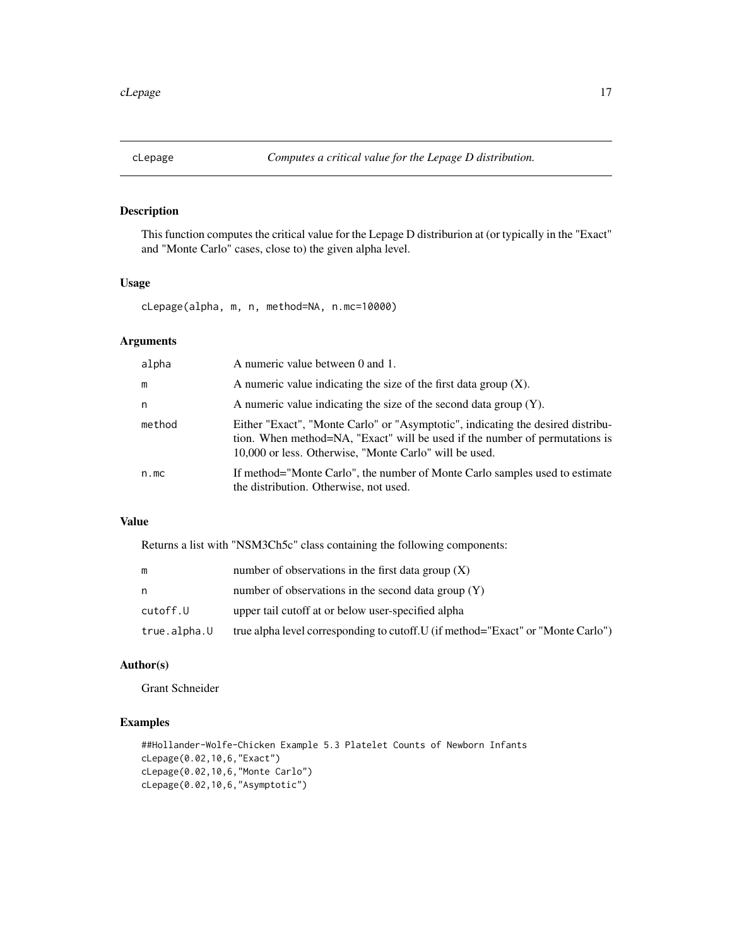<span id="page-16-0"></span>

This function computes the critical value for the Lepage D distriburion at (or typically in the "Exact" and "Monte Carlo" cases, close to) the given alpha level.

### Usage

cLepage(alpha, m, n, method=NA, n.mc=10000)

### Arguments

| alpha  | A numeric value between 0 and 1.                                                                                                                                                                                         |
|--------|--------------------------------------------------------------------------------------------------------------------------------------------------------------------------------------------------------------------------|
| m      | A numeric value indicating the size of the first data group $(X)$ .                                                                                                                                                      |
| n      | A numeric value indicating the size of the second data group $(Y)$ .                                                                                                                                                     |
| method | Either "Exact", "Monte Carlo" or "Asymptotic", indicating the desired distribu-<br>tion. When method=NA, "Exact" will be used if the number of permutations is<br>10,000 or less. Otherwise, "Monte Carlo" will be used. |
| n.mc   | If method="Monte Carlo", the number of Monte Carlo samples used to estimate<br>the distribution. Otherwise, not used.                                                                                                    |

### Value

Returns a list with "NSM3Ch5c" class containing the following components:

| m            | number of observations in the first data group $(X)$                             |
|--------------|----------------------------------------------------------------------------------|
| n            | number of observations in the second data group $(Y)$                            |
| cutoff.U     | upper tail cutoff at or below user-specified alpha                               |
| true.alpha.U | true alpha level corresponding to cutoff. U (if method="Exact" or "Monte Carlo") |

# Author(s)

Grant Schneider

```
##Hollander-Wolfe-Chicken Example 5.3 Platelet Counts of Newborn Infants
cLepage(0.02,10,6,"Exact")
cLepage(0.02,10,6,"Monte Carlo")
cLepage(0.02,10,6,"Asymptotic")
```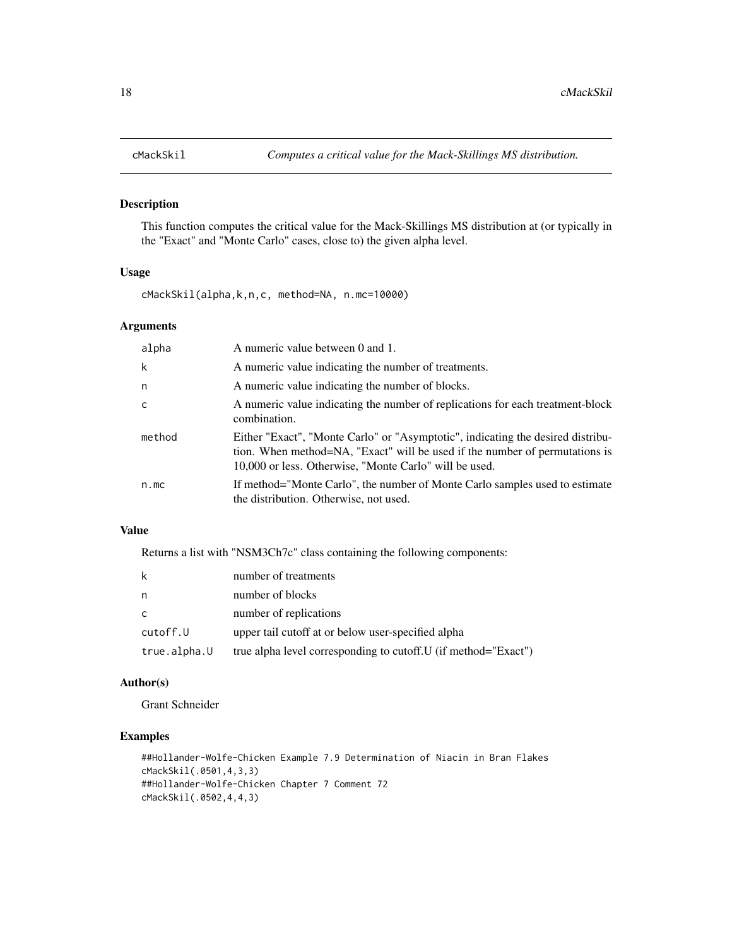This function computes the critical value for the Mack-Skillings MS distribution at (or typically in the "Exact" and "Monte Carlo" cases, close to) the given alpha level.

### Usage

cMackSkil(alpha,k,n,c, method=NA, n.mc=10000)

### Arguments

| alpha  | A numeric value between 0 and 1.                                                                                                                                                                                         |
|--------|--------------------------------------------------------------------------------------------------------------------------------------------------------------------------------------------------------------------------|
| k      | A numeric value indicating the number of treatments.                                                                                                                                                                     |
| n      | A numeric value indicating the number of blocks.                                                                                                                                                                         |
| c      | A numeric value indicating the number of replications for each treatment-block<br>combination.                                                                                                                           |
| method | Either "Exact", "Monte Carlo" or "Asymptotic", indicating the desired distribu-<br>tion. When method=NA, "Exact" will be used if the number of permutations is<br>10,000 or less. Otherwise, "Monte Carlo" will be used. |
| n.mc   | If method="Monte Carlo", the number of Monte Carlo samples used to estimate<br>the distribution. Otherwise, not used.                                                                                                    |

#### Value

Returns a list with "NSM3Ch7c" class containing the following components:

| k            | number of treatments                                            |
|--------------|-----------------------------------------------------------------|
| n            | number of blocks                                                |
| C            | number of replications                                          |
| cutoff.U     | upper tail cutoff at or below user-specified alpha              |
| true.alpha.U | true alpha level corresponding to cutoff. U (if method="Exact") |

### Author(s)

Grant Schneider

```
##Hollander-Wolfe-Chicken Example 7.9 Determination of Niacin in Bran Flakes
cMackSkil(.0501,4,3,3)
##Hollander-Wolfe-Chicken Chapter 7 Comment 72
cMackSkil(.0502,4,4,3)
```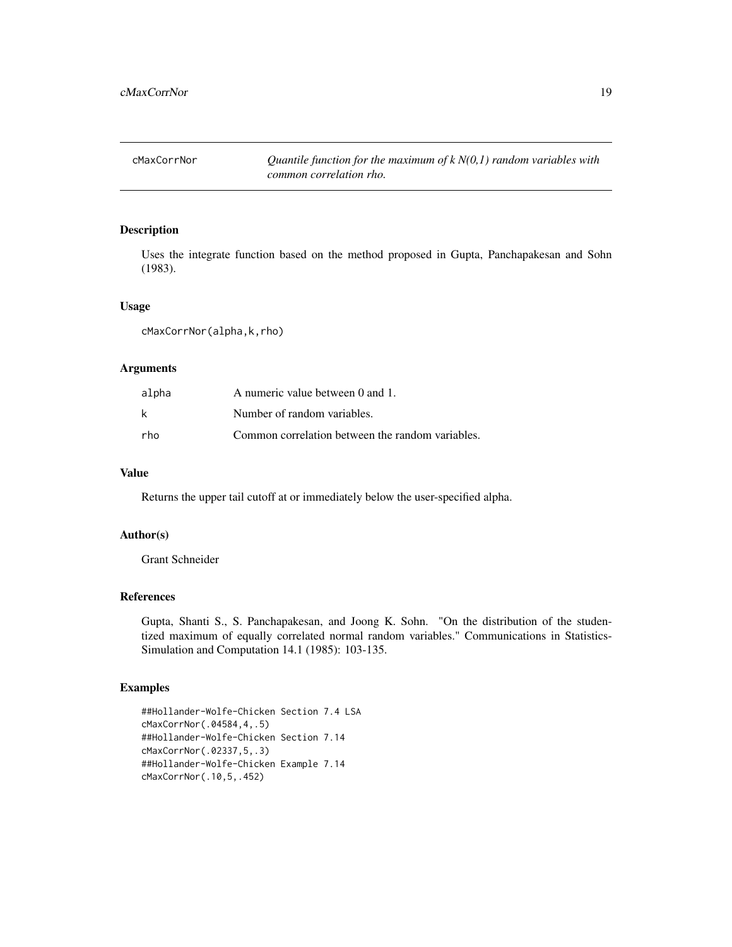<span id="page-18-0"></span>cMaxCorrNor *Quantile function for the maximum of k N(0,1) random variables with common correlation rho.*

### Description

Uses the integrate function based on the method proposed in Gupta, Panchapakesan and Sohn (1983).

#### Usage

cMaxCorrNor(alpha,k,rho)

### Arguments

| alpha | A numeric value between 0 and 1.                 |
|-------|--------------------------------------------------|
| k     | Number of random variables.                      |
| rho   | Common correlation between the random variables. |

### Value

Returns the upper tail cutoff at or immediately below the user-specified alpha.

### Author(s)

Grant Schneider

#### References

Gupta, Shanti S., S. Panchapakesan, and Joong K. Sohn. "On the distribution of the studentized maximum of equally correlated normal random variables." Communications in Statistics-Simulation and Computation 14.1 (1985): 103-135.

```
##Hollander-Wolfe-Chicken Section 7.4 LSA
cMaxCorrNor(.04584,4,.5)
##Hollander-Wolfe-Chicken Section 7.14
cMaxCorrNor(.02337,5,.3)
##Hollander-Wolfe-Chicken Example 7.14
cMaxCorrNor(.10,5,.452)
```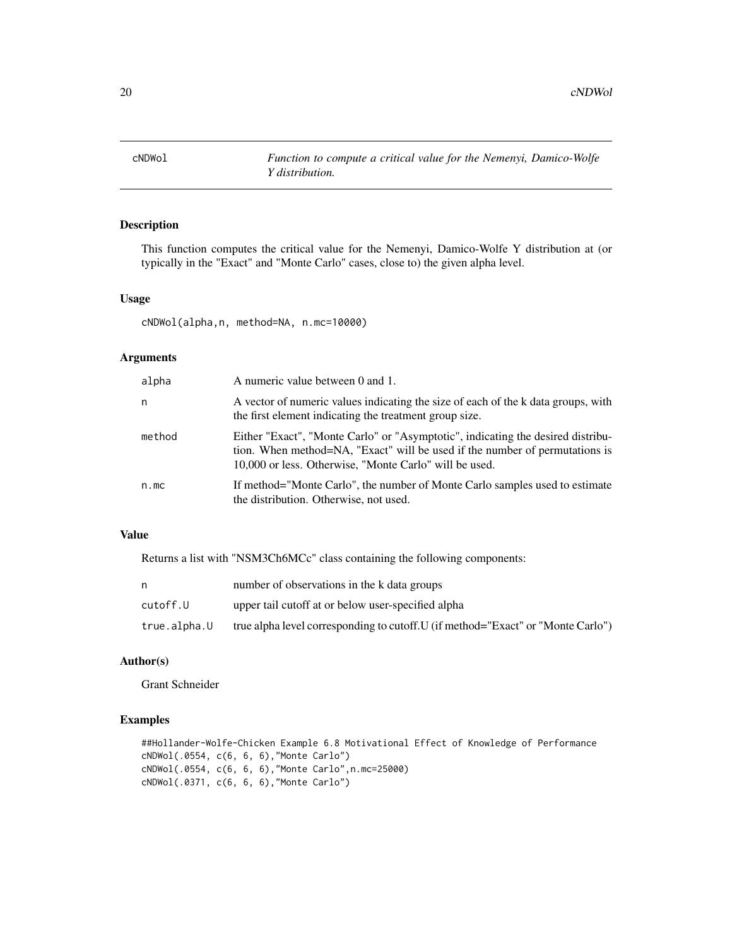<span id="page-19-0"></span>

This function computes the critical value for the Nemenyi, Damico-Wolfe Y distribution at (or typically in the "Exact" and "Monte Carlo" cases, close to) the given alpha level.

#### Usage

cNDWol(alpha,n, method=NA, n.mc=10000)

### Arguments

| alpha  | A numeric value between 0 and 1.                                                                                                                                                                                         |
|--------|--------------------------------------------------------------------------------------------------------------------------------------------------------------------------------------------------------------------------|
| n      | A vector of numeric values indicating the size of each of the k data groups, with<br>the first element indicating the treatment group size.                                                                              |
| method | Either "Exact", "Monte Carlo" or "Asymptotic", indicating the desired distribu-<br>tion. When method=NA, "Exact" will be used if the number of permutations is<br>10,000 or less. Otherwise, "Monte Carlo" will be used. |
| n.mc   | If method="Monte Carlo", the number of Monte Carlo samples used to estimate<br>the distribution. Otherwise, not used.                                                                                                    |

### Value

Returns a list with "NSM3Ch6MCc" class containing the following components:

| n            | number of observations in the k data groups                                      |
|--------------|----------------------------------------------------------------------------------|
| cutoff.U     | upper tail cutoff at or below user-specified alpha                               |
| true.alpha.U | true alpha level corresponding to cutoff. U (if method="Exact" or "Monte Carlo") |

# Author(s)

Grant Schneider

```
##Hollander-Wolfe-Chicken Example 6.8 Motivational Effect of Knowledge of Performance
cNDWol(.0554, c(6, 6, 6),"Monte Carlo")
cNDWol(.0554, c(6, 6, 6),"Monte Carlo",n.mc=25000)
cNDWol(.0371, c(6, 6, 6),"Monte Carlo")
```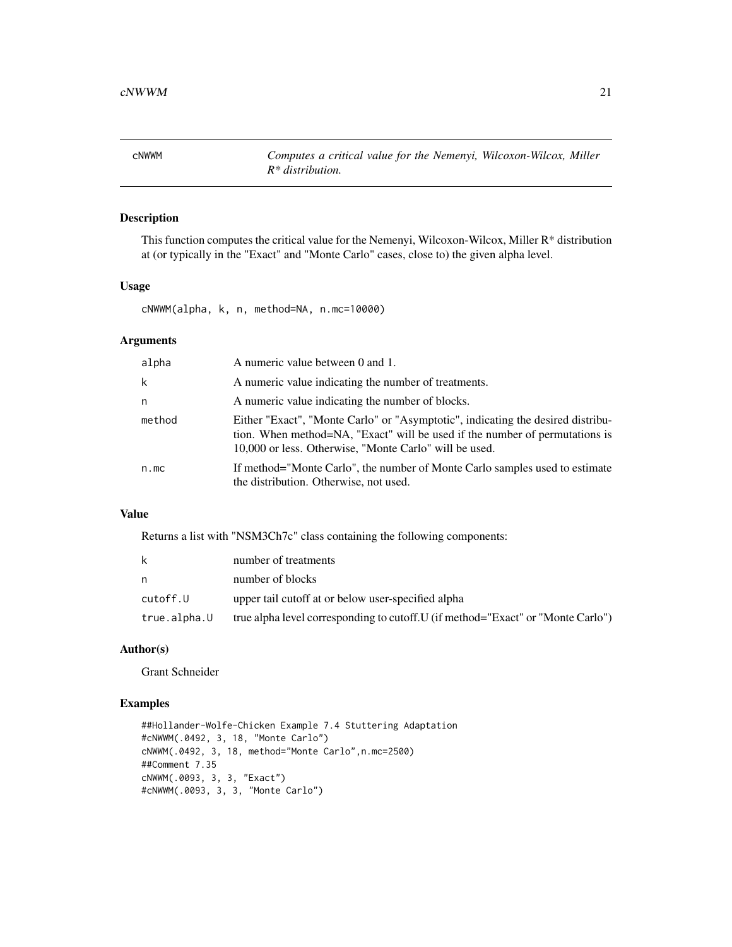<span id="page-20-0"></span>cNWWM *Computes a critical value for the Nemenyi, Wilcoxon-Wilcox, Miller R\* distribution.*

### Description

This function computes the critical value for the Nemenyi, Wilcoxon-Wilcox, Miller R\* distribution at (or typically in the "Exact" and "Monte Carlo" cases, close to) the given alpha level.

#### Usage

cNWWM(alpha, k, n, method=NA, n.mc=10000)

### Arguments

| alpha  | A numeric value between 0 and 1.                                                                                                                                                                                         |
|--------|--------------------------------------------------------------------------------------------------------------------------------------------------------------------------------------------------------------------------|
| k      | A numeric value indicating the number of treatments.                                                                                                                                                                     |
| n      | A numeric value indicating the number of blocks.                                                                                                                                                                         |
| method | Either "Exact", "Monte Carlo" or "Asymptotic", indicating the desired distribu-<br>tion. When method=NA, "Exact" will be used if the number of permutations is<br>10,000 or less. Otherwise, "Monte Carlo" will be used. |
| n.mc   | If method="Monte Carlo", the number of Monte Carlo samples used to estimate<br>the distribution. Otherwise, not used.                                                                                                    |

# Value

Returns a list with "NSM3Ch7c" class containing the following components:

| k.           | number of treatments                                                             |
|--------------|----------------------------------------------------------------------------------|
| n            | number of blocks                                                                 |
| cutoff.U     | upper tail cutoff at or below user-specified alpha                               |
| true.alpha.U | true alpha level corresponding to cutoff. U (if method="Exact" or "Monte Carlo") |

### Author(s)

Grant Schneider

```
##Hollander-Wolfe-Chicken Example 7.4 Stuttering Adaptation
#cNWWM(.0492, 3, 18, "Monte Carlo")
cNWWM(.0492, 3, 18, method="Monte Carlo",n.mc=2500)
##Comment 7.35
cNWWM(.0093, 3, 3, "Exact")
#cNWWM(.0093, 3, 3, "Monte Carlo")
```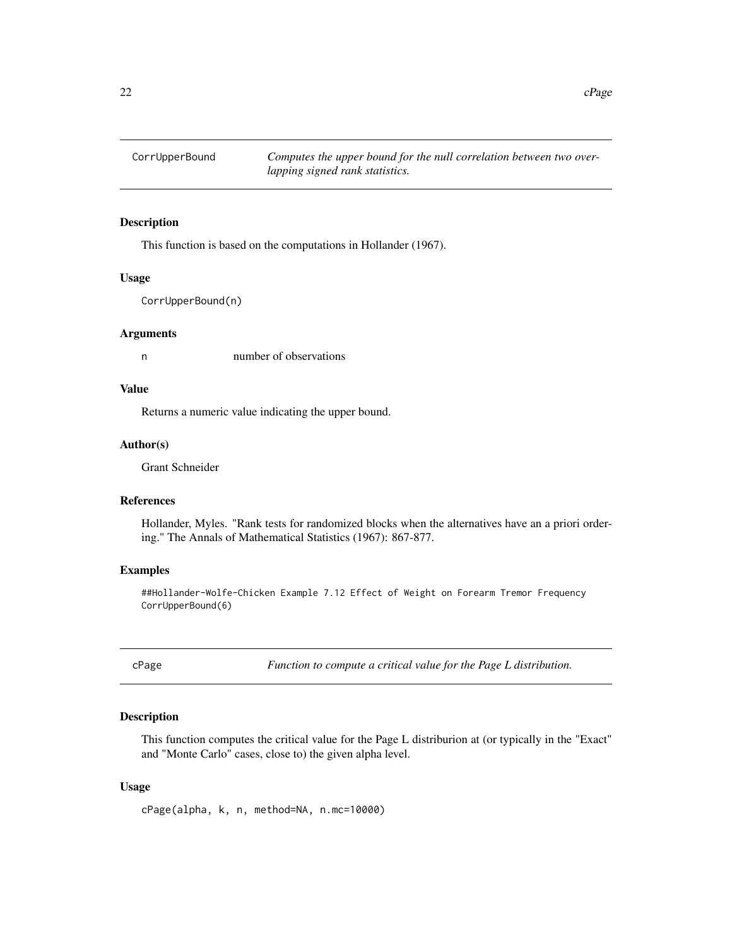<span id="page-21-0"></span>CorrUpperBound *Computes the upper bound for the null correlation between two overlapping signed rank statistics.*

#### Description

This function is based on the computations in Hollander (1967).

#### Usage

CorrUpperBound(n)

#### Arguments

n number of observations

# Value

Returns a numeric value indicating the upper bound.

#### Author(s)

Grant Schneider

### References

Hollander, Myles. "Rank tests for randomized blocks when the alternatives have an a priori ordering." The Annals of Mathematical Statistics (1967): 867-877.

#### Examples

##Hollander-Wolfe-Chicken Example 7.12 Effect of Weight on Forearm Tremor Frequency CorrUpperBound(6)

cPage *Function to compute a critical value for the Page L distribution.*

### Description

This function computes the critical value for the Page L distriburion at (or typically in the "Exact" and "Monte Carlo" cases, close to) the given alpha level.

### Usage

cPage(alpha, k, n, method=NA, n.mc=10000)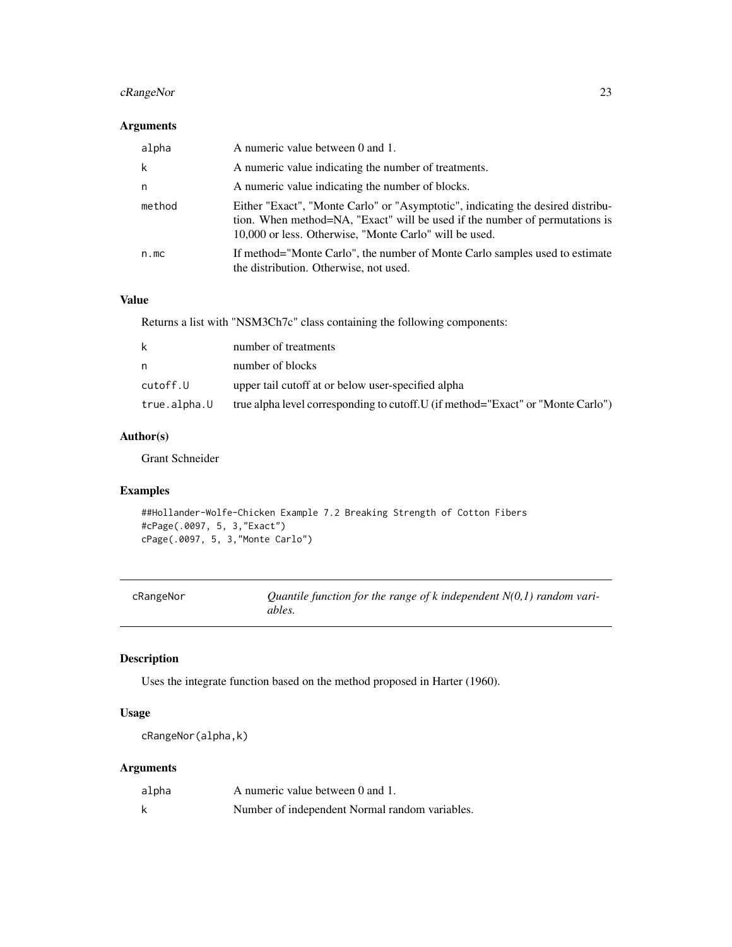### <span id="page-22-0"></span>cRangeNor 23

# Arguments

| alpha  | A numeric value between 0 and 1.                                                                                                                                                                                         |
|--------|--------------------------------------------------------------------------------------------------------------------------------------------------------------------------------------------------------------------------|
| k      | A numeric value indicating the number of treatments.                                                                                                                                                                     |
| n      | A numeric value indicating the number of blocks.                                                                                                                                                                         |
| method | Either "Exact", "Monte Carlo" or "Asymptotic", indicating the desired distribu-<br>tion. When method=NA, "Exact" will be used if the number of permutations is<br>10,000 or less. Otherwise, "Monte Carlo" will be used. |
| n.mc   | If method="Monte Carlo", the number of Monte Carlo samples used to estimate<br>the distribution. Otherwise, not used.                                                                                                    |

### Value

Returns a list with "NSM3Ch7c" class containing the following components:

| k            | number of treatments                                                             |
|--------------|----------------------------------------------------------------------------------|
| n            | number of blocks                                                                 |
| cutoff.U     | upper tail cutoff at or below user-specified alpha                               |
| true.alpha.U | true alpha level corresponding to cutoff. U (if method="Exact" or "Monte Carlo") |

# Author(s)

Grant Schneider

### Examples

```
##Hollander-Wolfe-Chicken Example 7.2 Breaking Strength of Cotton Fibers
#cPage(.0097, 5, 3,"Exact")
cPage(.0097, 5, 3,"Monte Carlo")
```

| cRangeNor | Quantile function for the range of k independent $N(0,1)$ random vari- |
|-----------|------------------------------------------------------------------------|
|           | ables.                                                                 |

# Description

Uses the integrate function based on the method proposed in Harter (1960).

## Usage

```
cRangeNor(alpha,k)
```
### Arguments

| alpha | A numeric value between 0 and 1.               |
|-------|------------------------------------------------|
|       | Number of independent Normal random variables. |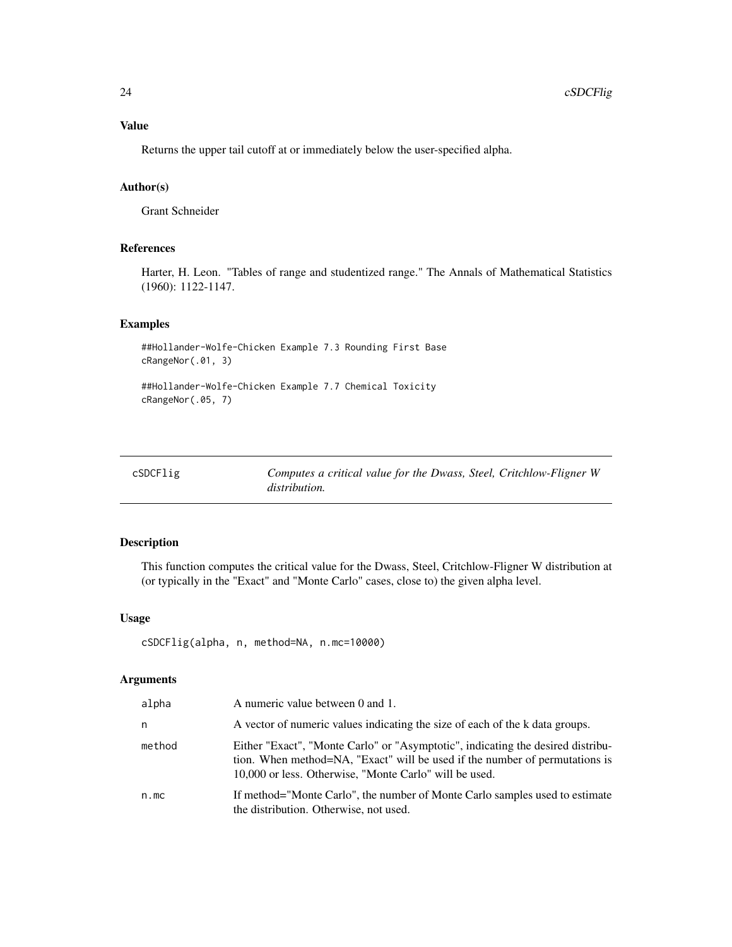<span id="page-23-0"></span>Returns the upper tail cutoff at or immediately below the user-specified alpha.

### Author(s)

Grant Schneider

### References

Harter, H. Leon. "Tables of range and studentized range." The Annals of Mathematical Statistics (1960): 1122-1147.

### Examples

```
##Hollander-Wolfe-Chicken Example 7.3 Rounding First Base
cRangeNor(.01, 3)
```

```
##Hollander-Wolfe-Chicken Example 7.7 Chemical Toxicity
cRangeNor(.05, 7)
```

| cSDCFlig | Computes a critical value for the Dwass, Steel, Critchlow-Fligner W |
|----------|---------------------------------------------------------------------|
|          | <i>distribution.</i>                                                |

### Description

This function computes the critical value for the Dwass, Steel, Critchlow-Fligner W distribution at (or typically in the "Exact" and "Monte Carlo" cases, close to) the given alpha level.

#### Usage

```
cSDCFlig(alpha, n, method=NA, n.mc=10000)
```
#### Arguments

| alpha  | A numeric value between 0 and 1.                                                                                                                                                                                         |
|--------|--------------------------------------------------------------------------------------------------------------------------------------------------------------------------------------------------------------------------|
| n      | A vector of numeric values indicating the size of each of the k data groups.                                                                                                                                             |
| method | Either "Exact", "Monte Carlo" or "Asymptotic", indicating the desired distribu-<br>tion. When method=NA, "Exact" will be used if the number of permutations is<br>10,000 or less. Otherwise, "Monte Carlo" will be used. |
| n.mc   | If method="Monte Carlo", the number of Monte Carlo samples used to estimate<br>the distribution. Otherwise, not used.                                                                                                    |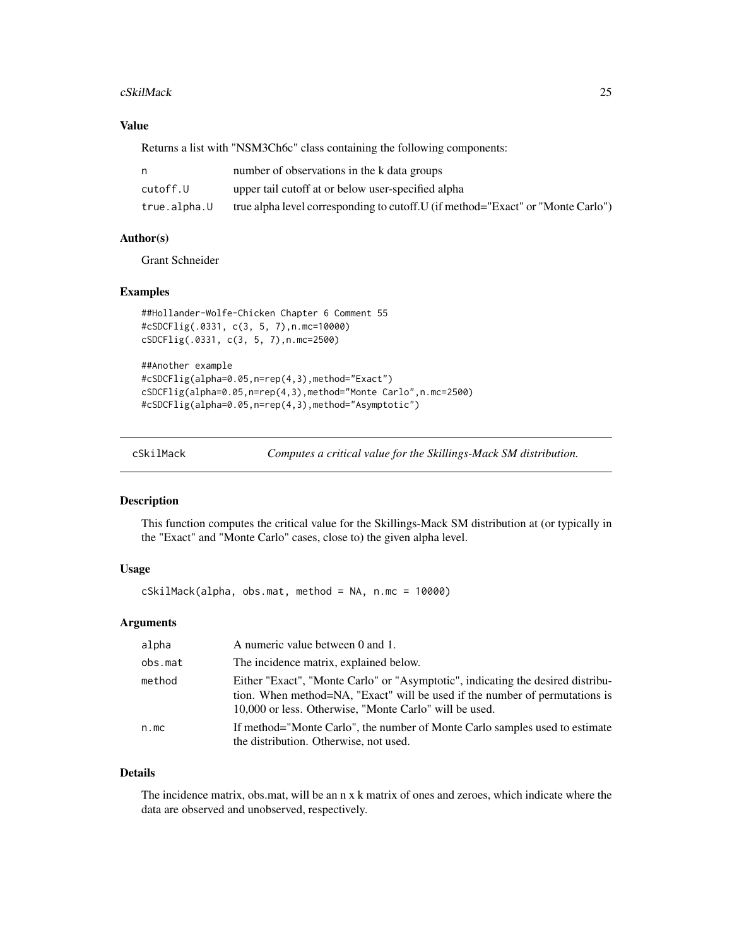#### <span id="page-24-0"></span>cSkilMack 25

### Value

Returns a list with "NSM3Ch6c" class containing the following components:

|              | number of observations in the k data groups                                      |
|--------------|----------------------------------------------------------------------------------|
| cutoff.U     | upper tail cutoff at or below user-specified alpha                               |
| true.alpha.U | true alpha level corresponding to cutoff. U (if method="Exact" or "Monte Carlo") |

### Author(s)

Grant Schneider

### Examples

```
##Hollander-Wolfe-Chicken Chapter 6 Comment 55
#cSDCFlig(.0331, c(3, 5, 7),n.mc=10000)
cSDCFlig(.0331, c(3, 5, 7),n.mc=2500)
```

```
##Another example
#cSDCFlig(alpha=0.05,n=rep(4,3),method="Exact")
cSDCFlig(alpha=0.05,n=rep(4,3),method="Monte Carlo",n.mc=2500)
#cSDCFlig(alpha=0.05,n=rep(4,3),method="Asymptotic")
```
cSkilMack *Computes a critical value for the Skillings-Mack SM distribution.*

### Description

This function computes the critical value for the Skillings-Mack SM distribution at (or typically in the "Exact" and "Monte Carlo" cases, close to) the given alpha level.

### Usage

cSkilMack(alpha, obs.mat, method = NA, n.mc = 10000)

#### Arguments

| alpha   | A numeric value between 0 and 1.                                                                                                                                                                                         |
|---------|--------------------------------------------------------------------------------------------------------------------------------------------------------------------------------------------------------------------------|
| obs.mat | The incidence matrix, explained below.                                                                                                                                                                                   |
| method  | Either "Exact", "Monte Carlo" or "Asymptotic", indicating the desired distribu-<br>tion. When method=NA, "Exact" will be used if the number of permutations is<br>10,000 or less. Otherwise, "Monte Carlo" will be used. |
| n.mc    | If method="Monte Carlo", the number of Monte Carlo samples used to estimate<br>the distribution. Otherwise, not used.                                                                                                    |

#### Details

The incidence matrix, obs.mat, will be an n x k matrix of ones and zeroes, which indicate where the data are observed and unobserved, respectively.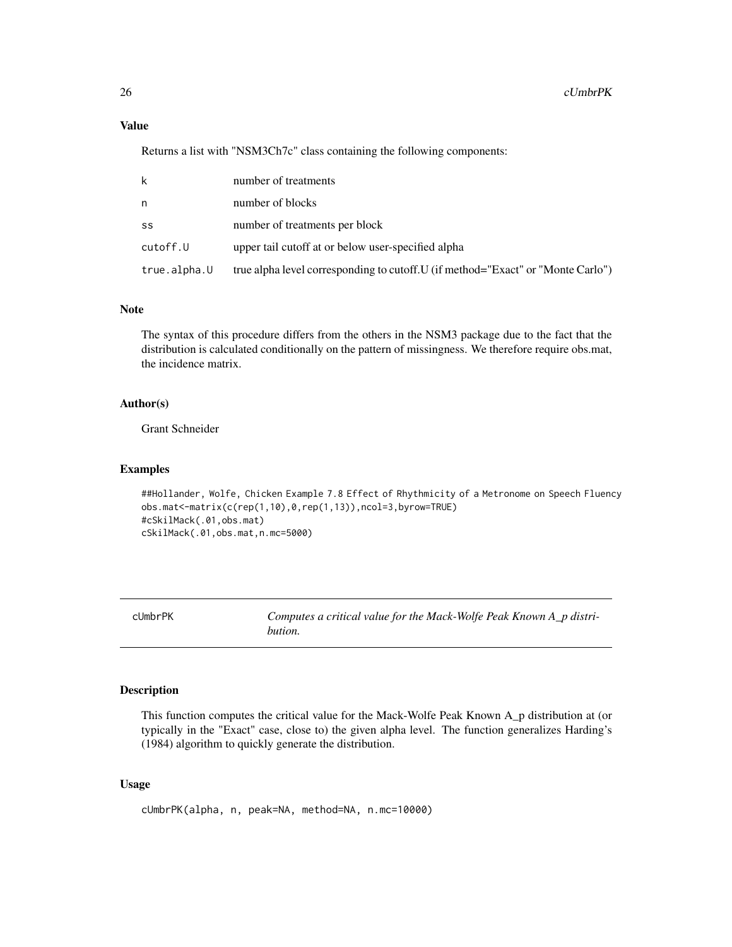### Value

Returns a list with "NSM3Ch7c" class containing the following components:

| k            | number of treatments                                                             |
|--------------|----------------------------------------------------------------------------------|
| n            | number of blocks                                                                 |
| SS           | number of treatments per block                                                   |
| cutoff.U     | upper tail cutoff at or below user-specified alpha                               |
| true.alpha.U | true alpha level corresponding to cutoff. U (if method="Exact" or "Monte Carlo") |

### Note

The syntax of this procedure differs from the others in the NSM3 package due to the fact that the distribution is calculated conditionally on the pattern of missingness. We therefore require obs.mat, the incidence matrix.

#### Author(s)

Grant Schneider

#### Examples

```
##Hollander, Wolfe, Chicken Example 7.8 Effect of Rhythmicity of a Metronome on Speech Fluency
obs.mat<-matrix(c(rep(1,10),0,rep(1,13)),ncol=3,byrow=TRUE)
#cSkilMack(.01,obs.mat)
cSkilMack(.01,obs.mat,n.mc=5000)
```
cUmbrPK *Computes a critical value for the Mack-Wolfe Peak Known A\_p distribution.*

# Description

This function computes the critical value for the Mack-Wolfe Peak Known A\_p distribution at (or typically in the "Exact" case, close to) the given alpha level. The function generalizes Harding's (1984) algorithm to quickly generate the distribution.

### Usage

cUmbrPK(alpha, n, peak=NA, method=NA, n.mc=10000)

<span id="page-25-0"></span>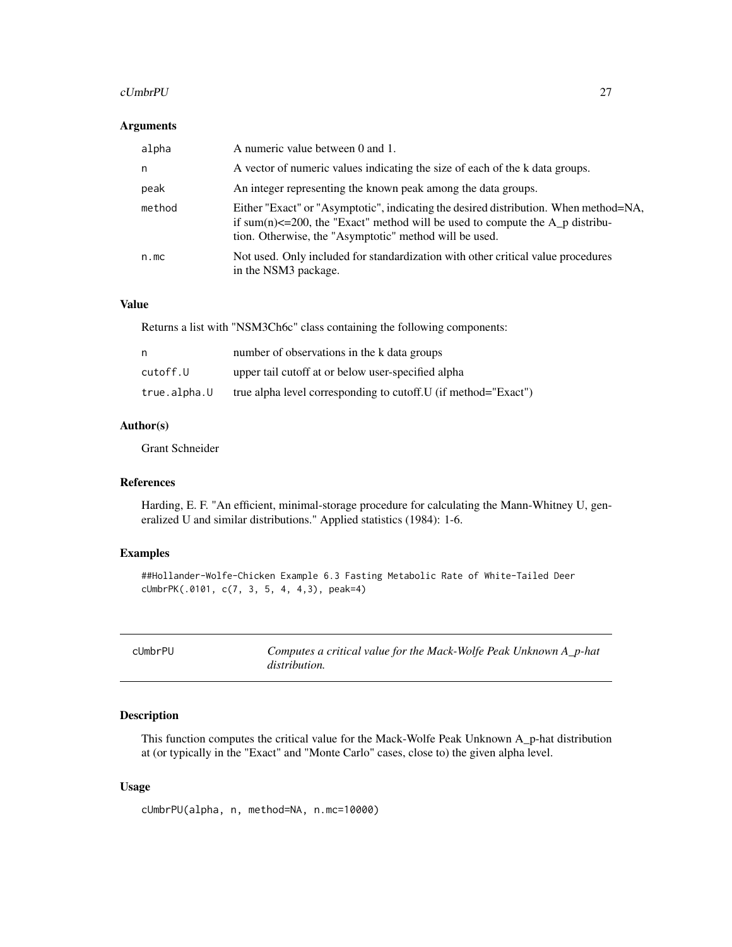#### <span id="page-26-0"></span>cUmbrPU 27

#### Arguments

| alpha  | A numeric value between 0 and 1.                                                                                                                                                                                                      |
|--------|---------------------------------------------------------------------------------------------------------------------------------------------------------------------------------------------------------------------------------------|
| n.     | A vector of numeric values indicating the size of each of the k data groups.                                                                                                                                                          |
| peak   | An integer representing the known peak among the data groups.                                                                                                                                                                         |
| method | Either "Exact" or "Asymptotic", indicating the desired distribution. When method=NA,<br>if sum(n) $\leq$ =200, the "Exact" method will be used to compute the A_p distribu-<br>tion. Otherwise, the "Asymptotic" method will be used. |
| n.mc   | Not used. Only included for standardization with other critical value procedures<br>in the NSM3 package.                                                                                                                              |

# Value

Returns a list with "NSM3Ch6c" class containing the following components:

| n            | number of observations in the k data groups                     |
|--------------|-----------------------------------------------------------------|
| cutoff.U     | upper tail cutoff at or below user-specified alpha              |
| true.alpha.U | true alpha level corresponding to cutoff. U (if method="Exact") |

#### Author(s)

Grant Schneider

### References

Harding, E. F. "An efficient, minimal-storage procedure for calculating the Mann-Whitney U, generalized U and similar distributions." Applied statistics (1984): 1-6.

# Examples

```
##Hollander-Wolfe-Chicken Example 6.3 Fasting Metabolic Rate of White-Tailed Deer
cUmbrPK(.0101, c(7, 3, 5, 4, 4,3), peak=4)
```

| cUmbrPU | Computes a critical value for the Mack-Wolfe Peak Unknown A_p-hat |
|---------|-------------------------------------------------------------------|
|         | <i>distribution.</i>                                              |

### Description

This function computes the critical value for the Mack-Wolfe Peak Unknown A\_p-hat distribution at (or typically in the "Exact" and "Monte Carlo" cases, close to) the given alpha level.

### Usage

cUmbrPU(alpha, n, method=NA, n.mc=10000)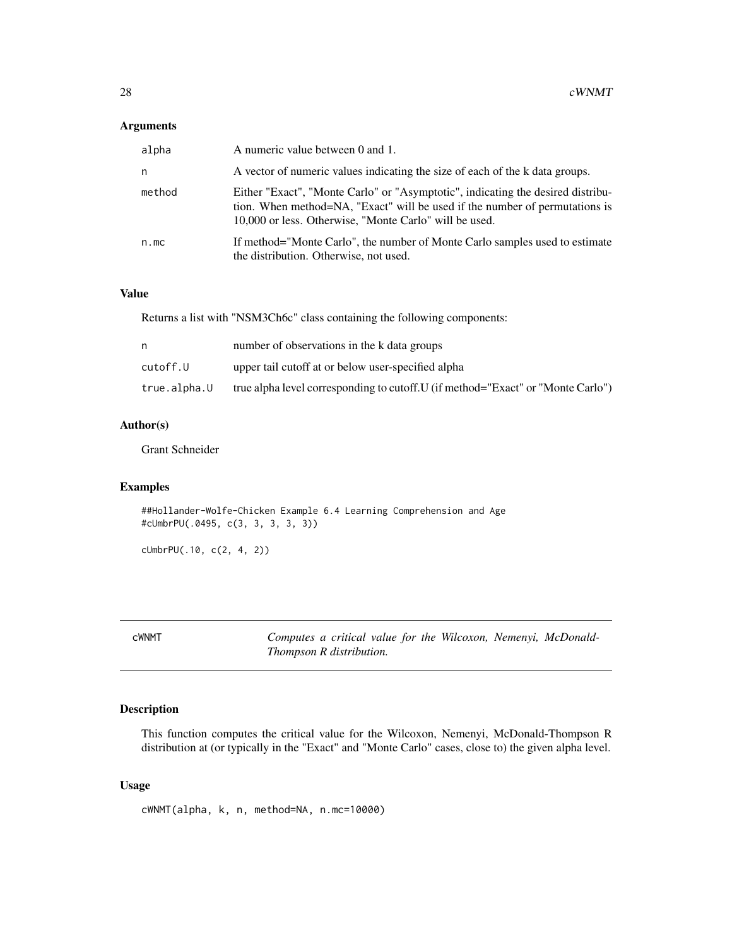### <span id="page-27-0"></span>Arguments

| alpha  | A numeric value between 0 and 1.                                                                                                                                                                                         |
|--------|--------------------------------------------------------------------------------------------------------------------------------------------------------------------------------------------------------------------------|
| n      | A vector of numeric values indicating the size of each of the k data groups.                                                                                                                                             |
| method | Either "Exact", "Monte Carlo" or "Asymptotic", indicating the desired distribu-<br>tion. When method=NA, "Exact" will be used if the number of permutations is<br>10,000 or less. Otherwise, "Monte Carlo" will be used. |
| n.mc   | If method="Monte Carlo", the number of Monte Carlo samples used to estimate<br>the distribution. Otherwise, not used.                                                                                                    |

#### Value

Returns a list with "NSM3Ch6c" class containing the following components:

|              | number of observations in the k data groups                                      |
|--------------|----------------------------------------------------------------------------------|
| cutoff.U     | upper tail cutoff at or below user-specified alpha                               |
| true.alpha.U | true alpha level corresponding to cutoff. U (if method="Exact" or "Monte Carlo") |

### Author(s)

Grant Schneider

### Examples

##Hollander-Wolfe-Chicken Example 6.4 Learning Comprehension and Age #cUmbrPU(.0495, c(3, 3, 3, 3, 3))

cUmbrPU(.10, c(2, 4, 2))

| :WNMT |  |  |
|-------|--|--|
|       |  |  |

Computes a critical value for the Wilcoxon, Nemenyi, McDonald-*Thompson R distribution.*

### Description

This function computes the critical value for the Wilcoxon, Nemenyi, McDonald-Thompson R distribution at (or typically in the "Exact" and "Monte Carlo" cases, close to) the given alpha level.

### Usage

cWNMT(alpha, k, n, method=NA, n.mc=10000)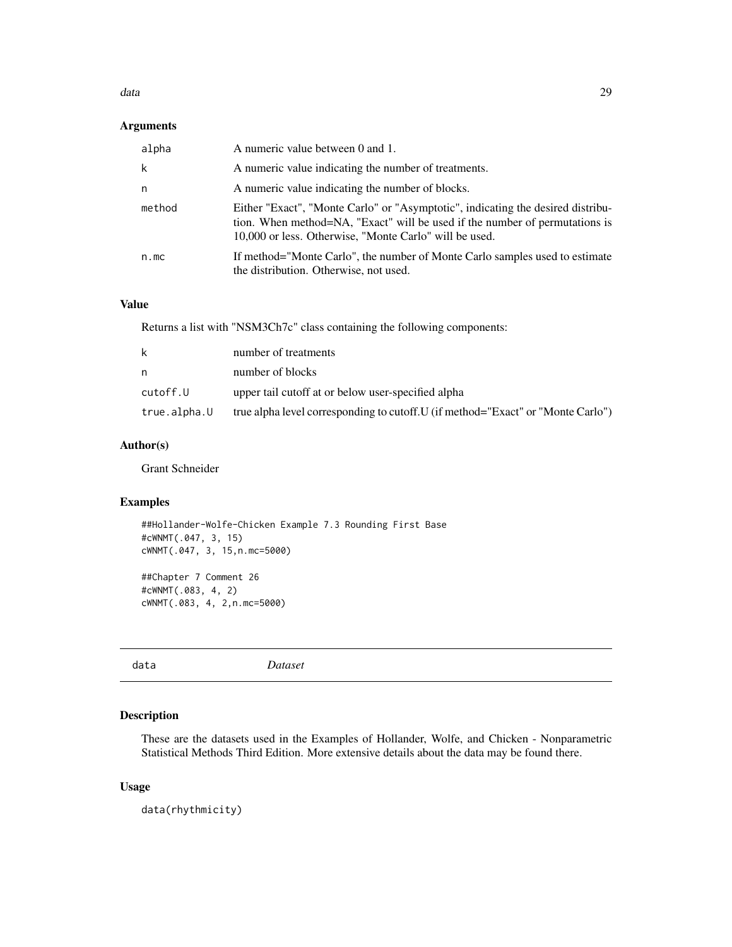#### <span id="page-28-0"></span>data and 29 and 200 and 200 and 200 and 200 and 200 and 200 and 200 and 200 and 200 and 200 and 200 and 200 and 200 and 200 and 200 and 200 and 200 and 200 and 200 and 200 and 200 and 200 and 200 and 200 and 200 and 200 an

### Arguments

| alpha  | A numeric value between 0 and 1.                                                                                                                                                                                         |
|--------|--------------------------------------------------------------------------------------------------------------------------------------------------------------------------------------------------------------------------|
| k      | A numeric value indicating the number of treatments.                                                                                                                                                                     |
| n      | A numeric value indicating the number of blocks.                                                                                                                                                                         |
| method | Either "Exact", "Monte Carlo" or "Asymptotic", indicating the desired distribu-<br>tion. When method=NA, "Exact" will be used if the number of permutations is<br>10,000 or less. Otherwise, "Monte Carlo" will be used. |
| n.mc   | If method="Monte Carlo", the number of Monte Carlo samples used to estimate<br>the distribution. Otherwise, not used.                                                                                                    |

# Value

Returns a list with "NSM3Ch7c" class containing the following components:

| k            | number of treatments                                                             |
|--------------|----------------------------------------------------------------------------------|
| n.           | number of blocks                                                                 |
| cutoff.U     | upper tail cutoff at or below user-specified alpha                               |
| true.alpha.U | true alpha level corresponding to cutoff. U (if method="Exact" or "Monte Carlo") |

### Author(s)

Grant Schneider

### Examples

##Hollander-Wolfe-Chicken Example 7.3 Rounding First Base #cWNMT(.047, 3, 15) cWNMT(.047, 3, 15,n.mc=5000)

##Chapter 7 Comment 26 #cWNMT(.083, 4, 2) cWNMT(.083, 4, 2,n.mc=5000)

data *Dataset*

### Description

These are the datasets used in the Examples of Hollander, Wolfe, and Chicken - Nonparametric Statistical Methods Third Edition. More extensive details about the data may be found there.

#### Usage

data(rhythmicity)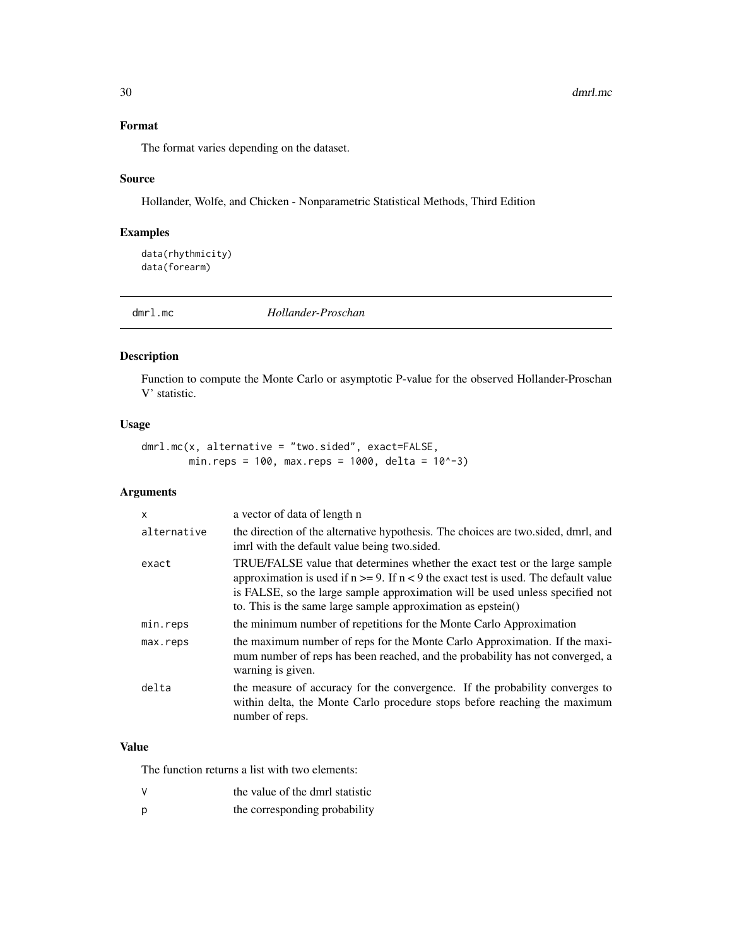# <span id="page-29-0"></span>Format

The format varies depending on the dataset.

#### Source

Hollander, Wolfe, and Chicken - Nonparametric Statistical Methods, Third Edition

### Examples

data(rhythmicity) data(forearm)

dmrl.mc *Hollander-Proschan*

### Description

Function to compute the Monte Carlo or asymptotic P-value for the observed Hollander-Proschan V' statistic.

### Usage

```
dmrl.mc(x, alternative = "two.sided", exact=FALSE,
        min.reps = 100, max.reps = 1000, delta = 10^x-3)
```
### Arguments

| X           | a vector of data of length n                                                                                                                                                                                                                                                                                              |
|-------------|---------------------------------------------------------------------------------------------------------------------------------------------------------------------------------------------------------------------------------------------------------------------------------------------------------------------------|
| alternative | the direction of the alternative hypothesis. The choices are two.sided, dmrl, and<br>imrl with the default value being two sided.                                                                                                                                                                                         |
| exact       | TRUE/FALSE value that determines whether the exact test or the large sample<br>approximation is used if $n \ge 9$ . If $n < 9$ the exact test is used. The default value<br>is FALSE, so the large sample approximation will be used unless specified not<br>to. This is the same large sample approximation as epstein() |
| min.reps    | the minimum number of repetitions for the Monte Carlo Approximation                                                                                                                                                                                                                                                       |
| max.reps    | the maximum number of reps for the Monte Carlo Approximation. If the maxi-<br>mum number of reps has been reached, and the probability has not converged, a<br>warning is given.                                                                                                                                          |
| delta       | the measure of accuracy for the convergence. If the probability converges to<br>within delta, the Monte Carlo procedure stops before reaching the maximum<br>number of reps.                                                                                                                                              |

#### Value

The function returns a list with two elements:

- V the value of the dmrl statistic
- p the corresponding probability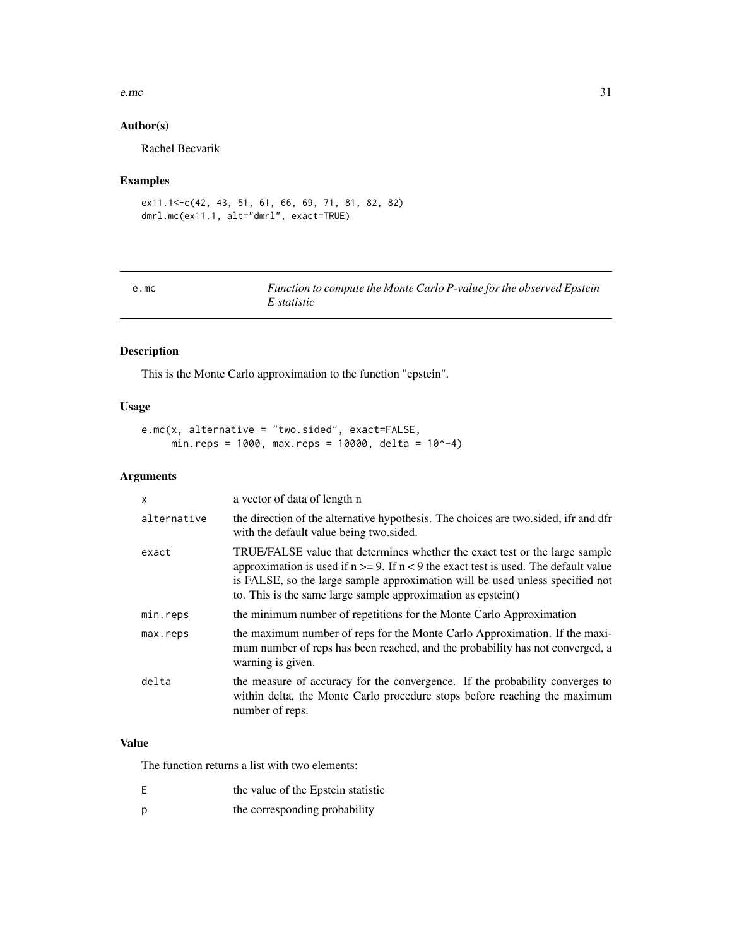#### <span id="page-30-0"></span>e.mc  $31$

### Author(s)

Rachel Becvarik

### Examples

```
ex11.1<-c(42, 43, 51, 61, 66, 69, 71, 81, 82, 82)
dmrl.mc(ex11.1, alt="dmrl", exact=TRUE)
```
### e.mc *Function to compute the Monte Carlo P-value for the observed Epstein E statistic*

### Description

This is the Monte Carlo approximation to the function "epstein".

### Usage

```
e.mc(x, alternative = "two.sided", exact=FALSE,
     min.reps = 1000, max.reps = 10000, delta = 10^{\circ}-4)
```
### Arguments

| $\mathsf{x}$ | a vector of data of length n                                                                                                                                                                                                                                                                                              |
|--------------|---------------------------------------------------------------------------------------------------------------------------------------------------------------------------------------------------------------------------------------------------------------------------------------------------------------------------|
| alternative  | the direction of the alternative hypothesis. The choices are two sided, ifr and dfr<br>with the default value being two sided.                                                                                                                                                                                            |
| exact        | TRUE/FALSE value that determines whether the exact test or the large sample<br>approximation is used if $n \ge 9$ . If $n < 9$ the exact test is used. The default value<br>is FALSE, so the large sample approximation will be used unless specified not<br>to. This is the same large sample approximation as epstein() |
| min.reps     | the minimum number of repetitions for the Monte Carlo Approximation                                                                                                                                                                                                                                                       |
| max.reps     | the maximum number of reps for the Monte Carlo Approximation. If the maxi-<br>mum number of reps has been reached, and the probability has not converged, a<br>warning is given.                                                                                                                                          |
| delta        | the measure of accuracy for the convergence. If the probability converges to<br>within delta, the Monte Carlo procedure stops before reaching the maximum<br>number of reps.                                                                                                                                              |
|              |                                                                                                                                                                                                                                                                                                                           |

# Value

The function returns a list with two elements:

- E the value of the Epstein statistic
- p the corresponding probability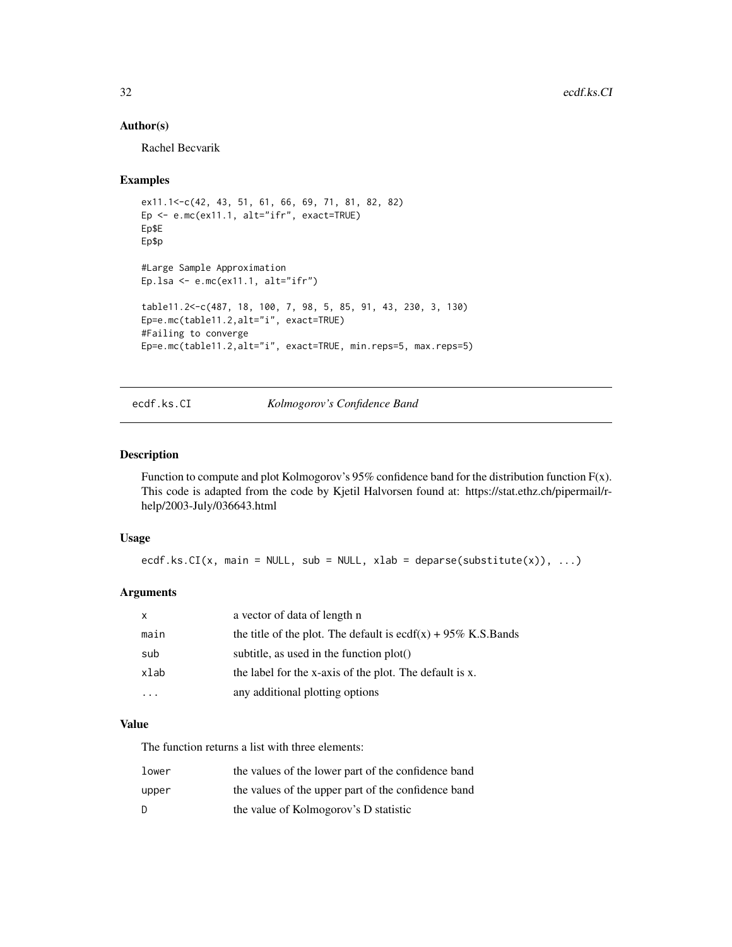#### Author(s)

Rachel Becvarik

#### Examples

```
ex11.1<-c(42, 43, 51, 61, 66, 69, 71, 81, 82, 82)
Ep <- e.mc(ex11.1, alt="ifr", exact=TRUE)
Ep$E
Ep$p
#Large Sample Approximation
Ep.lsa \leq e.mc(ex11.1, alt="ifr")
table11.2<-c(487, 18, 100, 7, 98, 5, 85, 91, 43, 230, 3, 130)
Ep=e.mc(table11.2,alt="i", exact=TRUE)
#Failing to converge
Ep=e.mc(table11.2,alt="i", exact=TRUE, min.reps=5, max.reps=5)
```
### ecdf.ks.CI *Kolmogorov's Confidence Band*

### Description

Function to compute and plot Kolmogorov's 95% confidence band for the distribution function F(x). This code is adapted from the code by Kjetil Halvorsen found at: https://stat.ethz.ch/pipermail/rhelp/2003-July/036643.html

#### Usage

ecdf.ks.CI(x, main = NULL, sub = NULL, xlab = deparse(substitute(x)), ...)

### Arguments

| x    | a vector of data of length n                                     |
|------|------------------------------------------------------------------|
| main | the title of the plot. The default is ecdf(x) + $95\%$ K.S.Bands |
| sub  | subtitle, as used in the function $plot()$                       |
| xlab | the label for the x-axis of the plot. The default is x.          |
|      | any additional plotting options                                  |

### Value

The function returns a list with three elements:

| lower | the values of the lower part of the confidence band |
|-------|-----------------------------------------------------|
| upper | the values of the upper part of the confidence band |
| D     | the value of Kolmogorov's D statistic               |

<span id="page-31-0"></span>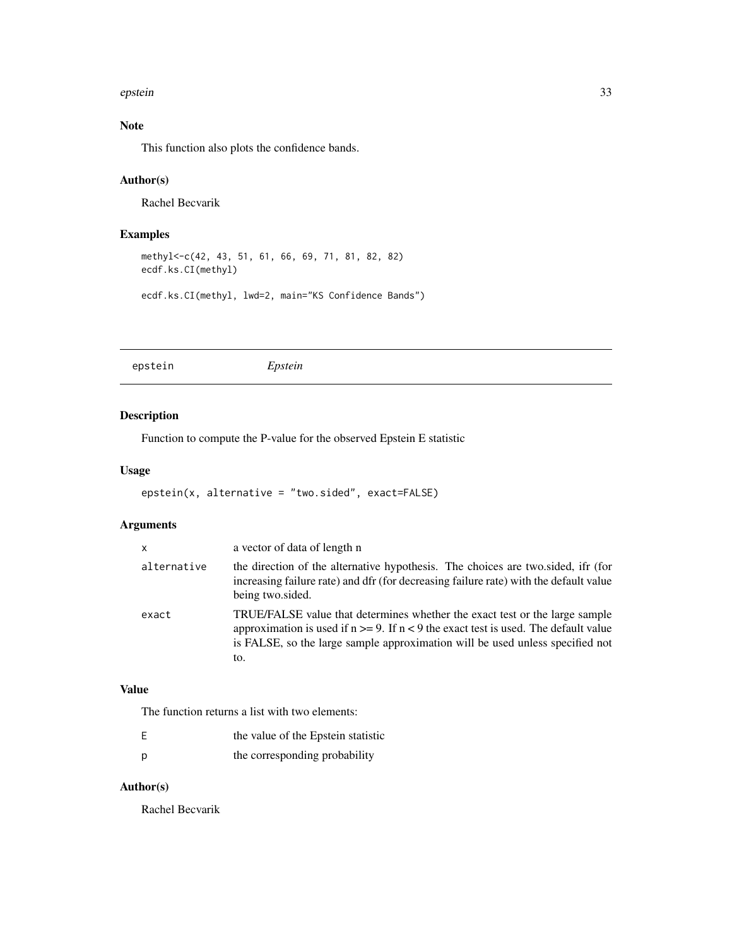#### <span id="page-32-0"></span>epstein 33

# Note

This function also plots the confidence bands.

### Author(s)

Rachel Becvarik

### Examples

```
methyl<-c(42, 43, 51, 61, 66, 69, 71, 81, 82, 82)
ecdf.ks.CI(methyl)
```
ecdf.ks.CI(methyl, lwd=2, main="KS Confidence Bands")

epstein *Epstein*

### Description

Function to compute the P-value for the observed Epstein E statistic

#### Usage

```
epstein(x, alternative = "two.sided", exact=FALSE)
```
### Arguments

| $\mathsf{x}$ | a vector of data of length n                                                                                                                                                                                                                                     |
|--------------|------------------------------------------------------------------------------------------------------------------------------------------------------------------------------------------------------------------------------------------------------------------|
| alternative  | the direction of the alternative hypothesis. The choices are two sided, if (for<br>increasing failure rate) and dfr (for decreasing failure rate) with the default value<br>being two.sided.                                                                     |
| exact        | TRUE/FALSE value that determines whether the exact test or the large sample<br>approximation is used if $n \ge 9$ . If $n < 9$ the exact test is used. The default value<br>is FALSE, so the large sample approximation will be used unless specified not<br>to. |
|              |                                                                                                                                                                                                                                                                  |

### Value

The function returns a list with two elements:

| the value of the Epstein statistic |
|------------------------------------|
| the corresponding probability      |

### Author(s)

Rachel Becvarik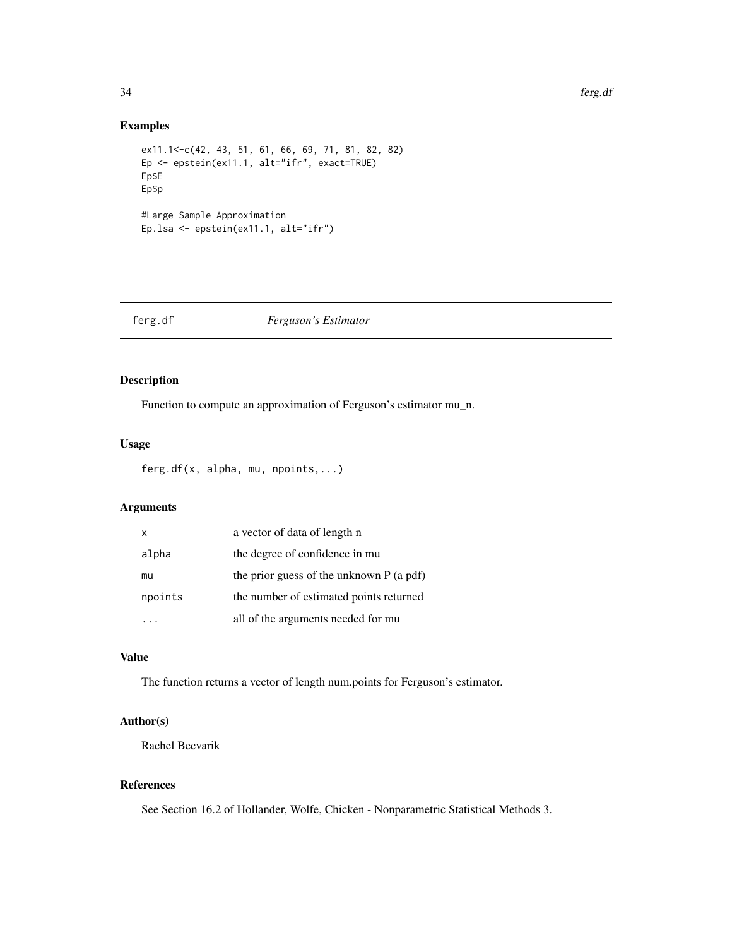#### <span id="page-33-0"></span>34 ferg.df

### Examples

```
ex11.1<-c(42, 43, 51, 61, 66, 69, 71, 81, 82, 82)
Ep <- epstein(ex11.1, alt="ifr", exact=TRUE)
Ep$E
Ep$p
#Large Sample Approximation
Ep.lsa <- epstein(ex11.1, alt="ifr")
```
#### ferg.df *Ferguson's Estimator*

### Description

Function to compute an approximation of Ferguson's estimator mu\_n.

#### Usage

```
ferg.df(x, alpha, mu, npoints,...)
```
### Arguments

| X       | a vector of data of length n               |
|---------|--------------------------------------------|
| alpha   | the degree of confidence in mu             |
| mu      | the prior guess of the unknown $P$ (a pdf) |
| npoints | the number of estimated points returned    |
|         | all of the arguments needed for mu         |

# Value

The function returns a vector of length num.points for Ferguson's estimator.

### Author(s)

Rachel Becvarik

# References

See Section 16.2 of Hollander, Wolfe, Chicken - Nonparametric Statistical Methods 3.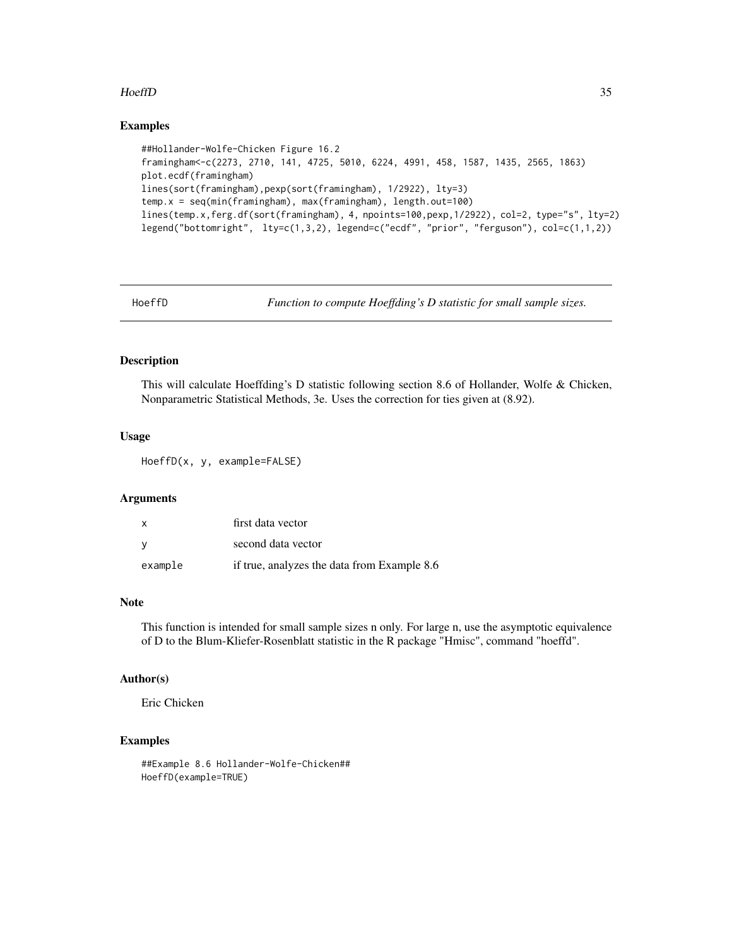#### <span id="page-34-0"></span>HoeffD 35

#### Examples

```
##Hollander-Wolfe-Chicken Figure 16.2
framingham<-c(2273, 2710, 141, 4725, 5010, 6224, 4991, 458, 1587, 1435, 2565, 1863)
plot.ecdf(framingham)
lines(sort(framingham),pexp(sort(framingham), 1/2922), lty=3)
temp.x = seq(min(framingham), max(framingham), length.out=100)
lines(temp.x,ferg.df(sort(framingham), 4, npoints=100,pexp,1/2922), col=2, type="s", lty=2)
legend("bottomright", lty=c(1,3,2), legend=c("ecdf", "prior", "ferguson"), col=c(1,1,2))
```
HoeffD *Function to compute Hoeffding's D statistic for small sample sizes.*

#### Description

This will calculate Hoeffding's D statistic following section 8.6 of Hollander, Wolfe & Chicken, Nonparametric Statistical Methods, 3e. Uses the correction for ties given at (8.92).

#### Usage

HoeffD(x, y, example=FALSE)

#### Arguments

| $\mathsf{x}$ | first data vector                           |
|--------------|---------------------------------------------|
| - V          | second data vector                          |
| example      | if true, analyzes the data from Example 8.6 |

#### Note

This function is intended for small sample sizes n only. For large n, use the asymptotic equivalence of D to the Blum-Kliefer-Rosenblatt statistic in the R package "Hmisc", command "hoeffd".

#### Author(s)

Eric Chicken

### Examples

##Example 8.6 Hollander-Wolfe-Chicken## HoeffD(example=TRUE)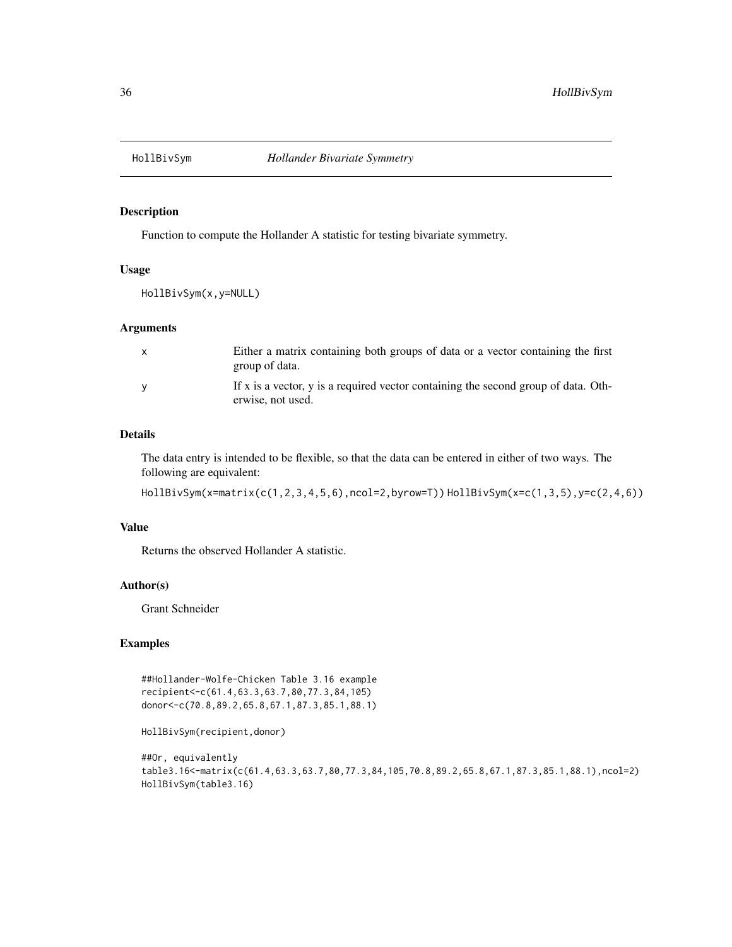<span id="page-35-0"></span>

Function to compute the Hollander A statistic for testing bivariate symmetry.

### Usage

HollBivSym(x,y=NULL)

### Arguments

| $\mathbf{x}$ | Either a matrix containing both groups of data or a vector containing the first                         |
|--------------|---------------------------------------------------------------------------------------------------------|
|              | group of data.                                                                                          |
| <b>V</b>     | If x is a vector, y is a required vector containing the second group of data. Oth-<br>erwise, not used. |

### Details

The data entry is intended to be flexible, so that the data can be entered in either of two ways. The following are equivalent:

HollBivSym(x=matrix(c(1,2,3,4,5,6),ncol=2,byrow=T)) HollBivSym(x=c(1,3,5),y=c(2,4,6))

### Value

Returns the observed Hollander A statistic.

#### Author(s)

Grant Schneider

### Examples

```
##Hollander-Wolfe-Chicken Table 3.16 example
recipient<-c(61.4,63.3,63.7,80,77.3,84,105)
donor<-c(70.8,89.2,65.8,67.1,87.3,85.1,88.1)
```
HollBivSym(recipient,donor)

```
##Or, equivalently
table3.16<-matrix(c(61.4,63.3,63.7,80,77.3,84,105,70.8,89.2,65.8,67.1,87.3,85.1,88.1),ncol=2)
HollBivSym(table3.16)
```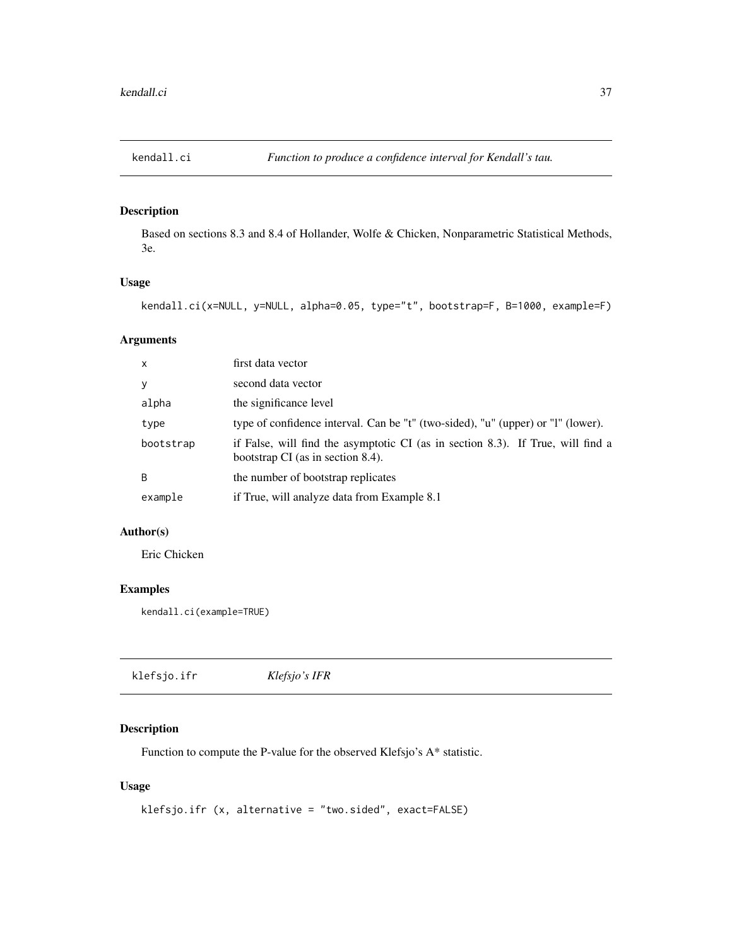Based on sections 8.3 and 8.4 of Hollander, Wolfe & Chicken, Nonparametric Statistical Methods, 3e.

## Usage

kendall.ci(x=NULL, y=NULL, alpha=0.05, type="t", bootstrap=F, B=1000, example=F)

# Arguments

| $\mathsf{x}$ | first data vector                                                                                                    |
|--------------|----------------------------------------------------------------------------------------------------------------------|
| y            | second data vector                                                                                                   |
| alpha        | the significance level                                                                                               |
| type         | type of confidence interval. Can be "t" (two-sided), "u" (upper) or "l" (lower).                                     |
| bootstrap    | if False, will find the asymptotic CI (as in section 8.3). If True, will find a<br>bootstrap CI (as in section 8.4). |
| B            | the number of bootstrap replicates                                                                                   |
| example      | if True, will analyze data from Example 8.1                                                                          |

## Author(s)

Eric Chicken

## Examples

kendall.ci(example=TRUE)

| klefsjo.ifr | Klefsjo's IFR |  |  |
|-------------|---------------|--|--|
|-------------|---------------|--|--|

## Description

Function to compute the P-value for the observed Klefsjo's A\* statistic.

## Usage

```
klefsjo.ifr (x, alternative = "two.sided", exact=FALSE)
```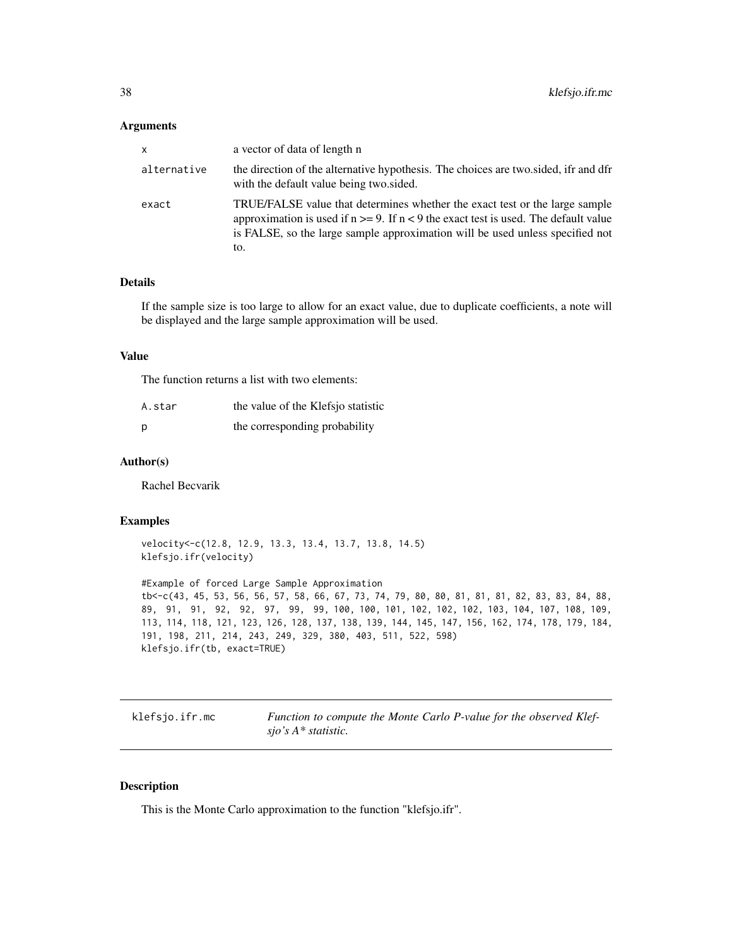#### **Arguments**

| x           | a vector of data of length n                                                                                                                                                                                                                                     |
|-------------|------------------------------------------------------------------------------------------------------------------------------------------------------------------------------------------------------------------------------------------------------------------|
| alternative | the direction of the alternative hypothesis. The choices are two sided, ifr and dfr<br>with the default value being two sided.                                                                                                                                   |
| exact       | TRUE/FALSE value that determines whether the exact test or the large sample<br>approximation is used if $n \ge 9$ . If $n < 9$ the exact test is used. The default value<br>is FALSE, so the large sample approximation will be used unless specified not<br>to. |

### Details

If the sample size is too large to allow for an exact value, due to duplicate coefficients, a note will be displayed and the large sample approximation will be used.

#### Value

The function returns a list with two elements:

| A.star | the value of the Klefsjo statistic |
|--------|------------------------------------|
| p      | the corresponding probability      |

### Author(s)

Rachel Becvarik

#### Examples

velocity<-c(12.8, 12.9, 13.3, 13.4, 13.7, 13.8, 14.5) klefsjo.ifr(velocity)

#Example of forced Large Sample Approximation tb<-c(43, 45, 53, 56, 56, 57, 58, 66, 67, 73, 74, 79, 80, 80, 81, 81, 81, 82, 83, 83, 84, 88, 89, 91, 91, 92, 92, 97, 99, 99, 100, 100, 101, 102, 102, 102, 103, 104, 107, 108, 109, 113, 114, 118, 121, 123, 126, 128, 137, 138, 139, 144, 145, 147, 156, 162, 174, 178, 179, 184, 191, 198, 211, 214, 243, 249, 329, 380, 403, 511, 522, 598) klefsjo.ifr(tb, exact=TRUE)

klefsjo.ifr.mc *Function to compute the Monte Carlo P-value for the observed Klefsjo's A\* statistic.*

#### Description

This is the Monte Carlo approximation to the function "klefsjo.ifr".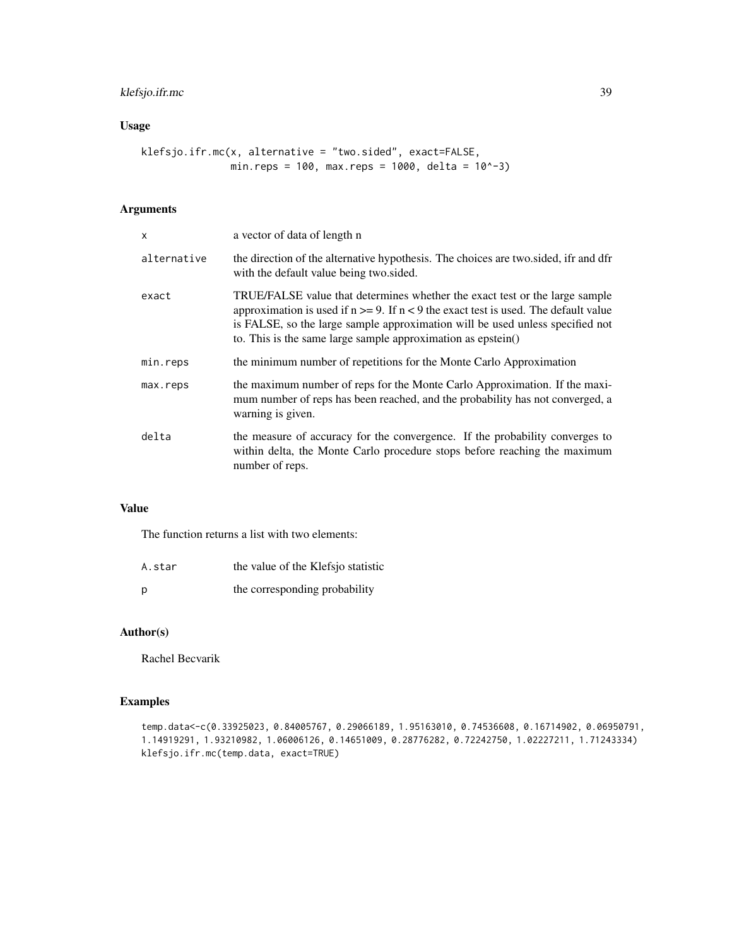## klefsjo.ifr.mc 39

# Usage

klefsjo.ifr.mc(x, alternative = "two.sided", exact=FALSE, min.reps = 100, max.reps = 1000, delta = 10^-3)

## Arguments

| X           | a vector of data of length n                                                                                                                                                                                                                                                                                                |
|-------------|-----------------------------------------------------------------------------------------------------------------------------------------------------------------------------------------------------------------------------------------------------------------------------------------------------------------------------|
| alternative | the direction of the alternative hypothesis. The choices are two sided, ifr and dfr<br>with the default value being two sided.                                                                                                                                                                                              |
| exact       | TRUE/FALSE value that determines whether the exact test or the large sample<br>approximation is used if $n \ge 9$ . If $n < 9$ the exact test is used. The default value<br>is FALSE, so the large sample approximation will be used unless specified not<br>to. This is the same large sample approximation as $epstein()$ |
| min.reps    | the minimum number of repetitions for the Monte Carlo Approximation                                                                                                                                                                                                                                                         |
| max.reps    | the maximum number of reps for the Monte Carlo Approximation. If the maxi-<br>mum number of reps has been reached, and the probability has not converged, a<br>warning is given.                                                                                                                                            |
| delta       | the measure of accuracy for the convergence. If the probability converges to<br>within delta, the Monte Carlo procedure stops before reaching the maximum<br>number of reps.                                                                                                                                                |

## Value

The function returns a list with two elements:

| A.star | the value of the Klefsjo statistic |
|--------|------------------------------------|
| Ŋ      | the corresponding probability      |

## Author(s)

Rachel Becvarik

## Examples

```
temp.data<-c(0.33925023, 0.84005767, 0.29066189, 1.95163010, 0.74536608, 0.16714902, 0.06950791,
1.14919291, 1.93210982, 1.06006126, 0.14651009, 0.28776282, 0.72242750, 1.02227211, 1.71243334)
klefsjo.ifr.mc(temp.data, exact=TRUE)
```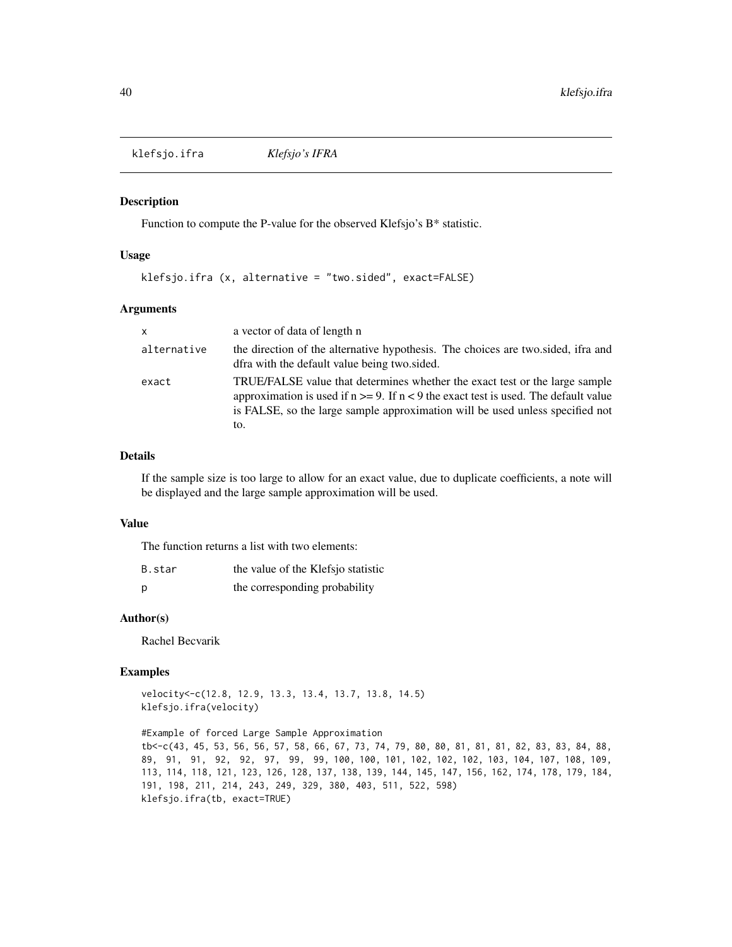klefsjo.ifra *Klefsjo's IFRA*

#### Description

Function to compute the P-value for the observed Klefsjo's B\* statistic.

#### Usage

klefsjo.ifra (x, alternative = "two.sided", exact=FALSE)

#### Arguments

| $\mathsf{x}$ | a vector of data of length n                                                                                                                                                                                                                              |
|--------------|-----------------------------------------------------------------------------------------------------------------------------------------------------------------------------------------------------------------------------------------------------------|
| alternative  | the direction of the alternative hypothesis. The choices are two sided, ifra and<br>dfra with the default value being two sided.                                                                                                                          |
| exact        | TRUE/FALSE value that determines whether the exact test or the large sample<br>approximation is used if $n \ge 9$ . If $n < 9$ the exact test is used. The default value<br>is FALSE, so the large sample approximation will be used unless specified not |
|              | to.                                                                                                                                                                                                                                                       |

### Details

If the sample size is too large to allow for an exact value, due to duplicate coefficients, a note will be displayed and the large sample approximation will be used.

#### Value

The function returns a list with two elements:

| B.star | the value of the Klefsjo statistic |
|--------|------------------------------------|
| D      | the corresponding probability      |

# Author(s)

Rachel Becvarik

#### Examples

velocity<-c(12.8, 12.9, 13.3, 13.4, 13.7, 13.8, 14.5) klefsjo.ifra(velocity)

#Example of forced Large Sample Approximation tb<-c(43, 45, 53, 56, 56, 57, 58, 66, 67, 73, 74, 79, 80, 80, 81, 81, 81, 82, 83, 83, 84, 88, 89, 91, 91, 92, 92, 97, 99, 99, 100, 100, 101, 102, 102, 102, 103, 104, 107, 108, 109, 113, 114, 118, 121, 123, 126, 128, 137, 138, 139, 144, 145, 147, 156, 162, 174, 178, 179, 184, 191, 198, 211, 214, 243, 249, 329, 380, 403, 511, 522, 598) klefsjo.ifra(tb, exact=TRUE)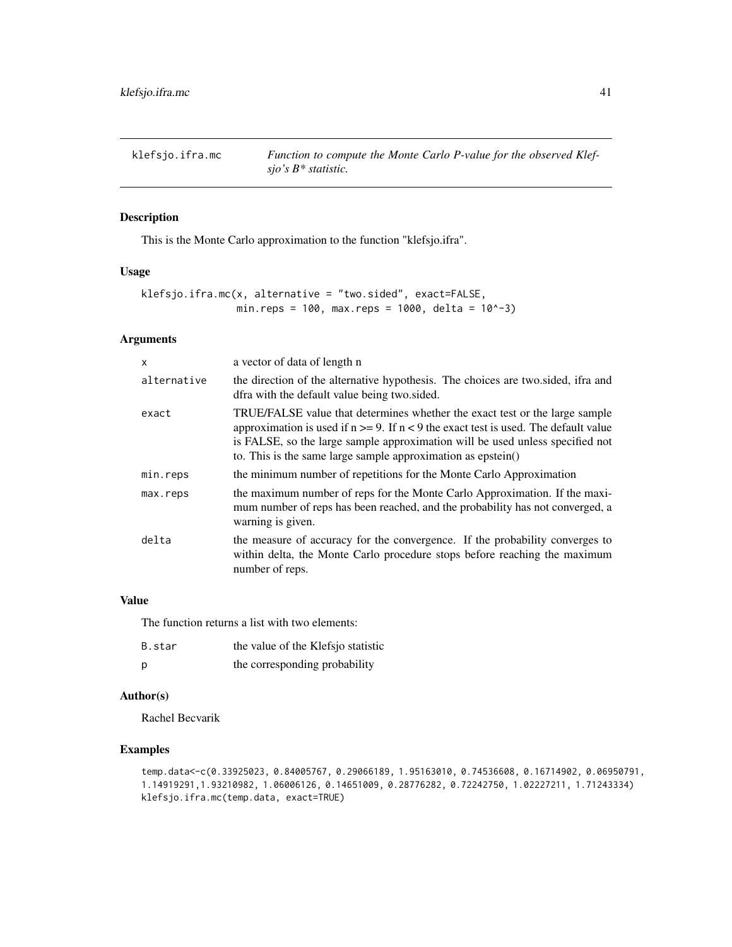klefsjo.ifra.mc *Function to compute the Monte Carlo P-value for the observed Klefsjo's B\* statistic.*

## Description

This is the Monte Carlo approximation to the function "klefsjo.ifra".

#### Usage

```
klefsjo.ifra.mc(x, alternative = "two.sided", exact=FALSE,
               min.reps = 100, max.reps = 1000, delta = 10^-3)
```
## Arguments

| X           | a vector of data of length n                                                                                                                                                                                                                                                                                                |
|-------------|-----------------------------------------------------------------------------------------------------------------------------------------------------------------------------------------------------------------------------------------------------------------------------------------------------------------------------|
| alternative | the direction of the alternative hypothesis. The choices are two sided, ifra and<br>dfra with the default value being two sided.                                                                                                                                                                                            |
| exact       | TRUE/FALSE value that determines whether the exact test or the large sample<br>approximation is used if $n \ge 9$ . If $n < 9$ the exact test is used. The default value<br>is FALSE, so the large sample approximation will be used unless specified not<br>to. This is the same large sample approximation as $epstein()$ |
| min.reps    | the minimum number of repetitions for the Monte Carlo Approximation                                                                                                                                                                                                                                                         |
| max.reps    | the maximum number of reps for the Monte Carlo Approximation. If the maxi-<br>mum number of reps has been reached, and the probability has not converged, a<br>warning is given.                                                                                                                                            |
| delta       | the measure of accuracy for the convergence. If the probability converges to<br>within delta, the Monte Carlo procedure stops before reaching the maximum<br>number of reps.                                                                                                                                                |

### Value

The function returns a list with two elements:

| B.star | the value of the Klefsjo statistic |
|--------|------------------------------------|
| - p    | the corresponding probability      |

### Author(s)

Rachel Becvarik

## Examples

```
temp.data<-c(0.33925023, 0.84005767, 0.29066189, 1.95163010, 0.74536608, 0.16714902, 0.06950791,
1.14919291,1.93210982, 1.06006126, 0.14651009, 0.28776282, 0.72242750, 1.02227211, 1.71243334)
klefsjo.ifra.mc(temp.data, exact=TRUE)
```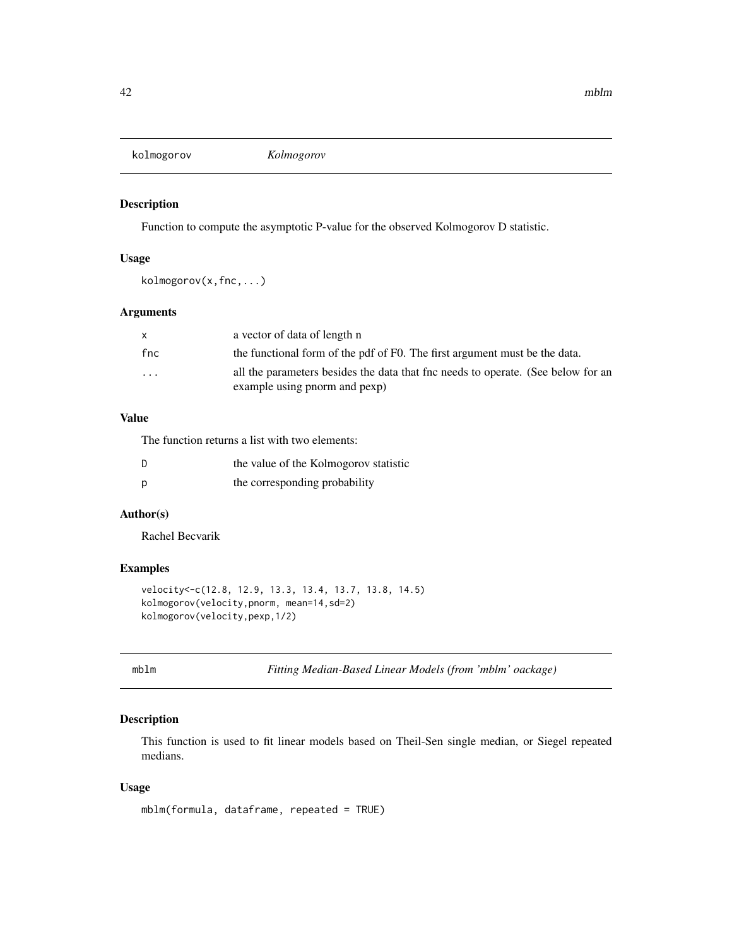kolmogorov *Kolmogorov*

## Description

Function to compute the asymptotic P-value for the observed Kolmogorov D statistic.

#### Usage

kolmogorov(x,fnc,...)

### Arguments

|                         | a vector of data of length n                                                      |
|-------------------------|-----------------------------------------------------------------------------------|
| fnc                     | the functional form of the pdf of F0. The first argument must be the data.        |
| $\cdot$ $\cdot$ $\cdot$ | all the parameters besides the data that fine needs to operate. (See below for an |
|                         | example using pnorm and pexp)                                                     |

## Value

The function returns a list with two elements:

| - D | the value of the Kolmogorov statistic |
|-----|---------------------------------------|
| D.  | the corresponding probability         |

## Author(s)

Rachel Becvarik

### Examples

```
velocity<-c(12.8, 12.9, 13.3, 13.4, 13.7, 13.8, 14.5)
kolmogorov(velocity,pnorm, mean=14,sd=2)
kolmogorov(velocity,pexp,1/2)
```
mblm *Fitting Median-Based Linear Models (from 'mblm' oackage)*

### Description

This function is used to fit linear models based on Theil-Sen single median, or Siegel repeated medians.

### Usage

```
mblm(formula, dataframe, repeated = TRUE)
```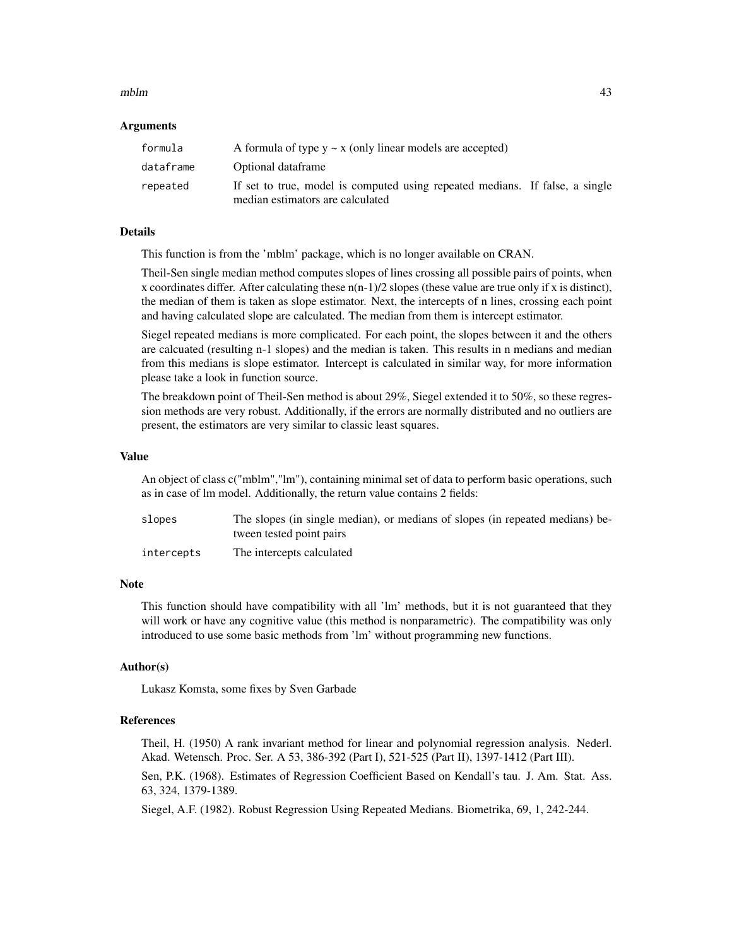#### $mblm$  and  $43$

#### Arguments

| formula   | A formula of type $y \sim x$ (only linear models are accepted)               |  |
|-----------|------------------------------------------------------------------------------|--|
| dataframe | Optional dataframe                                                           |  |
| repeated  | If set to true, model is computed using repeated medians. If false, a single |  |
|           | median estimators are calculated                                             |  |

## Details

This function is from the 'mblm' package, which is no longer available on CRAN.

Theil-Sen single median method computes slopes of lines crossing all possible pairs of points, when x coordinates differ. After calculating these  $n(n-1)/2$  slopes (these value are true only if x is distinct), the median of them is taken as slope estimator. Next, the intercepts of n lines, crossing each point and having calculated slope are calculated. The median from them is intercept estimator.

Siegel repeated medians is more complicated. For each point, the slopes between it and the others are calcuated (resulting n-1 slopes) and the median is taken. This results in n medians and median from this medians is slope estimator. Intercept is calculated in similar way, for more information please take a look in function source.

The breakdown point of Theil-Sen method is about 29%, Siegel extended it to 50%, so these regression methods are very robust. Additionally, if the errors are normally distributed and no outliers are present, the estimators are very similar to classic least squares.

#### Value

An object of class c("mblm","lm"), containing minimal set of data to perform basic operations, such as in case of lm model. Additionally, the return value contains 2 fields:

| slopes     | The slopes (in single median), or medians of slopes (in repeated medians) be-<br>tween tested point pairs |
|------------|-----------------------------------------------------------------------------------------------------------|
| intercepts | The intercepts calculated                                                                                 |

# Note

This function should have compatibility with all 'lm' methods, but it is not guaranteed that they will work or have any cognitive value (this method is nonparametric). The compatibility was only introduced to use some basic methods from 'lm' without programming new functions.

## Author(s)

Lukasz Komsta, some fixes by Sven Garbade

### References

Theil, H. (1950) A rank invariant method for linear and polynomial regression analysis. Nederl. Akad. Wetensch. Proc. Ser. A 53, 386-392 (Part I), 521-525 (Part II), 1397-1412 (Part III).

Sen, P.K. (1968). Estimates of Regression Coefficient Based on Kendall's tau. J. Am. Stat. Ass. 63, 324, 1379-1389.

Siegel, A.F. (1982). Robust Regression Using Repeated Medians. Biometrika, 69, 1, 242-244.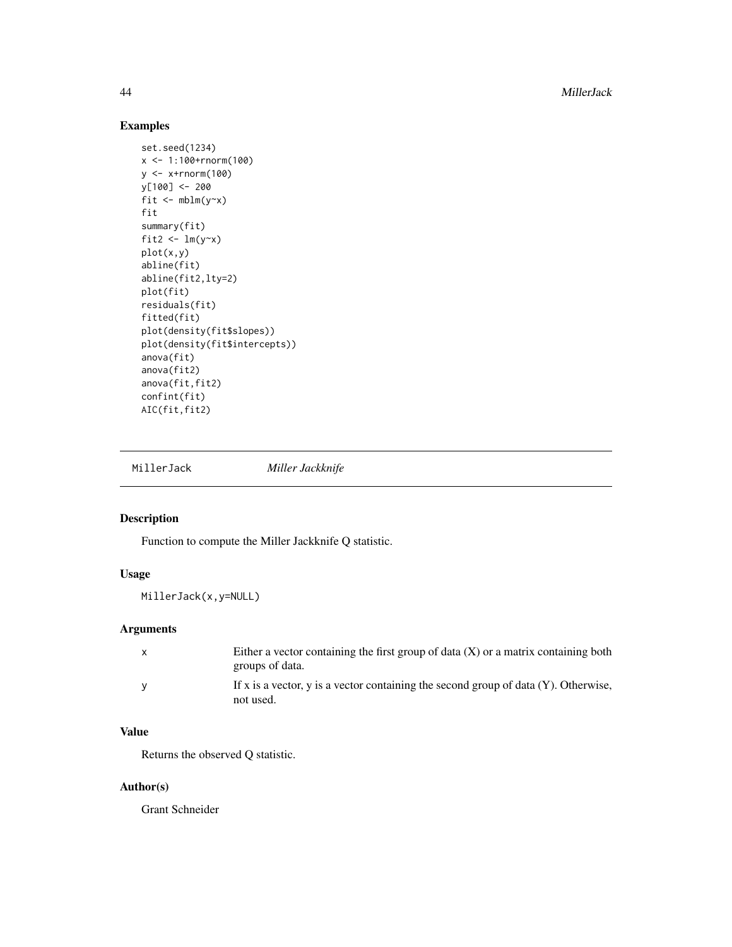44 MillerJack

## Examples

```
set.seed(1234)
x <- 1:100+rnorm(100)
y <- x+rnorm(100)
y[100] <- 200
fit \leftarrow mblm(y~x)
fit
summary(fit)
fit2 \leftarrow lm(y~x)
plot(x,y)
abline(fit)
abline(fit2,lty=2)
plot(fit)
residuals(fit)
fitted(fit)
plot(density(fit$slopes))
plot(density(fit$intercepts))
anova(fit)
anova(fit2)
anova(fit,fit2)
confint(fit)
AIC(fit,fit2)
```
MillerJack *Miller Jackknife*

# Description

Function to compute the Miller Jackknife Q statistic.

## Usage

MillerJack(x,y=NULL)

## Arguments

| $\mathsf{x}$ | Either a vector containing the first group of data $(X)$ or a matrix containing both   |
|--------------|----------------------------------------------------------------------------------------|
|              | groups of data.                                                                        |
|              | If x is a vector, y is a vector containing the second group of data $(Y)$ . Otherwise, |
|              | not used.                                                                              |

## Value

Returns the observed Q statistic.

## Author(s)

Grant Schneider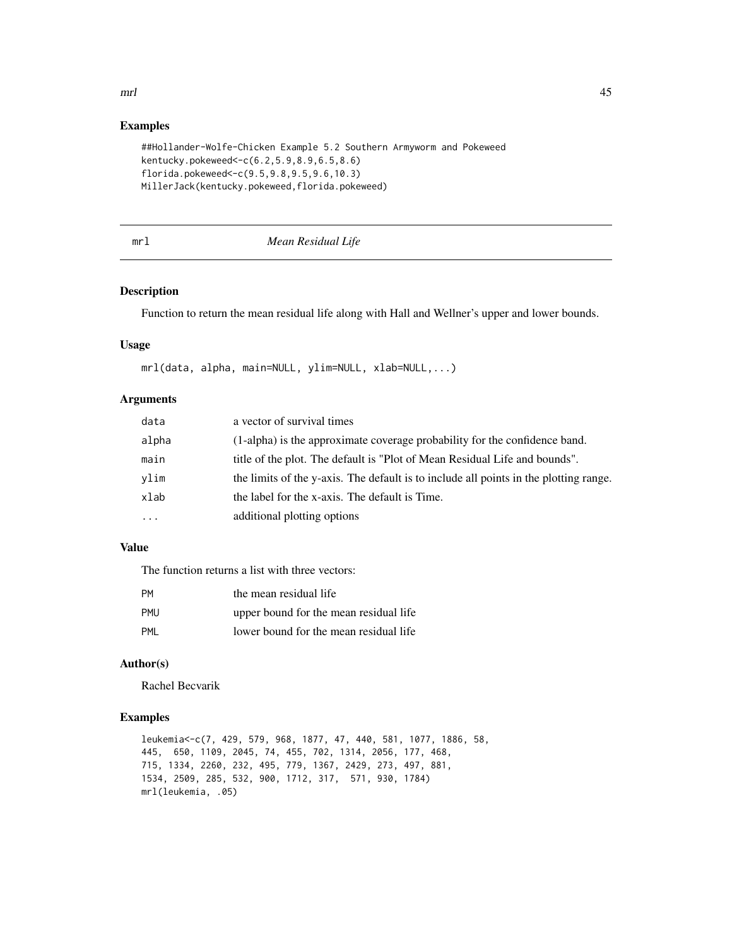# $mrl$  and the set of the set of the set of the set of the set of the set of the set of the set of the set of the set of the set of the set of the set of the set of the set of the set of the set of the set of the set of the

### Examples

```
##Hollander-Wolfe-Chicken Example 5.2 Southern Armyworm and Pokeweed
kentucky.pokeweed<-c(6.2,5.9,8.9,6.5,8.6)
florida.pokeweed<-c(9.5,9.8,9.5,9.6,10.3)
MillerJack(kentucky.pokeweed,florida.pokeweed)
```
### mrl *Mean Residual Life*

### Description

Function to return the mean residual life along with Hall and Wellner's upper and lower bounds.

#### Usage

```
mrl(data, alpha, main=NULL, ylim=NULL, xlab=NULL,...)
```
#### Arguments

| data    | a vector of survival times                                                            |
|---------|---------------------------------------------------------------------------------------|
| alpha   | (1-alpha) is the approximate coverage probability for the confidence band.            |
| main    | title of the plot. The default is "Plot of Mean Residual Life and bounds".            |
| vlim    | the limits of the y-axis. The default is to include all points in the plotting range. |
| xlab    | the label for the x-axis. The default is Time.                                        |
| $\cdot$ | additional plotting options                                                           |

## Value

The function returns a list with three vectors:

| <b>PM</b>  | the mean residual life                 |
|------------|----------------------------------------|
| <b>PMU</b> | upper bound for the mean residual life |
| PMI        | lower bound for the mean residual life |

# Author(s)

Rachel Becvarik

## Examples

leukemia<-c(7, 429, 579, 968, 1877, 47, 440, 581, 1077, 1886, 58, 445, 650, 1109, 2045, 74, 455, 702, 1314, 2056, 177, 468, 715, 1334, 2260, 232, 495, 779, 1367, 2429, 273, 497, 881, 1534, 2509, 285, 532, 900, 1712, 317, 571, 930, 1784) mrl(leukemia, .05)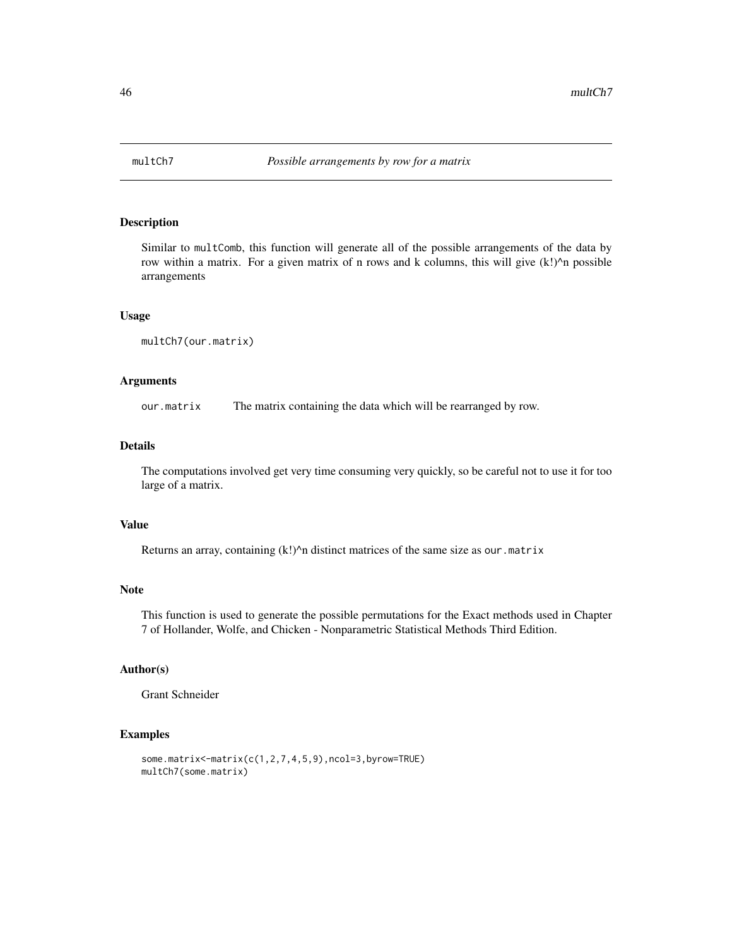Similar to multComb, this function will generate all of the possible arrangements of the data by row within a matrix. For a given matrix of n rows and k columns, this will give (k!)^n possible arrangements

### Usage

```
multCh7(our.matrix)
```
#### Arguments

our.matrix The matrix containing the data which will be rearranged by row.

## Details

The computations involved get very time consuming very quickly, so be careful not to use it for too large of a matrix.

### Value

Returns an array, containing (k!)^n distinct matrices of the same size as our.matrix

### Note

This function is used to generate the possible permutations for the Exact methods used in Chapter 7 of Hollander, Wolfe, and Chicken - Nonparametric Statistical Methods Third Edition.

### Author(s)

Grant Schneider

### Examples

```
some.matrix<-matrix(c(1,2,7,4,5,9),ncol=3,byrow=TRUE)
multCh7(some.matrix)
```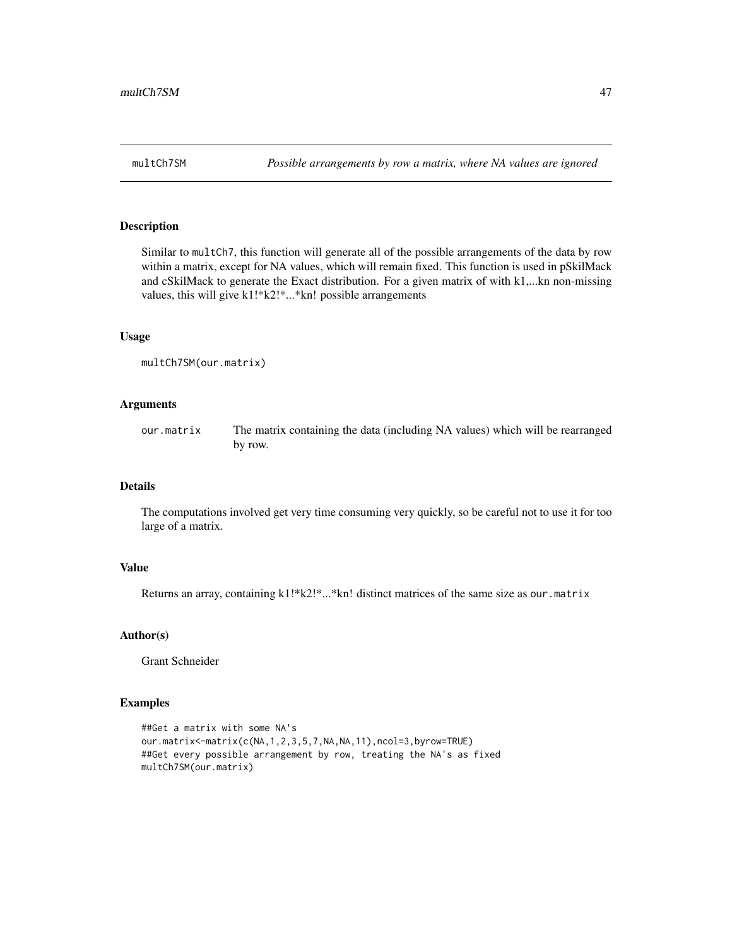Similar to multCh7, this function will generate all of the possible arrangements of the data by row within a matrix, except for NA values, which will remain fixed. This function is used in pSkilMack and cSkilMack to generate the Exact distribution. For a given matrix of with k1,...kn non-missing values, this will give k1!\*k2!\*...\*kn! possible arrangements

#### Usage

```
multCh7SM(our.matrix)
```
### Arguments

our.matrix The matrix containing the data (including NA values) which will be rearranged by row.

### Details

The computations involved get very time consuming very quickly, so be careful not to use it for too large of a matrix.

#### Value

Returns an array, containing k1!\*k2!\*...\*kn! distinct matrices of the same size as our.matrix

#### Author(s)

Grant Schneider

## Examples

```
##Get a matrix with some NA's
our.matrix<-matrix(c(NA,1,2,3,5,7,NA,NA,11),ncol=3,byrow=TRUE)
##Get every possible arrangement by row, treating the NA's as fixed
multCh7SM(our.matrix)
```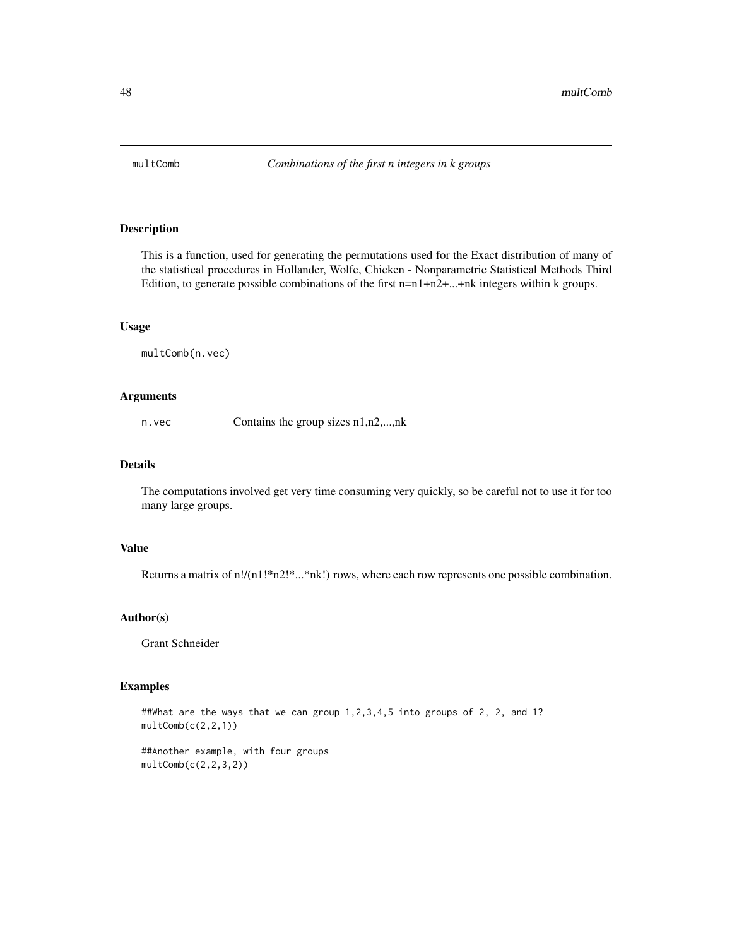This is a function, used for generating the permutations used for the Exact distribution of many of the statistical procedures in Hollander, Wolfe, Chicken - Nonparametric Statistical Methods Third Edition, to generate possible combinations of the first n=n1+n2+...+nk integers within k groups.

#### Usage

multComb(n.vec)

#### Arguments

n.vec Contains the group sizes n1,n2,...,nk

### Details

The computations involved get very time consuming very quickly, so be careful not to use it for too many large groups.

### Value

Returns a matrix of n!/(n1!\*n2!\*...\*nk!) rows, where each row represents one possible combination.

### Author(s)

Grant Schneider

### Examples

##What are the ways that we can group 1, 2, 3, 4, 5 into groups of 2, 2, and 1?  $multComb(c(2, 2, 1))$ 

##Another example, with four groups  $multComb(c(2, 2, 3, 2))$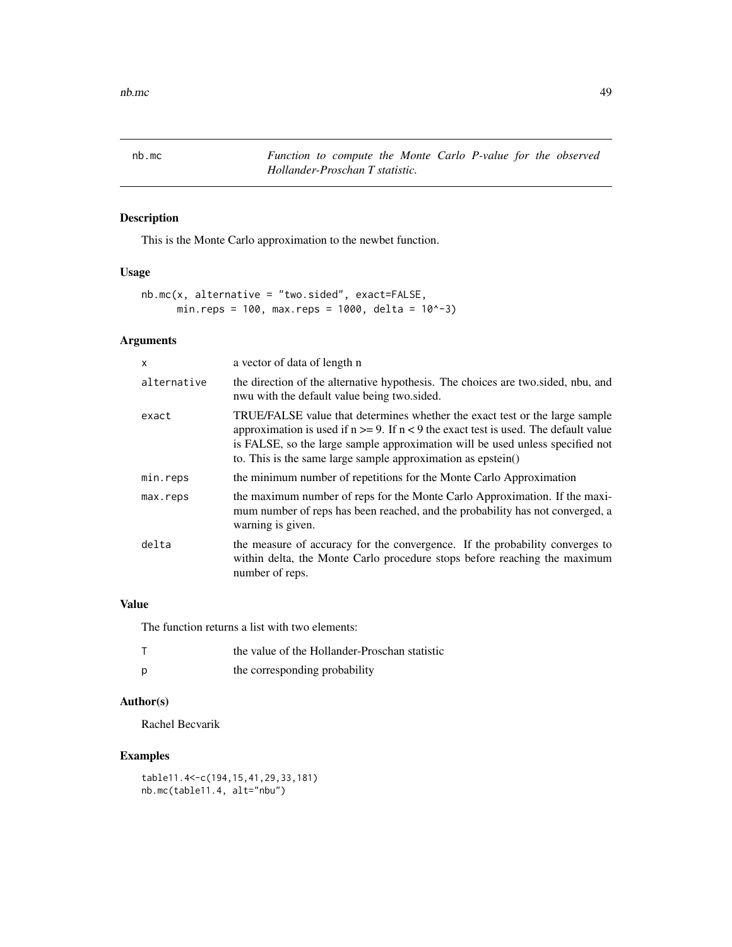nb.mc *Function to compute the Monte Carlo P-value for the observed Hollander-Proschan T statistic.*

## Description

This is the Monte Carlo approximation to the newbet function.

## Usage

```
nb.mc(x, alternative = "two.sided", exact=FALSE,
     min.reps = 100, max.reps = 1000, delta = 10^-3)
```
### Arguments

| $\times$    | a vector of data of length n                                                                                                                                                                                                                                                                                                 |
|-------------|------------------------------------------------------------------------------------------------------------------------------------------------------------------------------------------------------------------------------------------------------------------------------------------------------------------------------|
| alternative | the direction of the alternative hypothesis. The choices are two sided, nbu, and<br>nwu with the default value being two sided.                                                                                                                                                                                              |
| exact       | TRUE/FALSE value that determines whether the exact test or the large sample<br>approximation is used if $n \ge 9$ . If $n < 9$ the exact test is used. The default value<br>is FALSE, so the large sample approximation will be used unless specified not<br>to. This is the same large sample approximation as epstein $()$ |
| min.reps    | the minimum number of repetitions for the Monte Carlo Approximation                                                                                                                                                                                                                                                          |
| max.reps    | the maximum number of reps for the Monte Carlo Approximation. If the maxi-<br>mum number of reps has been reached, and the probability has not converged, a<br>warning is given.                                                                                                                                             |
| delta       | the measure of accuracy for the convergence. If the probability converges to<br>within delta, the Monte Carlo procedure stops before reaching the maximum<br>number of reps.                                                                                                                                                 |

## Value

The function returns a list with two elements:

| the value of the Hollander-Proschan statistic |
|-----------------------------------------------|
| the corresponding probability                 |

## Author(s)

Rachel Becvarik

## Examples

```
table11.4<-c(194,15,41,29,33,181)
nb.mc(table11.4, alt="nbu")
```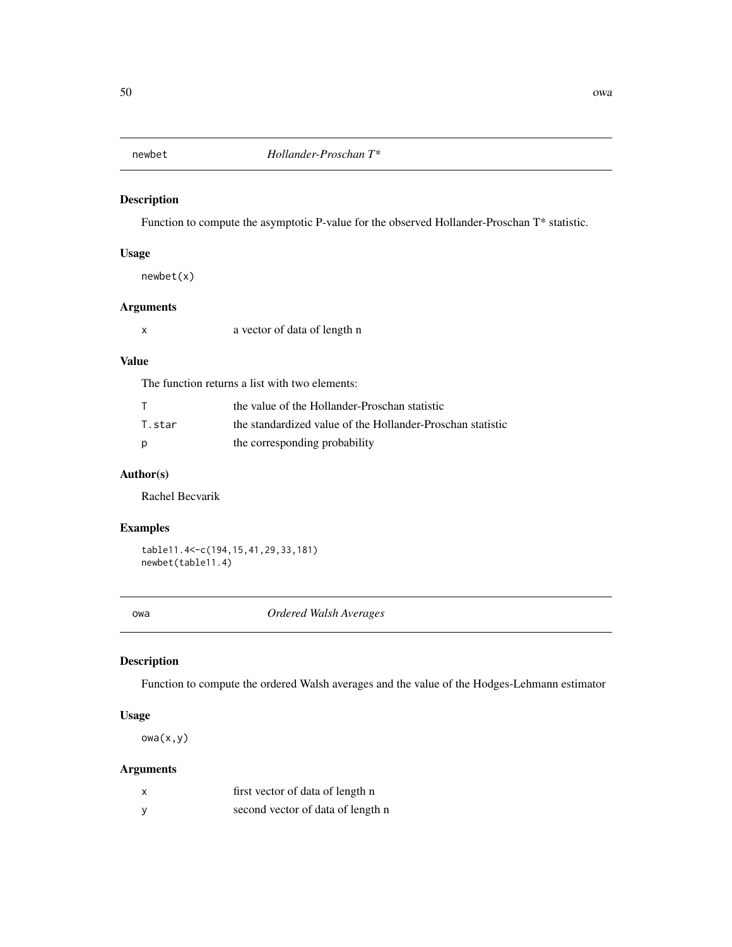Function to compute the asymptotic P-value for the observed Hollander-Proschan T\* statistic.

## Usage

newbet(x)

## Arguments

x a vector of data of length n

### Value

The function returns a list with two elements:

|        | the value of the Hollander-Proschan statistic              |
|--------|------------------------------------------------------------|
| T.star | the standardized value of the Hollander-Proschan statistic |
| D      | the corresponding probability                              |

## Author(s)

Rachel Becvarik

## Examples

```
table11.4<-c(194,15,41,29,33,181)
newbet(table11.4)
```
owa *Ordered Walsh Averages*

## Description

Function to compute the ordered Walsh averages and the value of the Hodges-Lehmann estimator

### Usage

 $owa(x,y)$ 

| x | first vector of data of length n  |
|---|-----------------------------------|
|   | second vector of data of length n |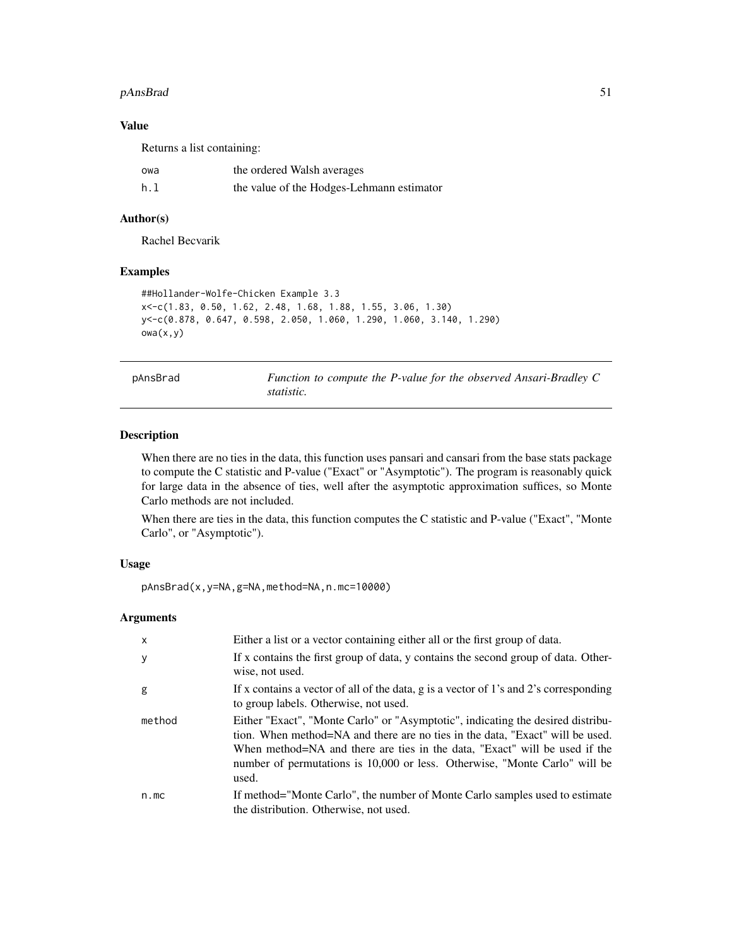#### pAnsBrad 51

### Value

Returns a list containing:

| owa | the ordered Walsh averages                |
|-----|-------------------------------------------|
| h.1 | the value of the Hodges-Lehmann estimator |

## Author(s)

Rachel Becvarik

## Examples

```
##Hollander-Wolfe-Chicken Example 3.3
x<-c(1.83, 0.50, 1.62, 2.48, 1.68, 1.88, 1.55, 3.06, 1.30)
y<-c(0.878, 0.647, 0.598, 2.050, 1.060, 1.290, 1.060, 3.140, 1.290)
owa(x,y)
```
pAnsBrad *Function to compute the P-value for the observed Ansari-Bradley C statistic.*

## Description

When there are no ties in the data, this function uses pansari and cansari from the base stats package to compute the C statistic and P-value ("Exact" or "Asymptotic"). The program is reasonably quick for large data in the absence of ties, well after the asymptotic approximation suffices, so Monte Carlo methods are not included.

When there are ties in the data, this function computes the C statistic and P-value ("Exact", "Monte Carlo", or "Asymptotic").

#### Usage

pAnsBrad(x,y=NA,g=NA,method=NA,n.mc=10000)

| $\times$ | Either a list or a vector containing either all or the first group of data.                                                                                                                                                                                                                                                           |
|----------|---------------------------------------------------------------------------------------------------------------------------------------------------------------------------------------------------------------------------------------------------------------------------------------------------------------------------------------|
| y        | If x contains the first group of data, y contains the second group of data. Other-<br>wise, not used.                                                                                                                                                                                                                                 |
| g        | If x contains a vector of all of the data, g is a vector of 1's and 2's corresponding<br>to group labels. Otherwise, not used.                                                                                                                                                                                                        |
| method   | Either "Exact", "Monte Carlo" or "Asymptotic", indicating the desired distribu-<br>tion. When method=NA and there are no ties in the data, "Exact" will be used.<br>When method=NA and there are ties in the data, "Exact" will be used if the<br>number of permutations is 10,000 or less. Otherwise, "Monte Carlo" will be<br>used. |
| n.mc     | If method="Monte Carlo", the number of Monte Carlo samples used to estimate<br>the distribution. Otherwise, not used.                                                                                                                                                                                                                 |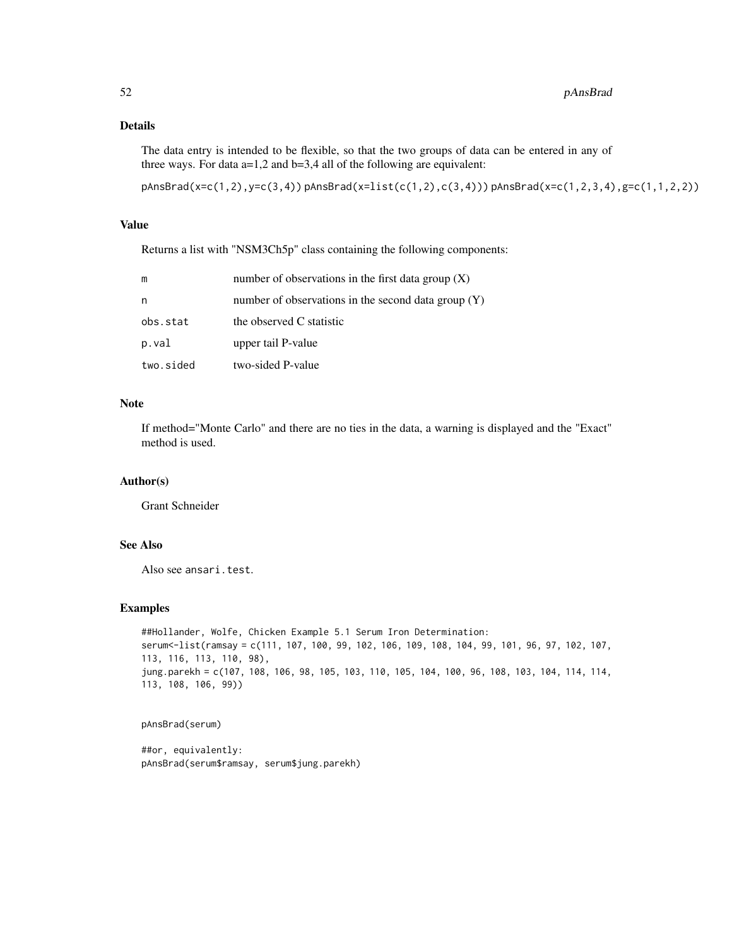## Details

The data entry is intended to be flexible, so that the two groups of data can be entered in any of three ways. For data  $a=1,2$  and  $b=3,4$  all of the following are equivalent:

 $pAnsBrad(x=c(1,2),y=c(3,4))$   $pAnsBrad(x=list(c(1,2),c(3,4)))$   $pAnsBrad(x=c(1,2,3,4),g=c(1,1,2,2))$ 

### Value

Returns a list with "NSM3Ch5p" class containing the following components:

| m         | number of observations in the first data group $(X)$  |
|-----------|-------------------------------------------------------|
| n         | number of observations in the second data group $(Y)$ |
| obs.stat  | the observed C statistic                              |
| p.val     | upper tail P-value                                    |
| two.sided | two-sided P-value                                     |

## Note

If method="Monte Carlo" and there are no ties in the data, a warning is displayed and the "Exact" method is used.

## Author(s)

Grant Schneider

## See Also

Also see ansari.test.

#### Examples

```
##Hollander, Wolfe, Chicken Example 5.1 Serum Iron Determination:
serum<-list(ramsay = c(111, 107, 100, 99, 102, 106, 109, 108, 104, 99, 101, 96, 97, 102, 107,
113, 116, 113, 110, 98),
jung.parekh = c(107, 108, 106, 98, 105, 103, 110, 105, 104, 100, 96, 108, 103, 104, 114, 114,
113, 108, 106, 99))
```
pAnsBrad(serum)

##or, equivalently: pAnsBrad(serum\$ramsay, serum\$jung.parekh)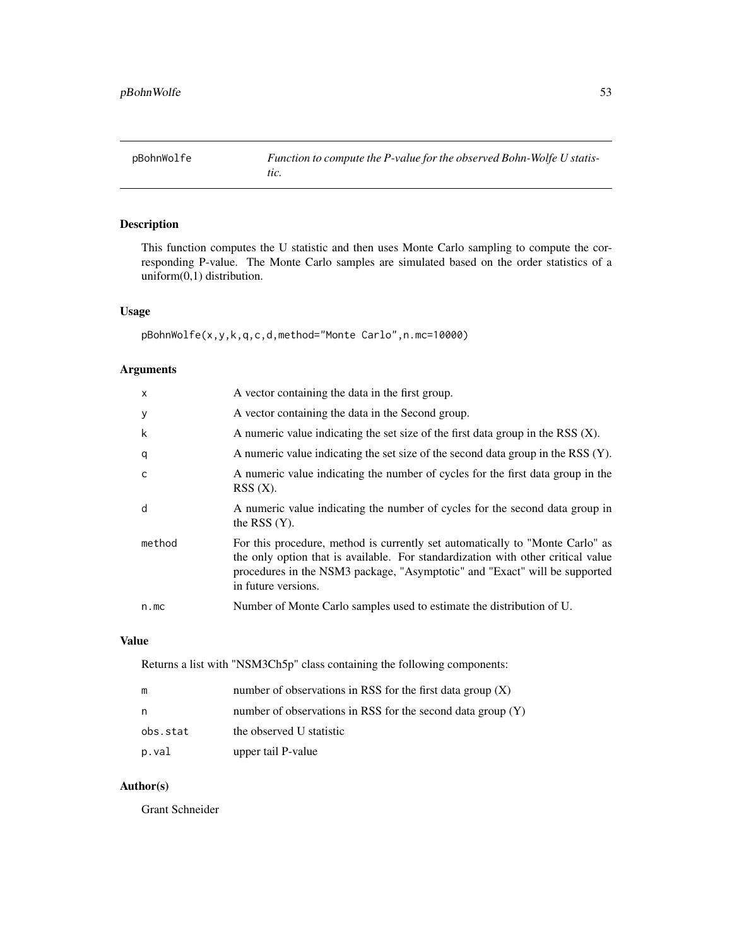This function computes the U statistic and then uses Monte Carlo sampling to compute the corresponding P-value. The Monte Carlo samples are simulated based on the order statistics of a uniform(0,1) distribution.

### Usage

pBohnWolfe(x,y,k,q,c,d,method="Monte Carlo",n.mc=10000)

### Arguments

| $\times$     | A vector containing the data in the first group.                                                                                                                                                                                                                       |
|--------------|------------------------------------------------------------------------------------------------------------------------------------------------------------------------------------------------------------------------------------------------------------------------|
| y            | A vector containing the data in the Second group.                                                                                                                                                                                                                      |
| k            | A numeric value indicating the set size of the first data group in the RSS $(X)$ .                                                                                                                                                                                     |
| q            | A numeric value indicating the set size of the second data group in the RSS $(Y)$ .                                                                                                                                                                                    |
| $\mathsf{C}$ | A numeric value indicating the number of cycles for the first data group in the<br>$RSS(X)$ .                                                                                                                                                                          |
| d            | A numeric value indicating the number of cycles for the second data group in<br>the RSS $(Y)$ .                                                                                                                                                                        |
| method       | For this procedure, method is currently set automatically to "Monte Carlo" as<br>the only option that is available. For standardization with other critical value<br>procedures in the NSM3 package, "Asymptotic" and "Exact" will be supported<br>in future versions. |
| n.mc         | Number of Monte Carlo samples used to estimate the distribution of U.                                                                                                                                                                                                  |
|              |                                                                                                                                                                                                                                                                        |

## Value

Returns a list with "NSM3Ch5p" class containing the following components:

| m        | number of observations in RSS for the first data group $(X)$  |
|----------|---------------------------------------------------------------|
| n        | number of observations in RSS for the second data group $(Y)$ |
| obs.stat | the observed U statistic                                      |
| p.val    | upper tail P-value                                            |

## Author(s)

Grant Schneider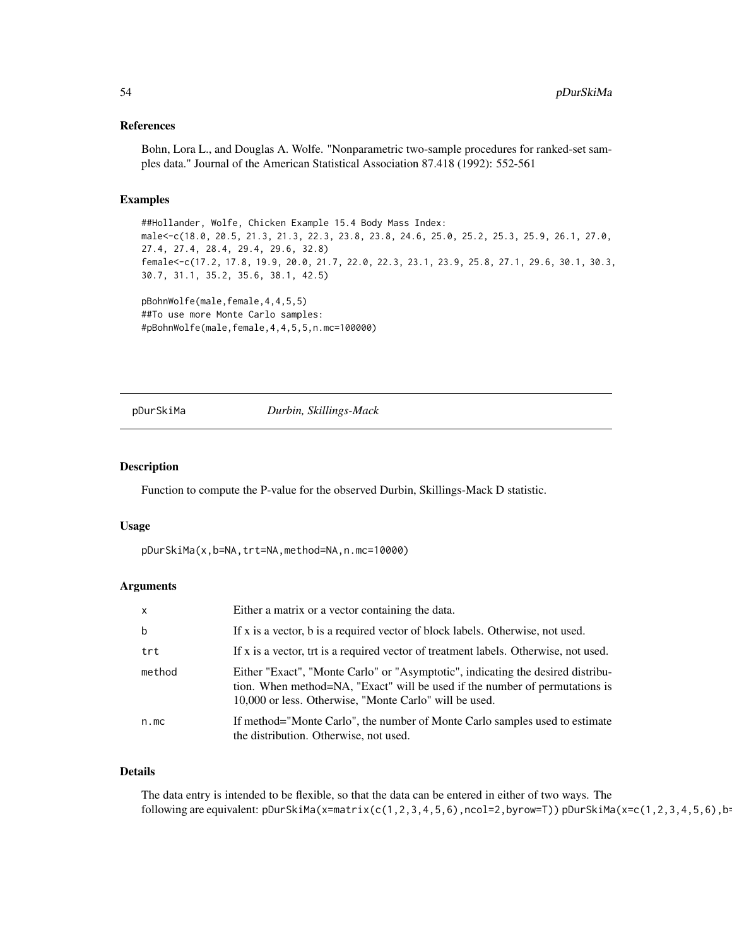#### References

Bohn, Lora L., and Douglas A. Wolfe. "Nonparametric two-sample procedures for ranked-set samples data." Journal of the American Statistical Association 87.418 (1992): 552-561

#### Examples

##Hollander, Wolfe, Chicken Example 15.4 Body Mass Index: male<-c(18.0, 20.5, 21.3, 21.3, 22.3, 23.8, 23.8, 24.6, 25.0, 25.2, 25.3, 25.9, 26.1, 27.0, 27.4, 27.4, 28.4, 29.4, 29.6, 32.8) female<-c(17.2, 17.8, 19.9, 20.0, 21.7, 22.0, 22.3, 23.1, 23.9, 25.8, 27.1, 29.6, 30.1, 30.3, 30.7, 31.1, 35.2, 35.6, 38.1, 42.5)

```
pBohnWolfe(male,female,4,4,5,5)
##To use more Monte Carlo samples:
#pBohnWolfe(male,female,4,4,5,5,n.mc=100000)
```
#### pDurSkiMa *Durbin, Skillings-Mack*

#### Description

Function to compute the P-value for the observed Durbin, Skillings-Mack D statistic.

#### Usage

pDurSkiMa(x,b=NA,trt=NA,method=NA,n.mc=10000)

#### Arguments

| $\mathsf{x}$ | Either a matrix or a vector containing the data.                                                                                                                                                                         |
|--------------|--------------------------------------------------------------------------------------------------------------------------------------------------------------------------------------------------------------------------|
| b            | If x is a vector, b is a required vector of block labels. Otherwise, not used.                                                                                                                                           |
| trt          | If x is a vector, trt is a required vector of treatment labels. Otherwise, not used.                                                                                                                                     |
| method       | Either "Exact", "Monte Carlo" or "Asymptotic", indicating the desired distribu-<br>tion. When method=NA, "Exact" will be used if the number of permutations is<br>10,000 or less. Otherwise, "Monte Carlo" will be used. |
| n.mc         | If method="Monte Carlo", the number of Monte Carlo samples used to estimate<br>the distribution. Otherwise, not used.                                                                                                    |

### Details

The data entry is intended to be flexible, so that the data can be entered in either of two ways. The following are equivalent: pDurSkiMa(x=matrix(c(1,2,3,4,5,6),ncol=2,byrow=T)) pDurSkiMa(x=c(1,2,3,4,5,6),b=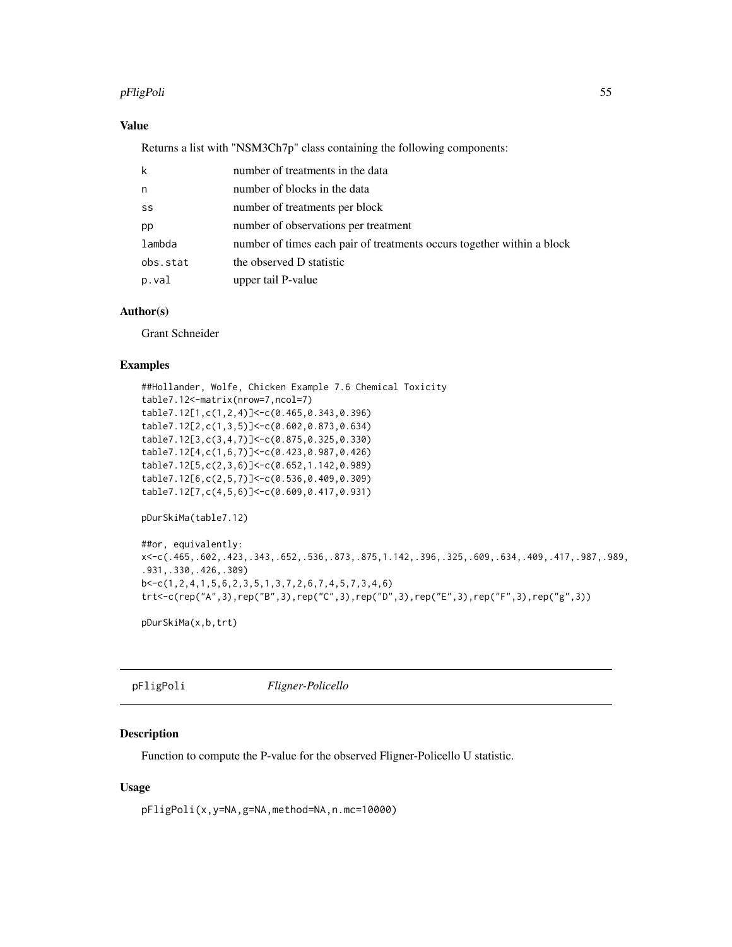### pFligPoli 55

## Value

Returns a list with "NSM3Ch7p" class containing the following components:

| k        | number of treatments in the data                                       |
|----------|------------------------------------------------------------------------|
| n        | number of blocks in the data                                           |
| SS       | number of treatments per block                                         |
| pp       | number of observations per treatment                                   |
| lambda   | number of times each pair of treatments occurs together within a block |
| obs.stat | the observed D statistic                                               |
| p.val    | upper tail P-value                                                     |

### Author(s)

Grant Schneider

## Examples

```
##Hollander, Wolfe, Chicken Example 7.6 Chemical Toxicity
table7.12<-matrix(nrow=7,ncol=7)
table7.12[1,c(1,2,4)]<-c(0.465,0.343,0.396)
table7.12[2,c(1,3,5)]<-c(0.602,0.873,0.634)
table7.12[3,c(3,4,7)]<-c(0.875,0.325,0.330)
table7.12[4,c(1,6,7)]<-c(0.423,0.987,0.426)
table7.12[5,c(2,3,6)]<-c(0.652,1.142,0.989)
table7.12[6,c(2,5,7)]<-c(0.536,0.409,0.309)
table7.12[7,c(4,5,6)]<-c(0.609,0.417,0.931)
pDurSkiMa(table7.12)
##or, equivalently:
x<-c(.465,.602,.423,.343,.652,.536,.873,.875,1.142,.396,.325,.609,.634,.409,.417,.987,.989,
.931,.330,.426,.309)
b<-c(1,2,4,1,5,6,2,3,5,1,3,7,2,6,7,4,5,7,3,4,6)
```

```
trt<-c(rep("A",3),rep("B",3),rep("C",3),rep("D",3),rep("E",3),rep("F",3),rep("g",3))
```
pDurSkiMa(x,b,trt)

pFligPoli *Fligner-Policello*

## Description

Function to compute the P-value for the observed Fligner-Policello U statistic.

### Usage

pFligPoli(x,y=NA,g=NA,method=NA,n.mc=10000)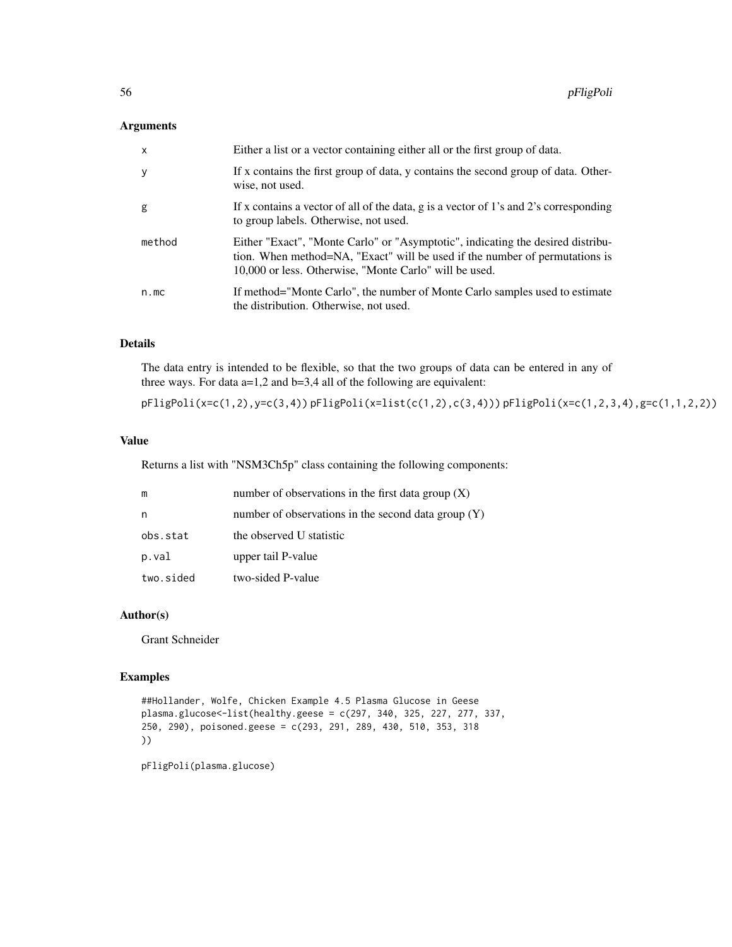### Arguments

| $\mathsf{x}$ | Either a list or a vector containing either all or the first group of data.                                                                                                                                              |
|--------------|--------------------------------------------------------------------------------------------------------------------------------------------------------------------------------------------------------------------------|
| y            | If x contains the first group of data, y contains the second group of data. Other-<br>wise, not used.                                                                                                                    |
| g            | If x contains a vector of all of the data, g is a vector of 1's and 2's corresponding<br>to group labels. Otherwise, not used.                                                                                           |
| method       | Either "Exact", "Monte Carlo" or "Asymptotic", indicating the desired distribu-<br>tion. When method=NA, "Exact" will be used if the number of permutations is<br>10,000 or less. Otherwise, "Monte Carlo" will be used. |
| n.mc         | If method="Monte Carlo", the number of Monte Carlo samples used to estimate<br>the distribution. Otherwise, not used.                                                                                                    |

# Details

The data entry is intended to be flexible, so that the two groups of data can be entered in any of three ways. For data  $a=1,2$  and  $b=3,4$  all of the following are equivalent:

pFligPoli(x=c(1,2),y=c(3,4)) pFligPoli(x=list(c(1,2),c(3,4))) pFligPoli(x=c(1,2,3,4),g=c(1,1,2,2))

# Value

Returns a list with "NSM3Ch5p" class containing the following components:

| m         | number of observations in the first data group $(X)$  |
|-----------|-------------------------------------------------------|
| n         | number of observations in the second data group $(Y)$ |
| obs.stat  | the observed U statistic                              |
| p.val     | upper tail P-value                                    |
| two.sided | two-sided P-value                                     |

### Author(s)

Grant Schneider

## Examples

```
##Hollander, Wolfe, Chicken Example 4.5 Plasma Glucose in Geese
plasma.glucose<-list(healthy.geese = c(297, 340, 325, 227, 277, 337,
250, 290), poisoned.geese = c(293, 291, 289, 430, 510, 353, 318
))
```
pFligPoli(plasma.glucose)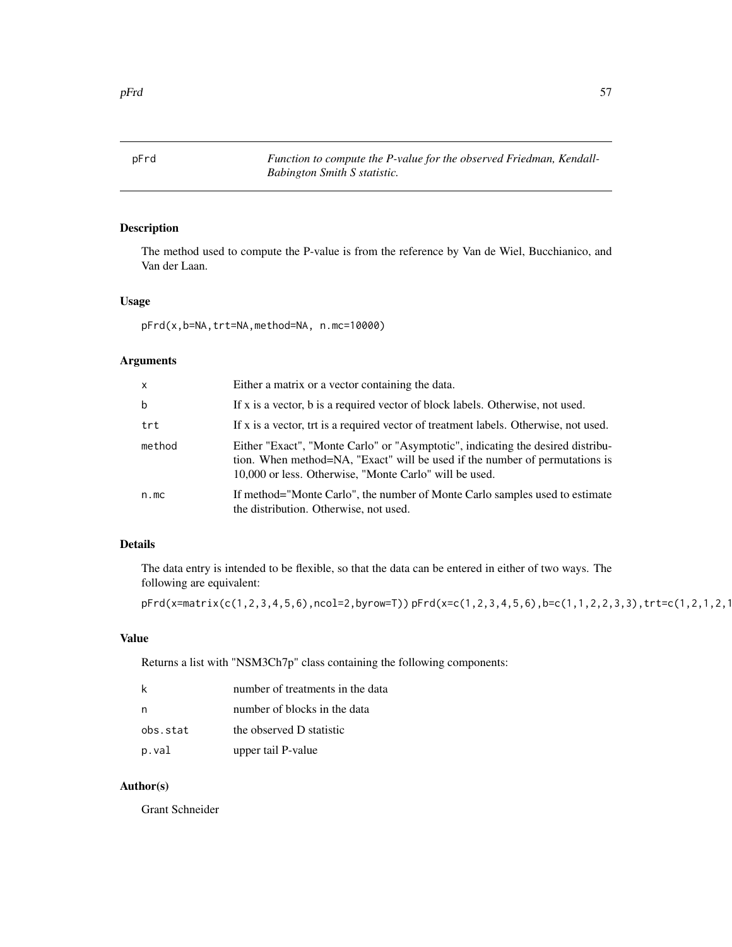pFrd *Function to compute the P-value for the observed Friedman, Kendall-Babington Smith S statistic.*

## Description

The method used to compute the P-value is from the reference by Van de Wiel, Bucchianico, and Van der Laan.

## Usage

pFrd(x,b=NA,trt=NA,method=NA, n.mc=10000)

## Arguments

| $\mathsf{x}$ | Either a matrix or a vector containing the data.                                                                                                                                                                         |
|--------------|--------------------------------------------------------------------------------------------------------------------------------------------------------------------------------------------------------------------------|
| $\mathbf b$  | If x is a vector, b is a required vector of block labels. Otherwise, not used.                                                                                                                                           |
| trt          | If x is a vector, trt is a required vector of treatment labels. Otherwise, not used.                                                                                                                                     |
| method       | Either "Exact", "Monte Carlo" or "Asymptotic", indicating the desired distribu-<br>tion. When method=NA, "Exact" will be used if the number of permutations is<br>10,000 or less. Otherwise, "Monte Carlo" will be used. |
| n.mc         | If method="Monte Carlo", the number of Monte Carlo samples used to estimate<br>the distribution. Otherwise, not used.                                                                                                    |

## Details

The data entry is intended to be flexible, so that the data can be entered in either of two ways. The following are equivalent:

```
pFrd(x=matrix(c(1,2,3,4,5,6),ncol=2,byrow=T)) pFrd(x=c(1,2,3,4,5,6),b=c(1,1,2,2,3,3),trt=c(1,2,1,2,1,2))
```
# Value

Returns a list with "NSM3Ch7p" class containing the following components:

|          | number of treatments in the data |
|----------|----------------------------------|
|          | number of blocks in the data     |
| obs.stat | the observed D statistic         |
| p.val    | upper tail P-value               |

### Author(s)

Grant Schneider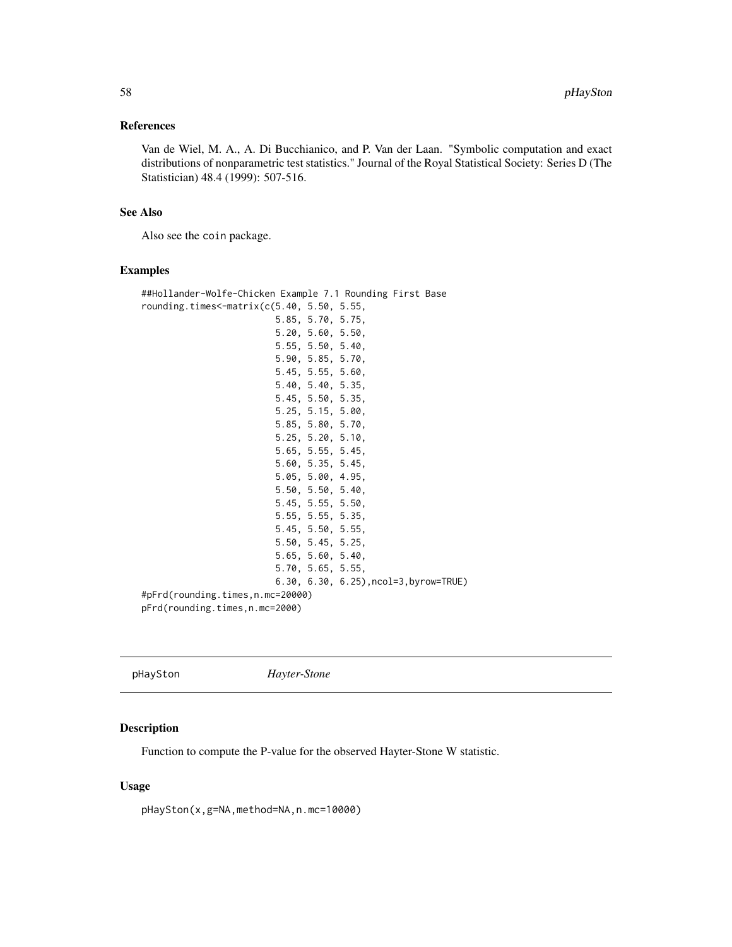#### References

Van de Wiel, M. A., A. Di Bucchianico, and P. Van der Laan. "Symbolic computation and exact distributions of nonparametric test statistics." Journal of the Royal Statistical Society: Series D (The Statistician) 48.4 (1999): 507-516.

## See Also

Also see the coin package.

#### Examples

##Hollander-Wolfe-Chicken Example 7.1 Rounding First Base rounding.times<-matrix(c(5.40, 5.50, 5.55, 5.85, 5.70, 5.75, 5.20, 5.60, 5.50, 5.55, 5.50, 5.40, 5.90, 5.85, 5.70, 5.45, 5.55, 5.60, 5.40, 5.40, 5.35, 5.45, 5.50, 5.35, 5.25, 5.15, 5.00, 5.85, 5.80, 5.70, 5.25, 5.20, 5.10, 5.65, 5.55, 5.45, 5.60, 5.35, 5.45, 5.05, 5.00, 4.95, 5.50, 5.50, 5.40, 5.45, 5.55, 5.50, 5.55, 5.55, 5.35, 5.45, 5.50, 5.55, 5.50, 5.45, 5.25, 5.65, 5.60, 5.40, 5.70, 5.65, 5.55, 6.30, 6.30, 6.25),ncol=3,byrow=TRUE) #pFrd(rounding.times,n.mc=20000) pFrd(rounding.times,n.mc=2000)

pHaySton *Hayter-Stone*

#### Description

Function to compute the P-value for the observed Hayter-Stone W statistic.

### Usage

pHaySton(x,g=NA,method=NA,n.mc=10000)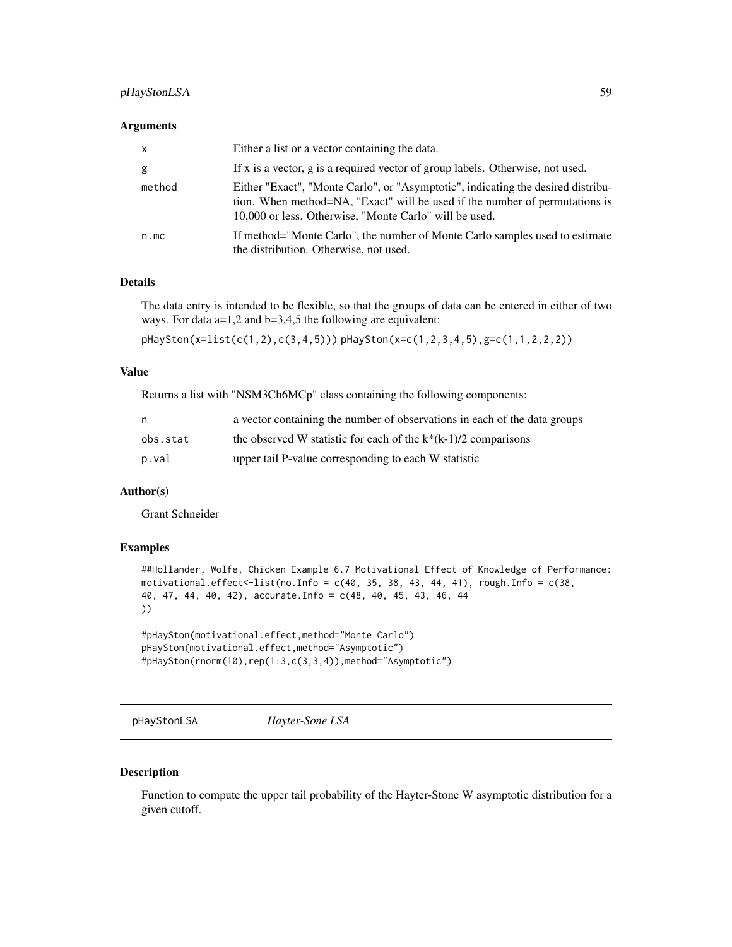## pHayStonLSA 59

#### **Arguments**

| $\mathsf{x}$ | Either a list or a vector containing the data.                                                                                                                                                                            |
|--------------|---------------------------------------------------------------------------------------------------------------------------------------------------------------------------------------------------------------------------|
| g            | If x is a vector, g is a required vector of group labels. Otherwise, not used.                                                                                                                                            |
| method       | Either "Exact", "Monte Carlo", or "Asymptotic", indicating the desired distribu-<br>tion. When method=NA, "Exact" will be used if the number of permutations is<br>10,000 or less. Otherwise, "Monte Carlo" will be used. |
| n.mc         | If method="Monte Carlo", the number of Monte Carlo samples used to estimate<br>the distribution. Otherwise, not used.                                                                                                     |

## Details

The data entry is intended to be flexible, so that the groups of data can be entered in either of two ways. For data a=1,2 and b=3,4,5 the following are equivalent:

pHaySton(x=list(c(1,2),c(3,4,5))) pHaySton(x=c(1,2,3,4,5),g=c(1,1,2,2,2))

#### Value

Returns a list with "NSM3Ch6MCp" class containing the following components:

| n        | a vector containing the number of observations in each of the data groups |
|----------|---------------------------------------------------------------------------|
| obs.stat | the observed W statistic for each of the $k*(k-1)/2$ comparisons          |
| p.val    | upper tail P-value corresponding to each W statistic                      |

### Author(s)

Grant Schneider

#### Examples

```
##Hollander, Wolfe, Chicken Example 6.7 Motivational Effect of Knowledge of Performance:
motivational.effect<-list(no.Info = c(40, 35, 38, 43, 44, 41), rough.Info = c(38,40, 47, 44, 40, 42), accurate.Info = c(48, 40, 45, 43, 46, 44
))
```

```
#pHaySton(motivational.effect,method="Monte Carlo")
pHaySton(motivational.effect,method="Asymptotic")
#pHaySton(rnorm(10),rep(1:3,c(3,3,4)),method="Asymptotic")
```
pHayStonLSA *Hayter-Sone LSA*

#### Description

Function to compute the upper tail probability of the Hayter-Stone W asymptotic distribution for a given cutoff.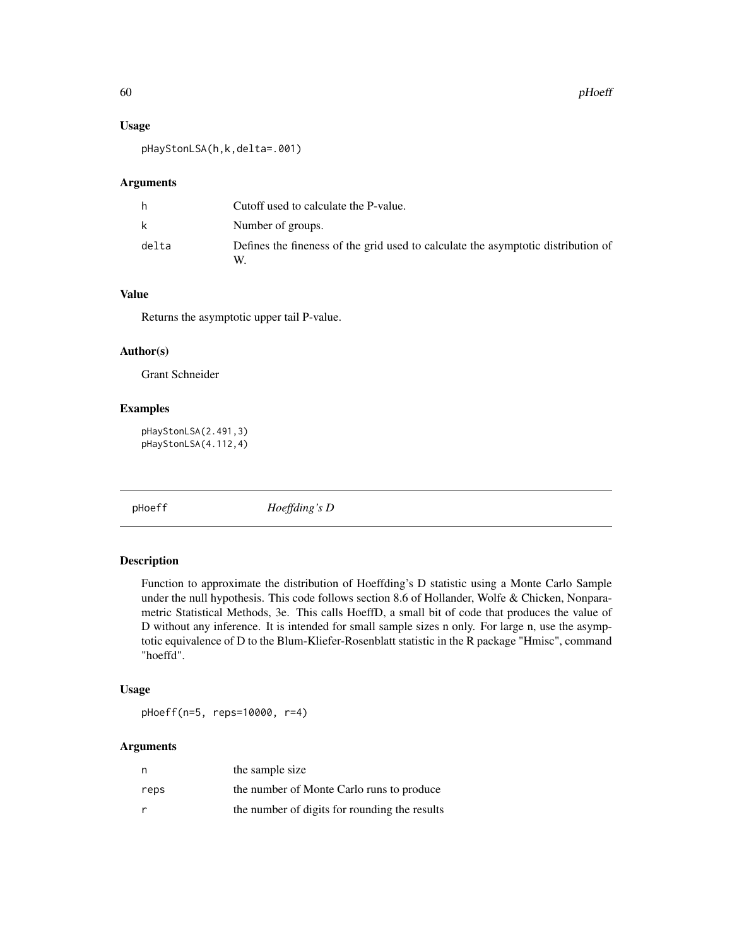## Usage

pHayStonLSA(h,k,delta=.001)

#### Arguments

| h     | Cutoff used to calculate the P-value.                                                  |
|-------|----------------------------------------------------------------------------------------|
| k     | Number of groups.                                                                      |
| delta | Defines the fineness of the grid used to calculate the asymptotic distribution of<br>W |

### Value

Returns the asymptotic upper tail P-value.

## Author(s)

Grant Schneider

## Examples

pHayStonLSA(2.491,3) pHayStonLSA(4.112,4)

pHoeff *Hoeffding's D*

### Description

Function to approximate the distribution of Hoeffding's D statistic using a Monte Carlo Sample under the null hypothesis. This code follows section 8.6 of Hollander, Wolfe & Chicken, Nonparametric Statistical Methods, 3e. This calls HoeffD, a small bit of code that produces the value of D without any inference. It is intended for small sample sizes n only. For large n, use the asymptotic equivalence of D to the Blum-Kliefer-Rosenblatt statistic in the R package "Hmisc", command "hoeffd".

### Usage

pHoeff(n=5, reps=10000, r=4)

| n    | the sample size                               |
|------|-----------------------------------------------|
| reps | the number of Monte Carlo runs to produce     |
|      | the number of digits for rounding the results |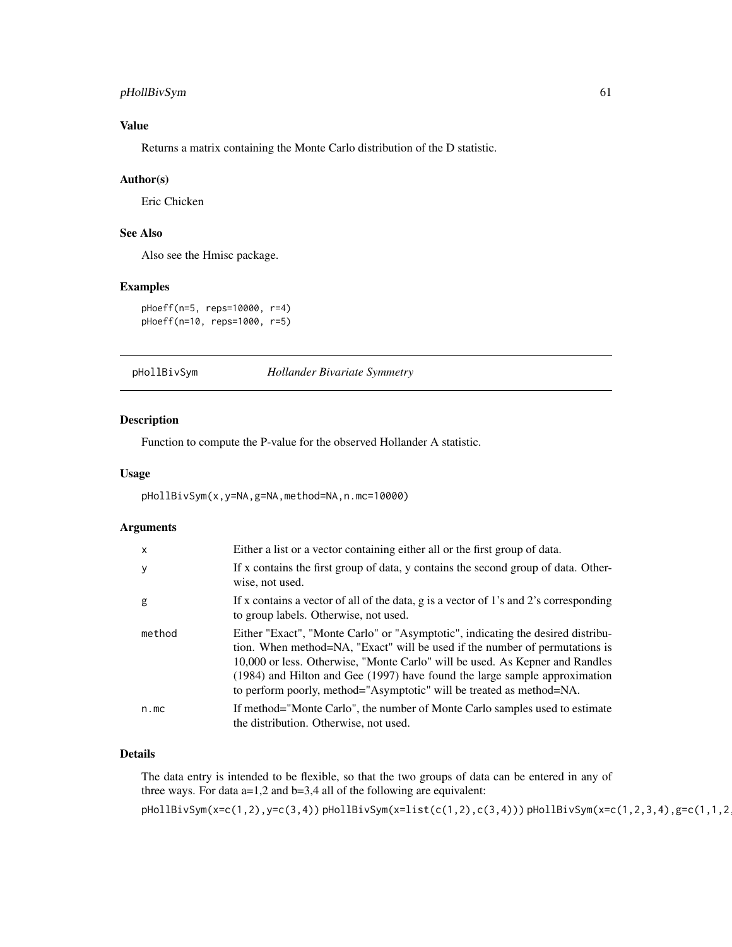## pHollBivSym 61

# Value

Returns a matrix containing the Monte Carlo distribution of the D statistic.

#### Author(s)

Eric Chicken

# See Also

Also see the Hmisc package.

### Examples

```
pHoeff(n=5, reps=10000, r=4)
pHoeff(n=10, reps=1000, r=5)
```
pHollBivSym *Hollander Bivariate Symmetry*

## Description

Function to compute the P-value for the observed Hollander A statistic.

#### Usage

pHollBivSym(x,y=NA,g=NA,method=NA,n.mc=10000)

### Arguments

| X      | Either a list or a vector containing either all or the first group of data.                                                                                                                                                                                                                                                                                                                              |
|--------|----------------------------------------------------------------------------------------------------------------------------------------------------------------------------------------------------------------------------------------------------------------------------------------------------------------------------------------------------------------------------------------------------------|
| y      | If x contains the first group of data, y contains the second group of data. Other-<br>wise, not used.                                                                                                                                                                                                                                                                                                    |
| g      | If x contains a vector of all of the data, g is a vector of 1's and 2's corresponding<br>to group labels. Otherwise, not used.                                                                                                                                                                                                                                                                           |
| method | Either "Exact", "Monte Carlo" or "Asymptotic", indicating the desired distribu-<br>tion. When method=NA, "Exact" will be used if the number of permutations is<br>10,000 or less. Otherwise, "Monte Carlo" will be used. As Kepner and Randles<br>$(1984)$ and Hilton and Gee $(1997)$ have found the large sample approximation<br>to perform poorly, method="Asymptotic" will be treated as method=NA. |
| n.mc   | If method="Monte Carlo", the number of Monte Carlo samples used to estimate<br>the distribution. Otherwise, not used.                                                                                                                                                                                                                                                                                    |

#### Details

The data entry is intended to be flexible, so that the two groups of data can be entered in any of three ways. For data  $a=1,2$  and  $b=3,4$  all of the following are equivalent: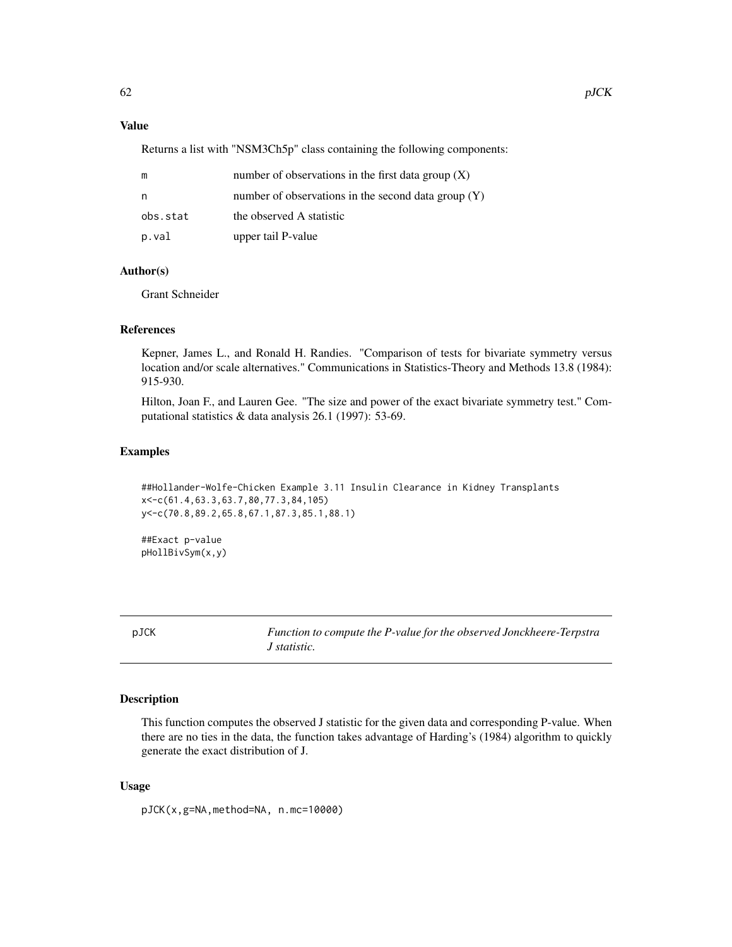## Value

Returns a list with "NSM3Ch5p" class containing the following components:

| m        | number of observations in the first data group $(X)$  |
|----------|-------------------------------------------------------|
| n        | number of observations in the second data group $(Y)$ |
| obs.stat | the observed A statistic                              |
| p.val    | upper tail P-value                                    |

### Author(s)

Grant Schneider

## References

Kepner, James L., and Ronald H. Randies. "Comparison of tests for bivariate symmetry versus location and/or scale alternatives." Communications in Statistics-Theory and Methods 13.8 (1984): 915-930.

Hilton, Joan F., and Lauren Gee. "The size and power of the exact bivariate symmetry test." Computational statistics & data analysis 26.1 (1997): 53-69.

#### Examples

```
##Hollander-Wolfe-Chicken Example 3.11 Insulin Clearance in Kidney Transplants
x<-c(61.4,63.3,63.7,80,77.3,84,105)
y<-c(70.8,89.2,65.8,67.1,87.3,85.1,88.1)
```
##Exact p-value pHollBivSym(x,y)

pJCK *Function to compute the P-value for the observed Jonckheere-Terpstra J statistic.*

### Description

This function computes the observed J statistic for the given data and corresponding P-value. When there are no ties in the data, the function takes advantage of Harding's (1984) algorithm to quickly generate the exact distribution of J.

#### Usage

pJCK(x,g=NA,method=NA, n.mc=10000)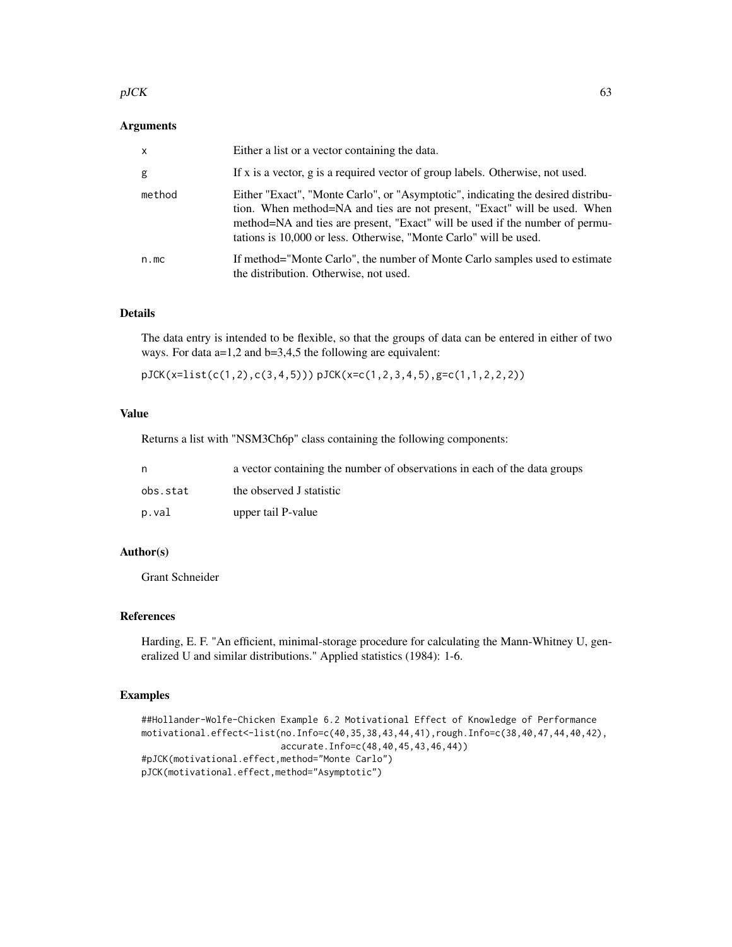#### $pJCK$  63

### Arguments

| $\mathsf{x}$ | Either a list or a vector containing the data.                                                                                                                                                                                                                                                                     |
|--------------|--------------------------------------------------------------------------------------------------------------------------------------------------------------------------------------------------------------------------------------------------------------------------------------------------------------------|
| g            | If x is a vector, g is a required vector of group labels. Otherwise, not used.                                                                                                                                                                                                                                     |
| method       | Either "Exact", "Monte Carlo", or "Asymptotic", indicating the desired distribu-<br>tion. When method=NA and ties are not present, "Exact" will be used. When<br>method=NA and ties are present, "Exact" will be used if the number of permu-<br>tations is 10,000 or less. Otherwise, "Monte Carlo" will be used. |
| n.mc         | If method="Monte Carlo", the number of Monte Carlo samples used to estimate<br>the distribution. Otherwise, not used.                                                                                                                                                                                              |

### Details

The data entry is intended to be flexible, so that the groups of data can be entered in either of two ways. For data a=1,2 and b=3,4,5 the following are equivalent:

pJCK(x=list(c(1,2),c(3,4,5))) pJCK(x=c(1,2,3,4,5),g=c(1,1,2,2,2))

## Value

Returns a list with "NSM3Ch6p" class containing the following components:

| n.       | a vector containing the number of observations in each of the data groups |
|----------|---------------------------------------------------------------------------|
| obs.stat | the observed J statistic                                                  |
| p.val    | upper tail P-value                                                        |

## Author(s)

Grant Schneider

### References

Harding, E. F. "An efficient, minimal-storage procedure for calculating the Mann-Whitney U, generalized U and similar distributions." Applied statistics (1984): 1-6.

#### Examples

```
##Hollander-Wolfe-Chicken Example 6.2 Motivational Effect of Knowledge of Performance
motivational.effect<-list(no.Info=c(40,35,38,43,44,41),rough.Info=c(38,40,47,44,40,42),
                         accurate.Info=c(48,40,45,43,46,44))
#pJCK(motivational.effect,method="Monte Carlo")
pJCK(motivational.effect,method="Asymptotic")
```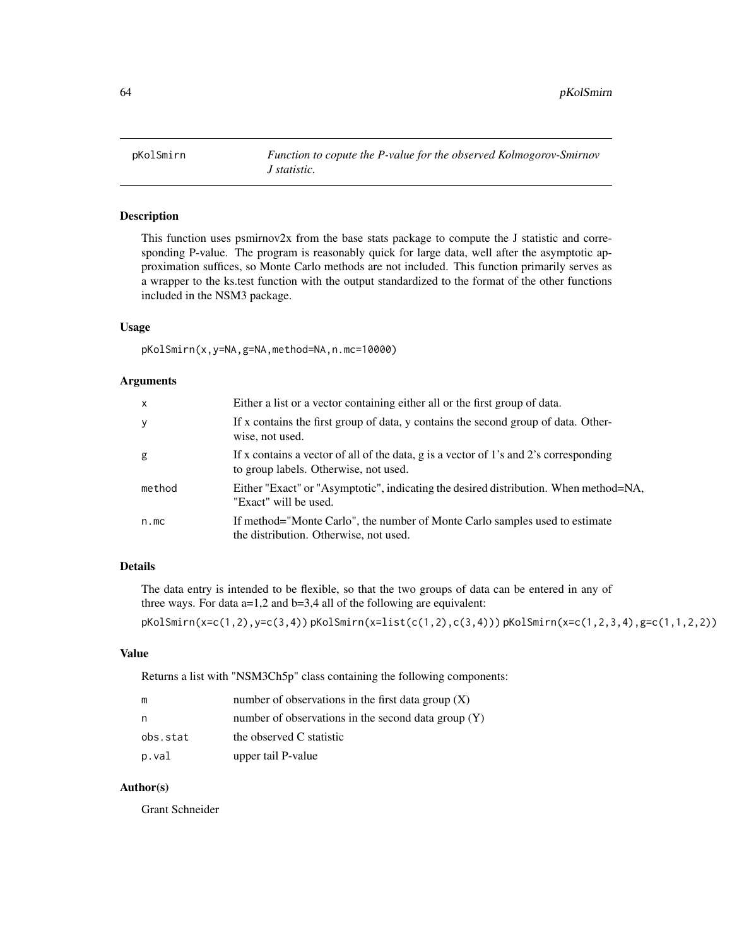pKolSmirn *Function to copute the P-value for the observed Kolmogorov-Smirnov J statistic.*

## Description

This function uses psmirnov2x from the base stats package to compute the J statistic and corresponding P-value. The program is reasonably quick for large data, well after the asymptotic approximation suffices, so Monte Carlo methods are not included. This function primarily serves as a wrapper to the ks.test function with the output standardized to the format of the other functions included in the NSM3 package.

#### Usage

pKolSmirn(x,y=NA,g=NA,method=NA,n.mc=10000)

#### Arguments

| $\mathsf{x}$ | Either a list or a vector containing either all or the first group of data.                                                    |
|--------------|--------------------------------------------------------------------------------------------------------------------------------|
| y            | If x contains the first group of data, y contains the second group of data. Other-<br>wise, not used.                          |
| g            | If x contains a vector of all of the data, g is a vector of 1's and 2's corresponding<br>to group labels. Otherwise, not used. |
| method       | Either "Exact" or "Asymptotic", indicating the desired distribution. When method=NA,<br>"Exact" will be used.                  |
| n.mc         | If method="Monte Carlo", the number of Monte Carlo samples used to estimate<br>the distribution. Otherwise, not used.          |

# Details

The data entry is intended to be flexible, so that the two groups of data can be entered in any of three ways. For data a=1,2 and b=3,4 all of the following are equivalent:

pKolSmirn(x=c(1,2),y=c(3,4)) pKolSmirn(x=list(c(1,2),c(3,4))) pKolSmirn(x=c(1,2,3,4),g=c(1,1,2,2))

#### Value

Returns a list with "NSM3Ch5p" class containing the following components:

| m        | number of observations in the first data group $(X)$  |
|----------|-------------------------------------------------------|
| n,       | number of observations in the second data group $(Y)$ |
| obs.stat | the observed C statistic                              |
| p.val    | upper tail P-value                                    |

## Author(s)

Grant Schneider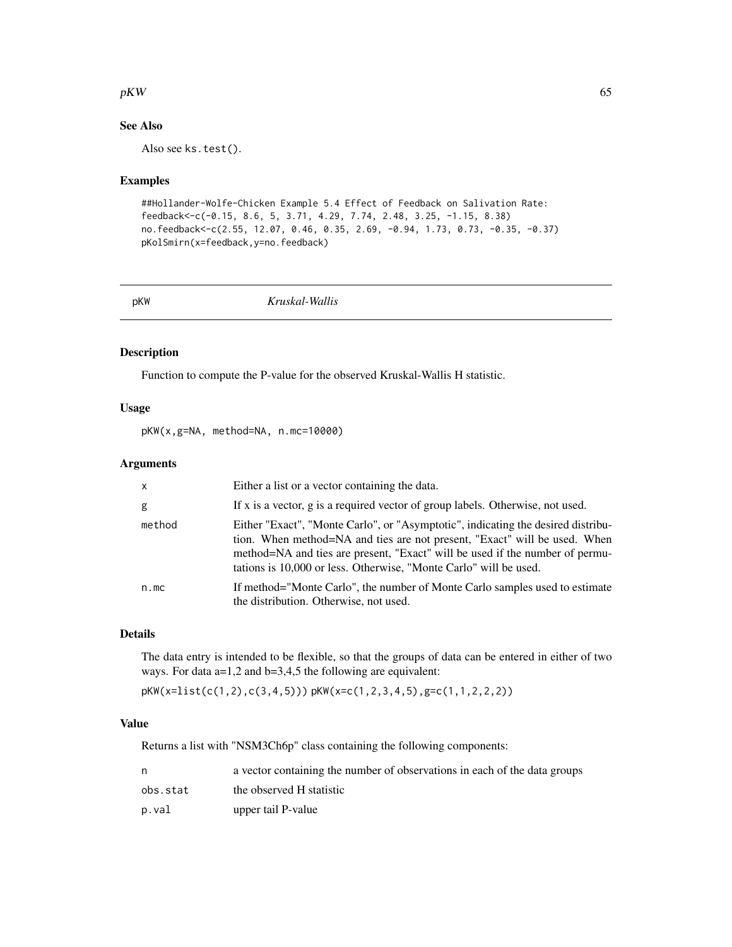#### $pKW$  65

## See Also

Also see ks.test().

### Examples

```
##Hollander-Wolfe-Chicken Example 5.4 Effect of Feedback on Salivation Rate:
feedback<-c(-0.15, 8.6, 5, 3.71, 4.29, 7.74, 2.48, 3.25, -1.15, 8.38)
no.feedback<-c(2.55, 12.07, 0.46, 0.35, 2.69, -0.94, 1.73, 0.73, -0.35, -0.37)
pKolSmirn(x=feedback,y=no.feedback)
```
pKW *Kruskal-Wallis*

#### Description

Function to compute the P-value for the observed Kruskal-Wallis H statistic.

## Usage

pKW(x,g=NA, method=NA, n.mc=10000)

### Arguments

| $\mathsf{X}$ | Either a list or a vector containing the data.                                                                                                                                                                                                                                                                     |
|--------------|--------------------------------------------------------------------------------------------------------------------------------------------------------------------------------------------------------------------------------------------------------------------------------------------------------------------|
| g            | If x is a vector, g is a required vector of group labels. Otherwise, not used.                                                                                                                                                                                                                                     |
| method       | Either "Exact", "Monte Carlo", or "Asymptotic", indicating the desired distribu-<br>tion. When method=NA and ties are not present, "Exact" will be used. When<br>method=NA and ties are present, "Exact" will be used if the number of permu-<br>tations is 10,000 or less. Otherwise, "Monte Carlo" will be used. |
| n.mc         | If method="Monte Carlo", the number of Monte Carlo samples used to estimate<br>the distribution. Otherwise, not used.                                                                                                                                                                                              |

### Details

The data entry is intended to be flexible, so that the groups of data can be entered in either of two ways. For data a=1,2 and b=3,4,5 the following are equivalent:

pKW(x=list(c(1,2),c(3,4,5))) pKW(x=c(1,2,3,4,5),g=c(1,1,2,2,2))

### Value

Returns a list with "NSM3Ch6p" class containing the following components:

| n        | a vector containing the number of observations in each of the data groups |
|----------|---------------------------------------------------------------------------|
| obs.stat | the observed H statistic                                                  |
| p.val    | upper tail P-value                                                        |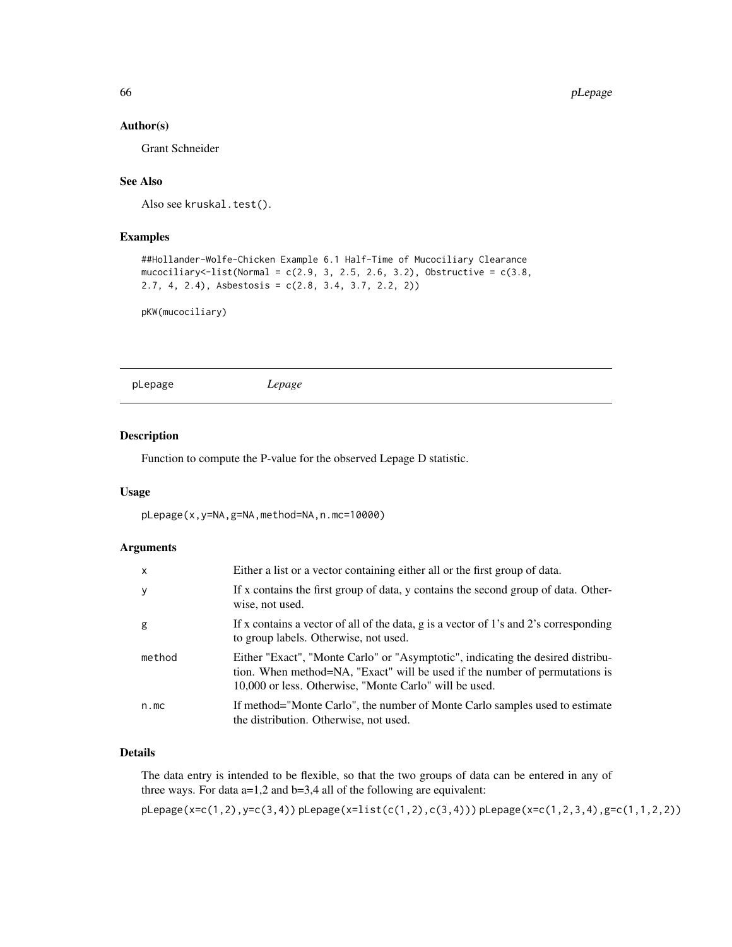### Author(s)

Grant Schneider

# See Also

Also see kruskal.test().

## Examples

```
##Hollander-Wolfe-Chicken Example 6.1 Half-Time of Mucociliary Clearance
mucociliary<-list(Normal = c(2.9, 3, 2.5, 2.6, 3.2), Obstructive = c(3.8, 1.2)2.7, 4, 2.4), Asbestosis = c(2.8, 3.4, 3.7, 2.2, 2))
```
pKW(mucociliary)

pLepage *Lepage*

### Description

Function to compute the P-value for the observed Lepage D statistic.

### Usage

pLepage(x,y=NA,g=NA,method=NA,n.mc=10000)

### Arguments

| $\mathsf{x}$ | Either a list or a vector containing either all or the first group of data.                                                                                                                                              |
|--------------|--------------------------------------------------------------------------------------------------------------------------------------------------------------------------------------------------------------------------|
| y            | If x contains the first group of data, y contains the second group of data. Other-<br>wise, not used.                                                                                                                    |
| g            | If x contains a vector of all of the data, g is a vector of 1's and 2's corresponding<br>to group labels. Otherwise, not used.                                                                                           |
| method       | Either "Exact", "Monte Carlo" or "Asymptotic", indicating the desired distribu-<br>tion. When method=NA, "Exact" will be used if the number of permutations is<br>10,000 or less. Otherwise, "Monte Carlo" will be used. |
| n.mc         | If method="Monte Carlo", the number of Monte Carlo samples used to estimate<br>the distribution. Otherwise, not used.                                                                                                    |

## Details

The data entry is intended to be flexible, so that the two groups of data can be entered in any of three ways. For data  $a=1,2$  and  $b=3,4$  all of the following are equivalent:

pLepage(x=c(1,2),y=c(3,4)) pLepage(x=list(c(1,2),c(3,4))) pLepage(x=c(1,2,3,4),g=c(1,1,2,2))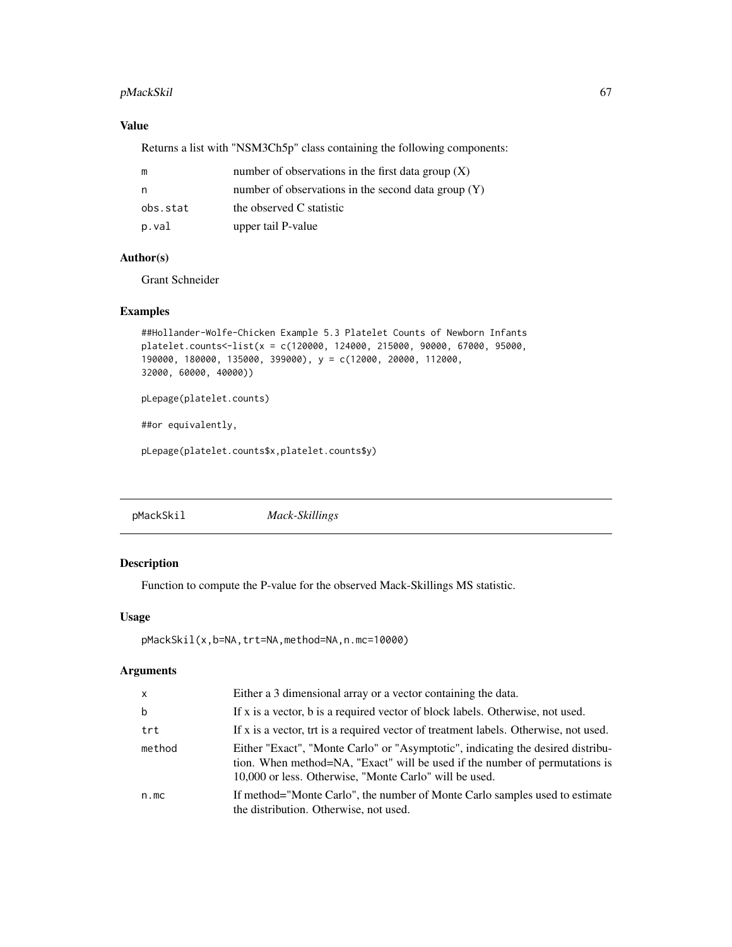## pMackSkil 67

## Value

Returns a list with "NSM3Ch5p" class containing the following components:

| m        | number of observations in the first data group $(X)$  |
|----------|-------------------------------------------------------|
| n        | number of observations in the second data group $(Y)$ |
| obs.stat | the observed C statistic                              |
| p.val    | upper tail P-value                                    |

## Author(s)

Grant Schneider

## Examples

```
##Hollander-Wolfe-Chicken Example 5.3 Platelet Counts of Newborn Infants
platelet.counts<-list(x = c(120000, 124000, 215000, 90000, 67000, 95000,
190000, 180000, 135000, 399000), y = c(12000, 20000, 112000,
32000, 60000, 40000))
pLepage(platelet.counts)
##or equivalently,
pLepage(platelet.counts$x,platelet.counts$y)
```
pMackSkil *Mack-Skillings*

## Description

Function to compute the P-value for the observed Mack-Skillings MS statistic.

## Usage

```
pMackSkil(x,b=NA,trt=NA,method=NA,n.mc=10000)
```

| <b>X</b> | Either a 3 dimensional array or a vector containing the data.                                                                                                                                                            |
|----------|--------------------------------------------------------------------------------------------------------------------------------------------------------------------------------------------------------------------------|
| b        | If x is a vector, b is a required vector of block labels. Otherwise, not used.                                                                                                                                           |
| trt      | If x is a vector, trt is a required vector of treatment labels. Otherwise, not used.                                                                                                                                     |
| method   | Either "Exact", "Monte Carlo" or "Asymptotic", indicating the desired distribu-<br>tion. When method=NA, "Exact" will be used if the number of permutations is<br>10,000 or less. Otherwise, "Monte Carlo" will be used. |
| n.mc     | If method="Monte Carlo", the number of Monte Carlo samples used to estimate<br>the distribution. Otherwise, not used.                                                                                                    |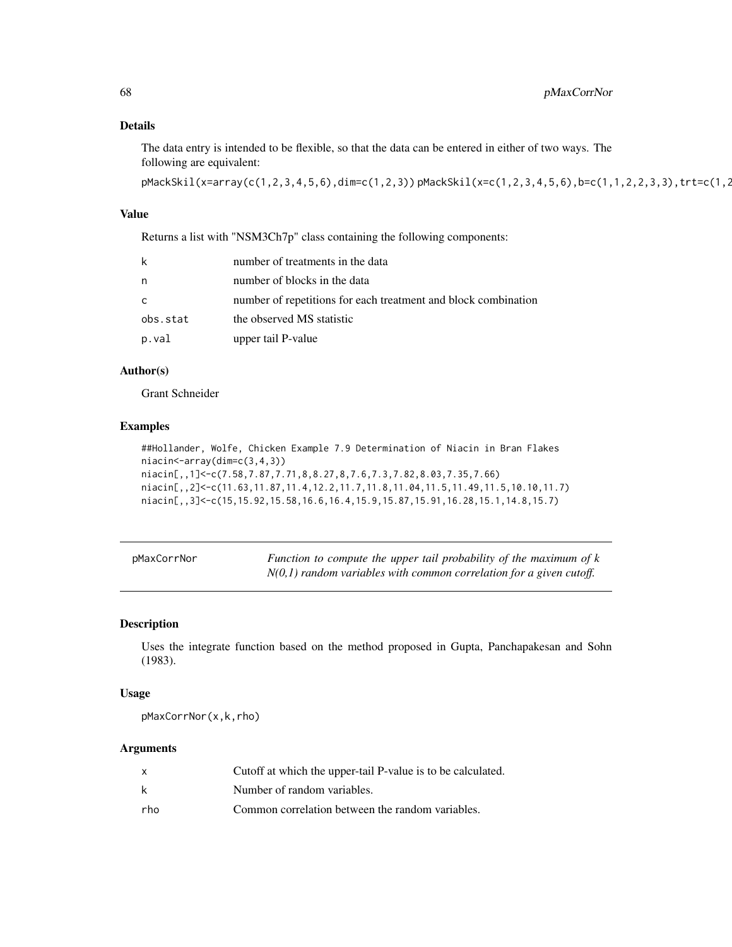## Details

The data entry is intended to be flexible, so that the data can be entered in either of two ways. The following are equivalent:

pMackSkil(x=array(c(1,2,3,4,5,6),dim=c(1,2,3)) pMackSkil(x=c(1,2,3,4,5,6),b=c(1,1,2,2,3,3),trt=c(1,2

#### Value

Returns a list with "NSM3Ch7p" class containing the following components:

| k        | number of treatments in the data                               |
|----------|----------------------------------------------------------------|
| n        | number of blocks in the data                                   |
| C        | number of repetitions for each treatment and block combination |
| obs.stat | the observed MS statistic                                      |
| p.val    | upper tail P-value                                             |

# Author(s)

Grant Schneider

## Examples

```
##Hollander, Wolfe, Chicken Example 7.9 Determination of Niacin in Bran Flakes
niacin<-array(dim=c(3,4,3))
niacin[,,1]<-c(7.58,7.87,7.71,8,8.27,8,7.6,7.3,7.82,8.03,7.35,7.66)
niacin[,,2]<-c(11.63,11.87,11.4,12.2,11.7,11.8,11.04,11.5,11.49,11.5,10.10,11.7)
niacin[,,3]<-c(15,15.92,15.58,16.6,16.4,15.9,15.87,15.91,16.28,15.1,14.8,15.7)
```

| pMaxCorrNor | Function to compute the upper tail probability of the maximum of k    |
|-------------|-----------------------------------------------------------------------|
|             | $N(0,1)$ random variables with common correlation for a given cutoff. |

## Description

Uses the integrate function based on the method proposed in Gupta, Panchapakesan and Sohn (1983).

## Usage

pMaxCorrNor(x,k,rho)

|     | Cutoff at which the upper-tail P-value is to be calculated. |
|-----|-------------------------------------------------------------|
| k   | Number of random variables.                                 |
| rho | Common correlation between the random variables.            |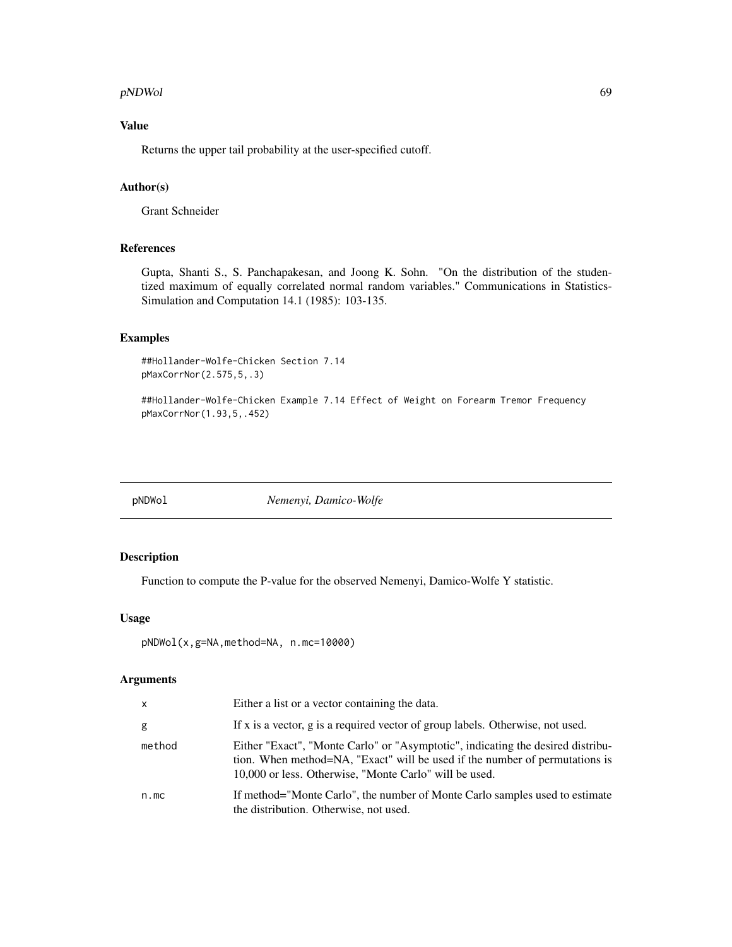#### pNDWol 69

# Value

Returns the upper tail probability at the user-specified cutoff.

# Author(s)

Grant Schneider

## References

Gupta, Shanti S., S. Panchapakesan, and Joong K. Sohn. "On the distribution of the studentized maximum of equally correlated normal random variables." Communications in Statistics-Simulation and Computation 14.1 (1985): 103-135.

#### Examples

##Hollander-Wolfe-Chicken Section 7.14 pMaxCorrNor(2.575,5,.3)

##Hollander-Wolfe-Chicken Example 7.14 Effect of Weight on Forearm Tremor Frequency pMaxCorrNor(1.93,5,.452)

pNDWol *Nemenyi, Damico-Wolfe*

### Description

Function to compute the P-value for the observed Nemenyi, Damico-Wolfe Y statistic.

### Usage

```
pNDWol(x,g=NA,method=NA, n.mc=10000)
```

| X      | Either a list or a vector containing the data.                                                                                                                                                                           |
|--------|--------------------------------------------------------------------------------------------------------------------------------------------------------------------------------------------------------------------------|
| g      | If x is a vector, g is a required vector of group labels. Otherwise, not used.                                                                                                                                           |
| method | Either "Exact", "Monte Carlo" or "Asymptotic", indicating the desired distribu-<br>tion. When method=NA, "Exact" will be used if the number of permutations is<br>10,000 or less. Otherwise, "Monte Carlo" will be used. |
| n.mc   | If method="Monte Carlo", the number of Monte Carlo samples used to estimate<br>the distribution. Otherwise, not used.                                                                                                    |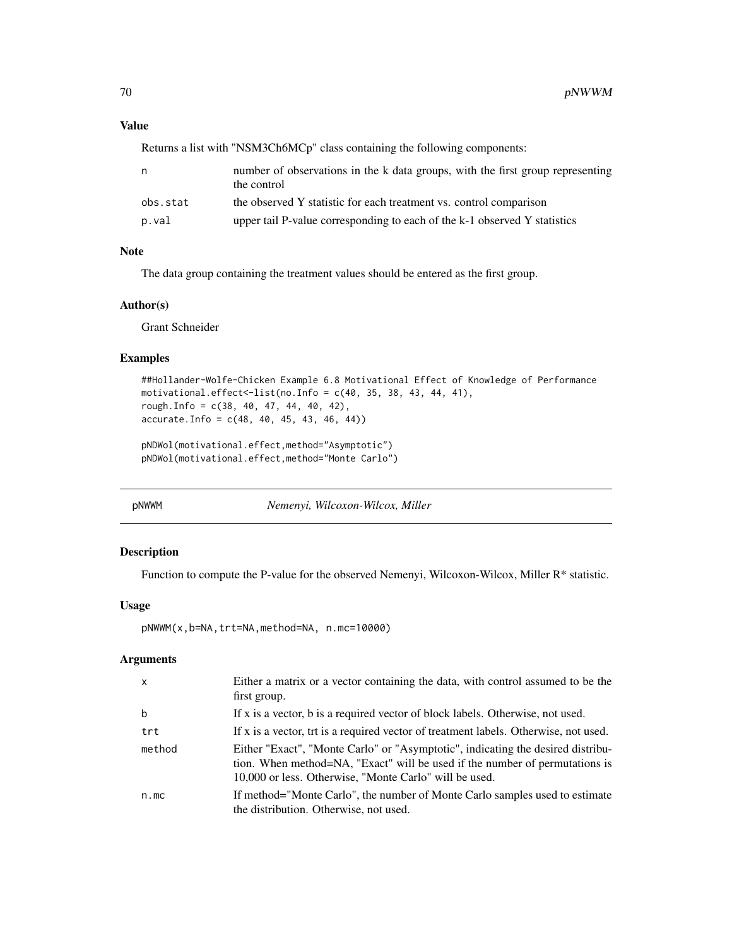### Value

Returns a list with "NSM3Ch6MCp" class containing the following components:

| n        | number of observations in the k data groups, with the first group representing<br>the control |
|----------|-----------------------------------------------------------------------------------------------|
| obs.stat | the observed Y statistic for each treatment vs. control comparison                            |
| p.val    | upper tail P-value corresponding to each of the k-1 observed Y statistics                     |

### Note

The data group containing the treatment values should be entered as the first group.

### Author(s)

Grant Schneider

#### Examples

```
##Hollander-Wolfe-Chicken Example 6.8 Motivational Effect of Knowledge of Performance
motivational.effect<-list(no.Info = c(40, 35, 38, 43, 44, 41),
rough.Info = c(38, 40, 47, 44, 40, 42),
accurate. Info = c(48, 40, 45, 43, 46, 44)
```

```
pNDWol(motivational.effect,method="Asymptotic")
pNDWol(motivational.effect,method="Monte Carlo")
```
pNWWM *Nemenyi, Wilcoxon-Wilcox, Miller*

## Description

Function to compute the P-value for the observed Nemenyi, Wilcoxon-Wilcox, Miller R\* statistic.

### Usage

pNWWM(x,b=NA,trt=NA,method=NA, n.mc=10000)

| $\mathsf{x}$ | Either a matrix or a vector containing the data, with control assumed to be the<br>first group.                                                                                                                          |
|--------------|--------------------------------------------------------------------------------------------------------------------------------------------------------------------------------------------------------------------------|
| b            | If x is a vector, b is a required vector of block labels. Otherwise, not used.                                                                                                                                           |
| trt          | If x is a vector, trt is a required vector of treatment labels. Otherwise, not used.                                                                                                                                     |
| method       | Either "Exact", "Monte Carlo" or "Asymptotic", indicating the desired distribu-<br>tion. When method=NA, "Exact" will be used if the number of permutations is<br>10,000 or less. Otherwise, "Monte Carlo" will be used. |
| n.mc         | If method="Monte Carlo", the number of Monte Carlo samples used to estimate<br>the distribution. Otherwise, not used.                                                                                                    |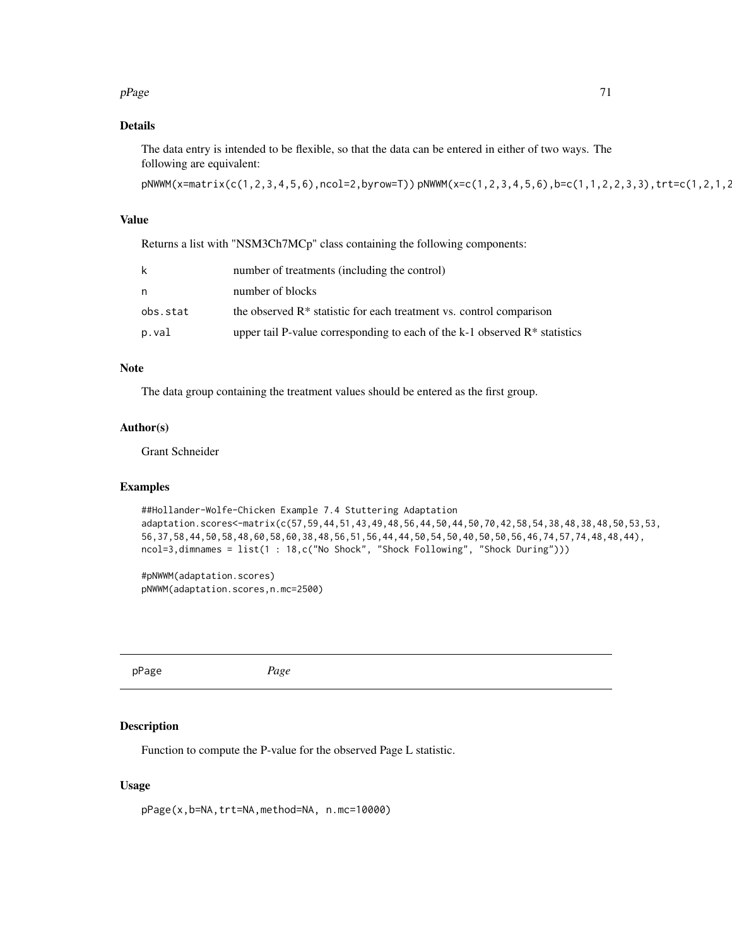#### $pPage$  71

## Details

The data entry is intended to be flexible, so that the data can be entered in either of two ways. The following are equivalent:

pNWWM(x=matrix(c(1,2,3,4,5,6),ncol=2,byrow=T)) pNWWM(x=c(1,2,3,4,5,6),b=c(1,1,2,2,3,3),trt=c(1,2,1,2,1,2))

## Value

Returns a list with "NSM3Ch7MCp" class containing the following components:

| k        | number of treatments (including the control)                                           |
|----------|----------------------------------------------------------------------------------------|
| n        | number of blocks                                                                       |
| obs.stat | the observed R <sup>*</sup> statistic for each treatment vs. control comparison        |
| p.val    | upper tail P-value corresponding to each of the k-1 observed $\mathbb{R}^*$ statistics |

## Note

The data group containing the treatment values should be entered as the first group.

## Author(s)

Grant Schneider

## Examples

```
##Hollander-Wolfe-Chicken Example 7.4 Stuttering Adaptation
adaptation.scores<-matrix(c(57,59,44,51,43,49,48,56,44,50,44,50,70,42,58,54,38,48,38,48,50,53,53,
56,37,58,44,50,58,48,60,58,60,38,48,56,51,56,44,44,50,54,50,40,50,50,56,46,74,57,74,48,48,44),
ncol=3,dimnames = list(1 : 18,c("No Shock", "Shock Following", "Shock During")))
```
#pNWWM(adaptation.scores) pNWWM(adaptation.scores,n.mc=2500)

pPage *Page*

#### Description

Function to compute the P-value for the observed Page L statistic.

### Usage

```
pPage(x,b=NA,trt=NA,method=NA, n.mc=10000)
```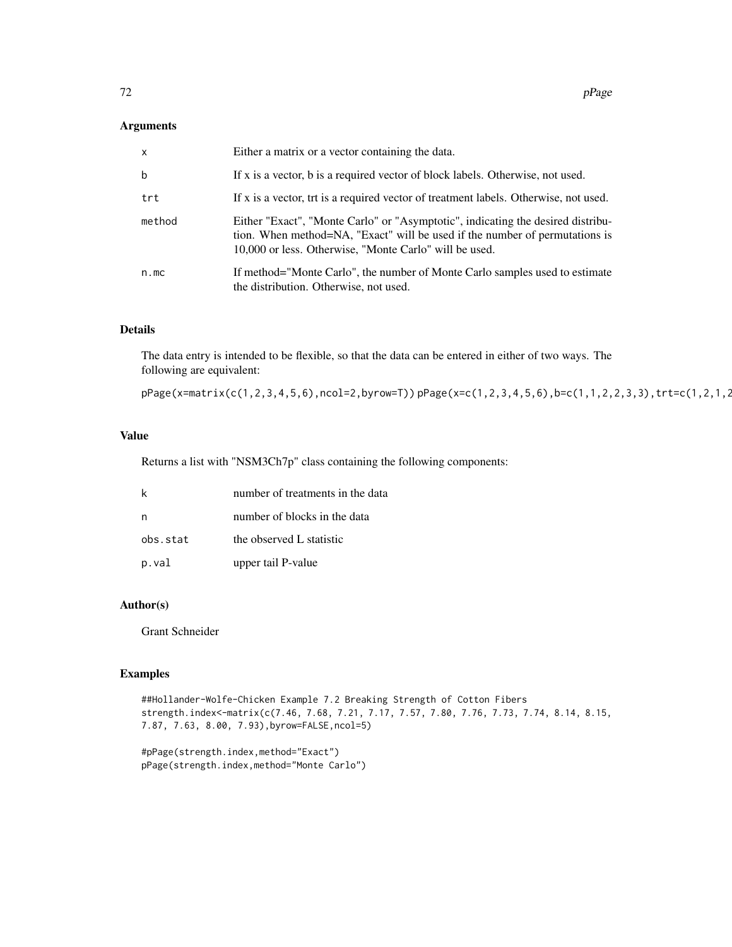### Arguments

| $\mathsf{x}$ | Either a matrix or a vector containing the data.                                                                                                                                                                         |
|--------------|--------------------------------------------------------------------------------------------------------------------------------------------------------------------------------------------------------------------------|
| b            | If x is a vector, b is a required vector of block labels. Otherwise, not used.                                                                                                                                           |
| trt          | If x is a vector, trt is a required vector of treatment labels. Otherwise, not used.                                                                                                                                     |
| method       | Either "Exact", "Monte Carlo" or "Asymptotic", indicating the desired distribu-<br>tion. When method=NA, "Exact" will be used if the number of permutations is<br>10,000 or less. Otherwise, "Monte Carlo" will be used. |
| n.mc         | If method="Monte Carlo", the number of Monte Carlo samples used to estimate<br>the distribution. Otherwise, not used.                                                                                                    |

# Details

The data entry is intended to be flexible, so that the data can be entered in either of two ways. The following are equivalent:

pPage(x=matrix(c(1,2,3,4,5,6),ncol=2,byrow=T)) pPage(x=c(1,2,3,4,5,6),b=c(1,1,2,2,3,3),trt=c(1,2,1,2,1,2))

### Value

Returns a list with "NSM3Ch7p" class containing the following components:

|          | number of treatments in the data |
|----------|----------------------------------|
|          | number of blocks in the data     |
| obs.stat | the observed L statistic         |
| p.val    | upper tail P-value               |

## Author(s)

Grant Schneider

### Examples

```
##Hollander-Wolfe-Chicken Example 7.2 Breaking Strength of Cotton Fibers
strength.index<-matrix(c(7.46, 7.68, 7.21, 7.17, 7.57, 7.80, 7.76, 7.73, 7.74, 8.14, 8.15,
7.87, 7.63, 8.00, 7.93),byrow=FALSE,ncol=5)
```
#pPage(strength.index,method="Exact") pPage(strength.index,method="Monte Carlo")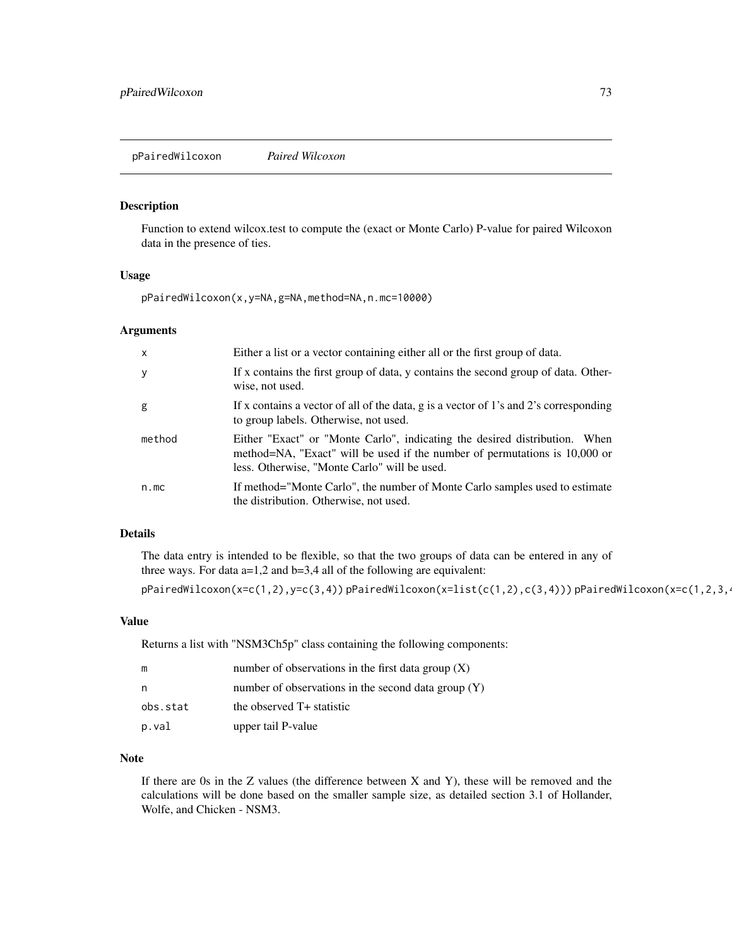<span id="page-72-0"></span>Function to extend wilcox.test to compute the (exact or Monte Carlo) P-value for paired Wilcoxon data in the presence of ties.

# Usage

pPairedWilcoxon(x,y=NA,g=NA,method=NA,n.mc=10000)

#### Arguments

| $\mathsf{x}$ | Either a list or a vector containing either all or the first group of data.                                                                                                                              |
|--------------|----------------------------------------------------------------------------------------------------------------------------------------------------------------------------------------------------------|
| У            | If x contains the first group of data, y contains the second group of data. Other-<br>wise, not used.                                                                                                    |
| g            | If x contains a vector of all of the data, g is a vector of 1's and 2's corresponding<br>to group labels. Otherwise, not used.                                                                           |
| method       | Either "Exact" or "Monte Carlo", indicating the desired distribution. When<br>method=NA, "Exact" will be used if the number of permutations is 10,000 or<br>less. Otherwise, "Monte Carlo" will be used. |
| n.mc         | If method="Monte Carlo", the number of Monte Carlo samples used to estimate<br>the distribution. Otherwise, not used.                                                                                    |

# Details

The data entry is intended to be flexible, so that the two groups of data can be entered in any of three ways. For data a=1,2 and b=3,4 all of the following are equivalent:

 $p$ PairedWilcoxon(x=c(1,2),y=c(3,4))  $p$ PairedWilcoxon(x=list(c(1,2),c(3,4)))  $p$ PairedWilcoxon(x=c(1,2,3,4))

#### Value

Returns a list with "NSM3Ch5p" class containing the following components:

| m        | number of observations in the first data group $(X)$  |
|----------|-------------------------------------------------------|
| n,       | number of observations in the second data group $(Y)$ |
| obs.stat | the observed T+ statistic                             |
| p.val    | upper tail P-value                                    |

# Note

If there are 0s in the Z values (the difference between X and Y), these will be removed and the calculations will be done based on the smaller sample size, as detailed section 3.1 of Hollander, Wolfe, and Chicken - NSM3.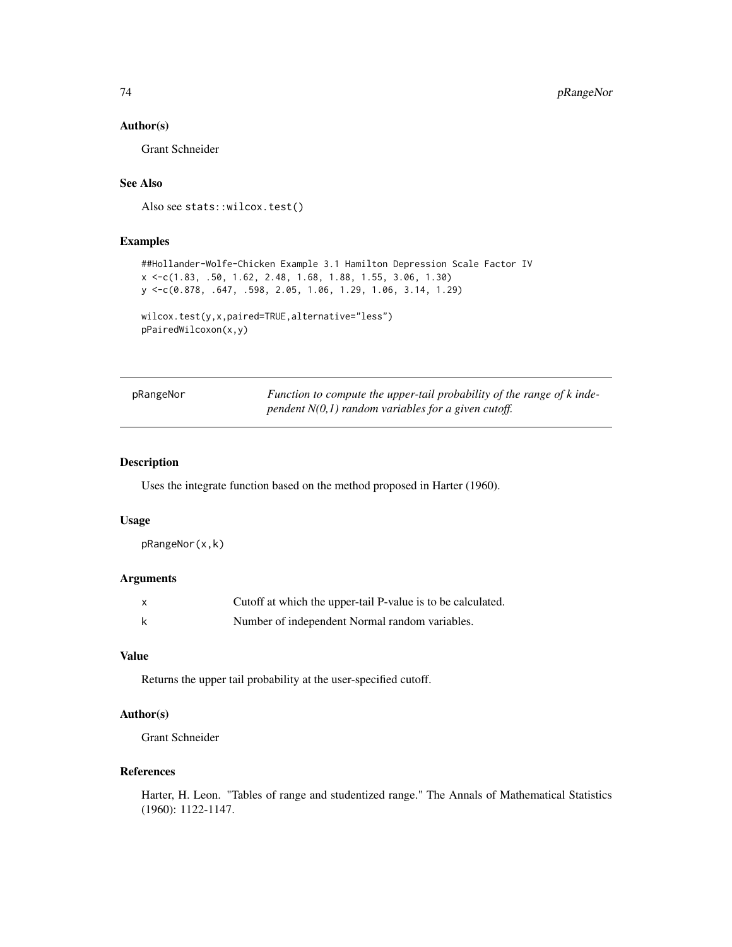# Author(s)

Grant Schneider

# See Also

Also see stats::wilcox.test()

# Examples

```
##Hollander-Wolfe-Chicken Example 3.1 Hamilton Depression Scale Factor IV
x <-c(1.83, .50, 1.62, 2.48, 1.68, 1.88, 1.55, 3.06, 1.30)
y <-c(0.878, .647, .598, 2.05, 1.06, 1.29, 1.06, 3.14, 1.29)
```

```
wilcox.test(y,x,paired=TRUE,alternative="less")
pPairedWilcoxon(x,y)
```

| pRangeNor | Function to compute the upper-tail probability of the range of k inde- |
|-----------|------------------------------------------------------------------------|
|           | pendent $N(0,1)$ random variables for a given cutoff.                  |

# Description

Uses the integrate function based on the method proposed in Harter (1960).

#### Usage

pRangeNor(x,k)

# Arguments

| $\boldsymbol{\mathsf{x}}$ | Cutoff at which the upper-tail P-value is to be calculated. |
|---------------------------|-------------------------------------------------------------|
| k                         | Number of independent Normal random variables.              |

#### Value

Returns the upper tail probability at the user-specified cutoff.

# Author(s)

Grant Schneider

# References

Harter, H. Leon. "Tables of range and studentized range." The Annals of Mathematical Statistics (1960): 1122-1147.

<span id="page-73-0"></span>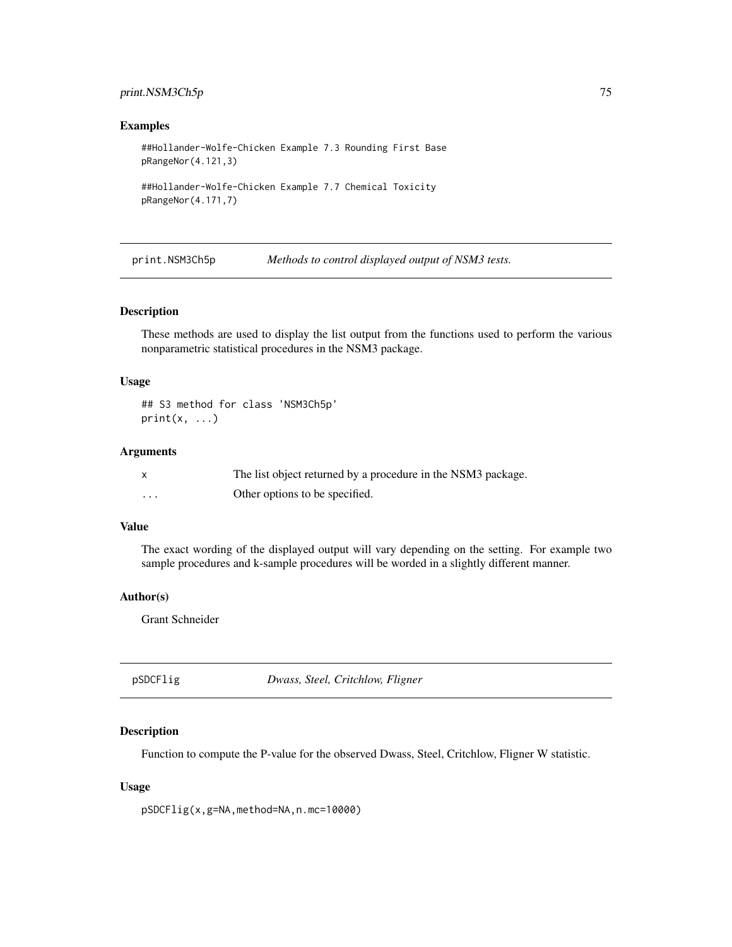# <span id="page-74-0"></span>print.NSM3Ch5p 75

#### Examples

##Hollander-Wolfe-Chicken Example 7.3 Rounding First Base pRangeNor(4.121,3)

```
##Hollander-Wolfe-Chicken Example 7.7 Chemical Toxicity
pRangeNor(4.171,7)
```
print.NSM3Ch5p *Methods to control displayed output of NSM3 tests.*

#### Description

These methods are used to display the list output from the functions used to perform the various nonparametric statistical procedures in the NSM3 package.

#### Usage

## S3 method for class 'NSM3Ch5p'  $print(x, \ldots)$ 

#### Arguments

|          | The list object returned by a procedure in the NSM3 package. |
|----------|--------------------------------------------------------------|
| $\cdots$ | Other options to be specified.                               |

# Value

The exact wording of the displayed output will vary depending on the setting. For example two sample procedures and k-sample procedures will be worded in a slightly different manner.

#### Author(s)

Grant Schneider

pSDCFlig *Dwass, Steel, Critchlow, Fligner*

#### Description

Function to compute the P-value for the observed Dwass, Steel, Critchlow, Fligner W statistic.

#### Usage

pSDCFlig(x,g=NA,method=NA,n.mc=10000)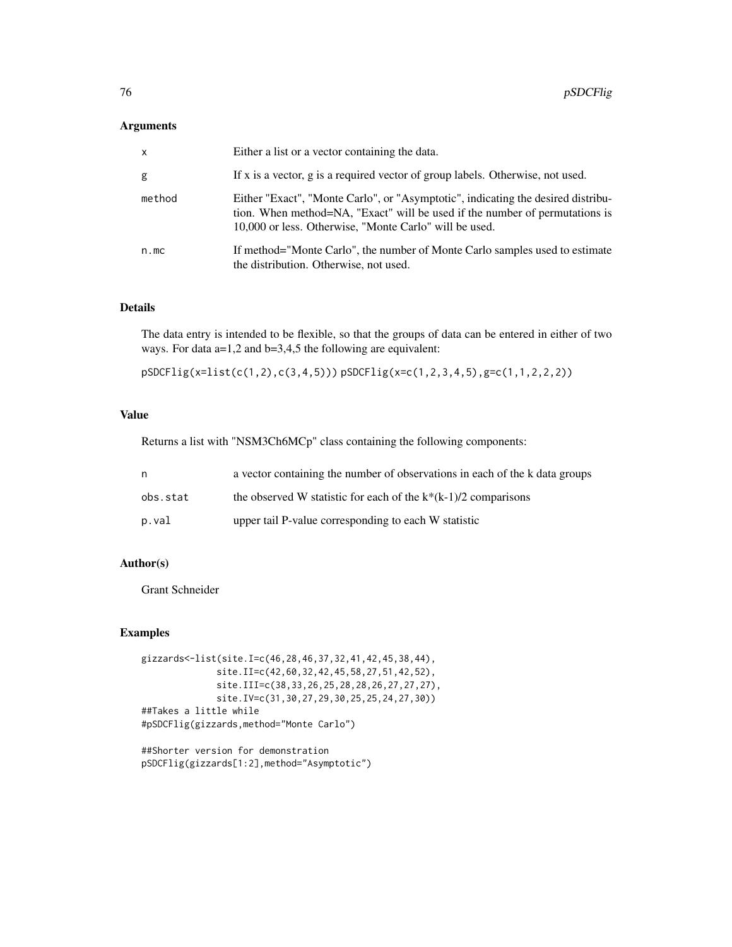#### Arguments

| $\mathsf{x}$ | Either a list or a vector containing the data.                                                                                                                                                                            |
|--------------|---------------------------------------------------------------------------------------------------------------------------------------------------------------------------------------------------------------------------|
| g            | If x is a vector, g is a required vector of group labels. Otherwise, not used.                                                                                                                                            |
| method       | Either "Exact", "Monte Carlo", or "Asymptotic", indicating the desired distribu-<br>tion. When method=NA, "Exact" will be used if the number of permutations is<br>10,000 or less. Otherwise, "Monte Carlo" will be used. |
| n.mc         | If method="Monte Carlo", the number of Monte Carlo samples used to estimate<br>the distribution. Otherwise, not used.                                                                                                     |

#### Details

The data entry is intended to be flexible, so that the groups of data can be entered in either of two ways. For data a=1,2 and b=3,4,5 the following are equivalent:

pSDCFlig(x=list(c(1,2),c(3,4,5))) pSDCFlig(x=c(1,2,3,4,5),g=c(1,1,2,2,2))

# Value

Returns a list with "NSM3Ch6MCp" class containing the following components:

| n        | a vector containing the number of observations in each of the k data groups |
|----------|-----------------------------------------------------------------------------|
| obs.stat | the observed W statistic for each of the $k*(k-1)/2$ comparisons            |
| p.val    | upper tail P-value corresponding to each W statistic                        |

# Author(s)

Grant Schneider

```
gizzards<-list(site.I=c(46,28,46,37,32,41,42,45,38,44),
              site.II=c(42,60,32,42,45,58,27,51,42,52),
              site.III=c(38,33,26,25,28,28,26,27,27,27),
              site.IV=c(31,30,27,29,30,25,25,24,27,30))
##Takes a little while
#pSDCFlig(gizzards,method="Monte Carlo")
```

```
##Shorter version for demonstration
pSDCFlig(gizzards[1:2],method="Asymptotic")
```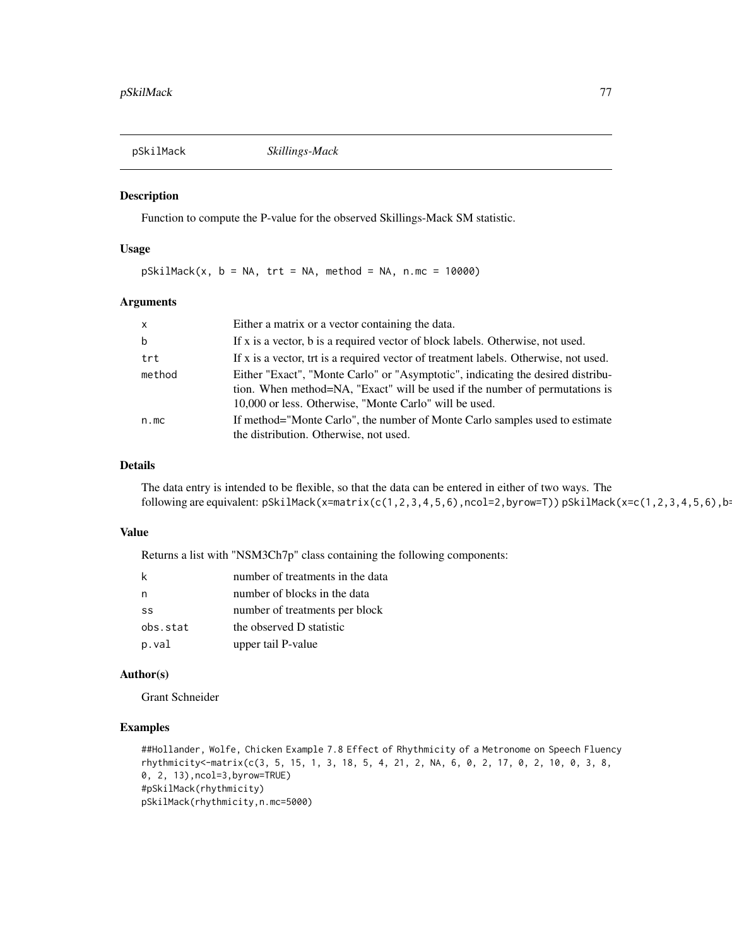<span id="page-76-0"></span>

Function to compute the P-value for the observed Skillings-Mack SM statistic.

#### Usage

 $pSkilMack(x, b = NA, trt = NA, method = NA, n.mc = 10000)$ 

# Arguments

| $\mathsf{X}$ | Either a matrix or a vector containing the data.                                                                                                                                                                         |
|--------------|--------------------------------------------------------------------------------------------------------------------------------------------------------------------------------------------------------------------------|
| b            | If x is a vector, b is a required vector of block labels. Otherwise, not used.                                                                                                                                           |
| trt          | If x is a vector, trt is a required vector of treatment labels. Otherwise, not used.                                                                                                                                     |
| method       | Either "Exact", "Monte Carlo" or "Asymptotic", indicating the desired distribu-<br>tion. When method=NA, "Exact" will be used if the number of permutations is<br>10,000 or less. Otherwise, "Monte Carlo" will be used. |
| n.mc         | If method="Monte Carlo", the number of Monte Carlo samples used to estimate<br>the distribution. Otherwise, not used.                                                                                                    |

# Details

The data entry is intended to be flexible, so that the data can be entered in either of two ways. The following are equivalent: pSkilMack(x=matrix(c(1,2,3,4,5,6),ncol=2,byrow=T)) pSkilMack(x=c(1,2,3,4,5,6),b=

# Value

Returns a list with "NSM3Ch7p" class containing the following components:

| k        | number of treatments in the data |
|----------|----------------------------------|
| n.       | number of blocks in the data     |
| SS       | number of treatments per block   |
| obs.stat | the observed D statistic         |
| p.val    | upper tail P-value               |

# Author(s)

Grant Schneider

```
##Hollander, Wolfe, Chicken Example 7.8 Effect of Rhythmicity of a Metronome on Speech Fluency
rhythmicity<-matrix(c(3, 5, 15, 1, 3, 18, 5, 4, 21, 2, NA, 6, 0, 2, 17, 0, 2, 10, 0, 3, 8,
0, 2, 13),ncol=3,byrow=TRUE)
#pSkilMack(rhythmicity)
pSkilMack(rhythmicity,n.mc=5000)
```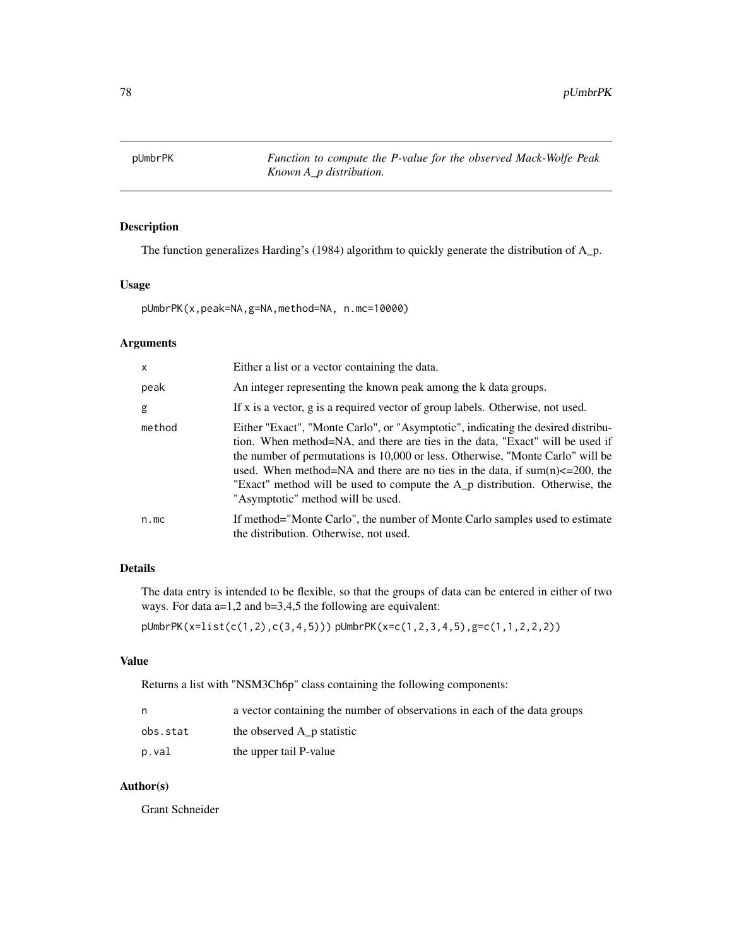<span id="page-77-0"></span>

The function generalizes Harding's (1984) algorithm to quickly generate the distribution of A\_p.

# Usage

pUmbrPK(x,peak=NA,g=NA,method=NA, n.mc=10000)

# Arguments

| $\mathsf{x}$ | Either a list or a vector containing the data.                                                                                                                                                                                                                                                                                                                                                                                                                          |
|--------------|-------------------------------------------------------------------------------------------------------------------------------------------------------------------------------------------------------------------------------------------------------------------------------------------------------------------------------------------------------------------------------------------------------------------------------------------------------------------------|
| peak         | An integer representing the known peak among the k data groups.                                                                                                                                                                                                                                                                                                                                                                                                         |
| g            | If x is a vector, g is a required vector of group labels. Otherwise, not used.                                                                                                                                                                                                                                                                                                                                                                                          |
| method       | Either "Exact", "Monte Carlo", or "Asymptotic", indicating the desired distribu-<br>tion. When method=NA, and there are ties in the data, "Exact" will be used if<br>the number of permutations is 10,000 or less. Otherwise, "Monte Carlo" will be<br>used. When method=NA and there are no ties in the data, if $sum(n) \le 200$ , the<br>"Exact" method will be used to compute the A <sub>n</sub> distribution. Otherwise, the<br>"Asymptotic" method will be used. |
| n.mc         | If method="Monte Carlo", the number of Monte Carlo samples used to estimate<br>the distribution. Otherwise, not used.                                                                                                                                                                                                                                                                                                                                                   |

# Details

The data entry is intended to be flexible, so that the groups of data can be entered in either of two ways. For data a=1,2 and b=3,4,5 the following are equivalent:

pUmbrPK(x=list(c(1,2),c(3,4,5))) pUmbrPK(x=c(1,2,3,4,5),g=c(1,1,2,2,2))

# Value

Returns a list with "NSM3Ch6p" class containing the following components:

|          | a vector containing the number of observations in each of the data groups |
|----------|---------------------------------------------------------------------------|
| obs.stat | the observed A p statistic                                                |
| p.val    | the upper tail P-value                                                    |

# Author(s)

Grant Schneider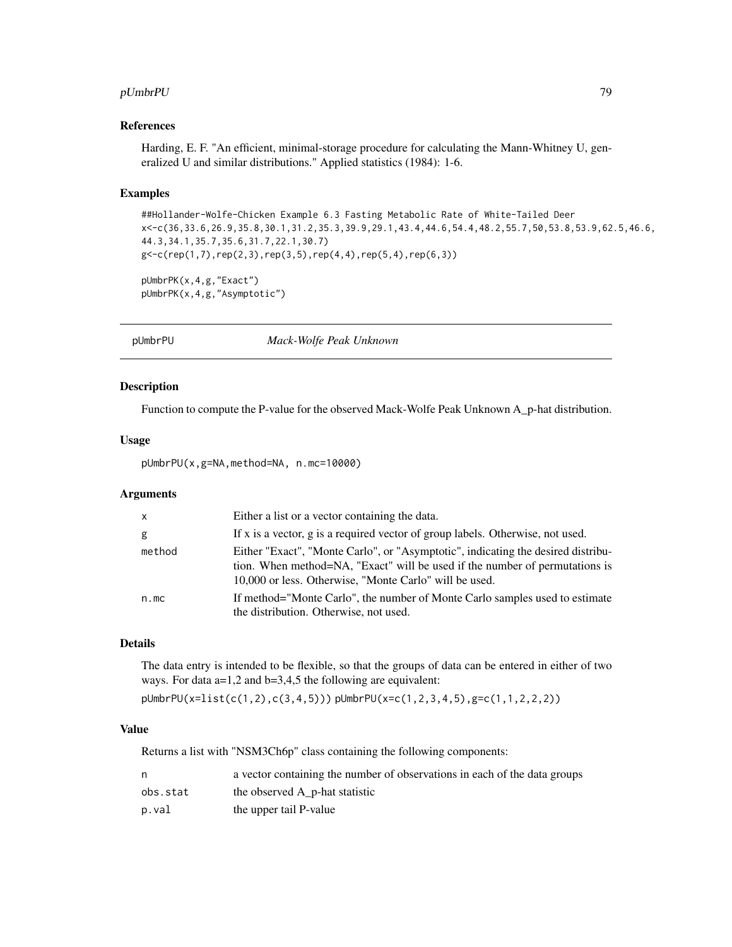#### <span id="page-78-0"></span>pUmbrPU 79

#### References

Harding, E. F. "An efficient, minimal-storage procedure for calculating the Mann-Whitney U, generalized U and similar distributions." Applied statistics (1984): 1-6.

#### Examples

```
##Hollander-Wolfe-Chicken Example 6.3 Fasting Metabolic Rate of White-Tailed Deer
x<-c(36,33.6,26.9,35.8,30.1,31.2,35.3,39.9,29.1,43.4,44.6,54.4,48.2,55.7,50,53.8,53.9,62.5,46.6,
44.3,34.1,35.7,35.6,31.7,22.1,30.7)
g < - c(rep(1,7),rep(2,3),rep(3,5),rep(4,4),rep(5,4),rep(6,3))
pUmbrPK(x,4,g,"Exact")
```

```
pUmbrPK(x,4,g,"Asymptotic")
```
pUmbrPU *Mack-Wolfe Peak Unknown*

# Description

Function to compute the P-value for the observed Mack-Wolfe Peak Unknown A\_p-hat distribution.

# Usage

pUmbrPU(x,g=NA,method=NA, n.mc=10000)

#### Arguments

| $\mathsf{X}$ | Either a list or a vector containing the data.                                                                                                                                                                            |
|--------------|---------------------------------------------------------------------------------------------------------------------------------------------------------------------------------------------------------------------------|
| g            | If x is a vector, g is a required vector of group labels. Otherwise, not used.                                                                                                                                            |
| method       | Either "Exact", "Monte Carlo", or "Asymptotic", indicating the desired distribu-<br>tion. When method=NA, "Exact" will be used if the number of permutations is<br>10,000 or less. Otherwise, "Monte Carlo" will be used. |
| n.mc         | If method="Monte Carlo", the number of Monte Carlo samples used to estimate<br>the distribution. Otherwise, not used.                                                                                                     |

# Details

The data entry is intended to be flexible, so that the groups of data can be entered in either of two ways. For data a=1,2 and b=3,4,5 the following are equivalent:

pUmbrPU(x=list(c(1,2),c(3,4,5))) pUmbrPU(x=c(1,2,3,4,5),g=c(1,1,2,2,2))

# Value

Returns a list with "NSM3Ch6p" class containing the following components:

|          | a vector containing the number of observations in each of the data groups |
|----------|---------------------------------------------------------------------------|
| obs.stat | the observed A p-hat statistic                                            |
| p.val    | the upper tail P-value                                                    |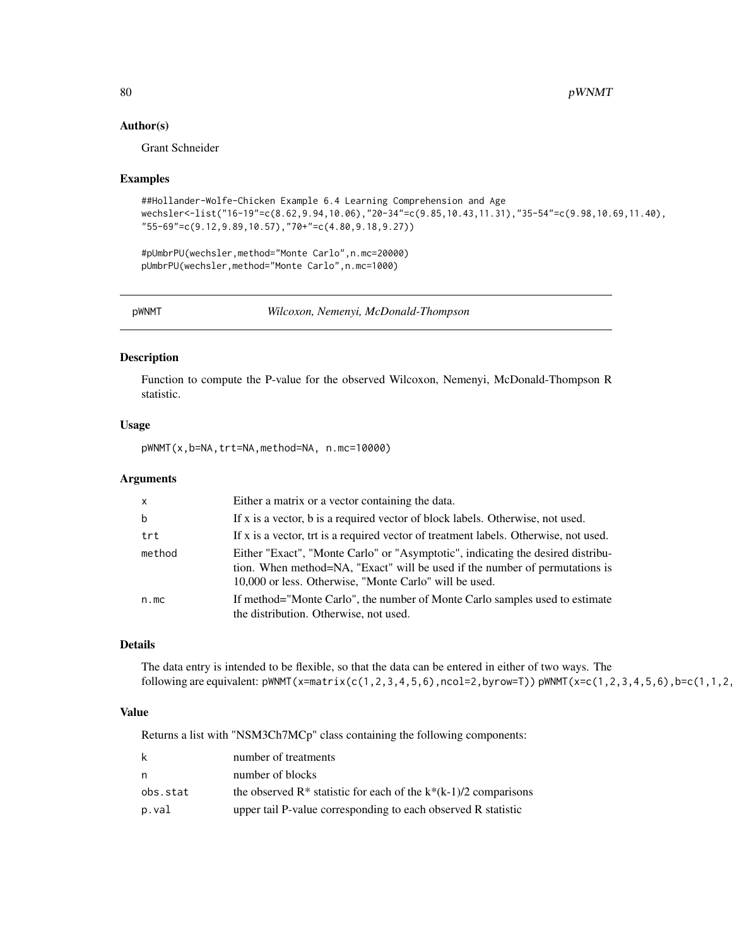#### Author(s)

Grant Schneider

#### Examples

```
##Hollander-Wolfe-Chicken Example 6.4 Learning Comprehension and Age
wechsler<-list("16-19"=c(8.62,9.94,10.06),"20-34"=c(9.85,10.43,11.31),"35-54"=c(9.98,10.69,11.40),
"55-69"=c(9.12,9.89,10.57),"70+"=c(4.80,9.18,9.27))
```
#pUmbrPU(wechsler,method="Monte Carlo",n.mc=20000) pUmbrPU(wechsler,method="Monte Carlo",n.mc=1000)

pWNMT *Wilcoxon, Nemenyi, McDonald-Thompson*

#### Description

Function to compute the P-value for the observed Wilcoxon, Nemenyi, McDonald-Thompson R statistic.

#### Usage

pWNMT(x,b=NA,trt=NA,method=NA, n.mc=10000)

#### Arguments

| $\times$ | Either a matrix or a vector containing the data.                                                                                                                                                                         |
|----------|--------------------------------------------------------------------------------------------------------------------------------------------------------------------------------------------------------------------------|
| b        | If x is a vector, b is a required vector of block labels. Otherwise, not used.                                                                                                                                           |
| trt      | If x is a vector, trt is a required vector of treatment labels. Otherwise, not used.                                                                                                                                     |
| method   | Either "Exact", "Monte Carlo" or "Asymptotic", indicating the desired distribu-<br>tion. When method=NA, "Exact" will be used if the number of permutations is<br>10,000 or less. Otherwise, "Monte Carlo" will be used. |
| n.mc     | If method="Monte Carlo", the number of Monte Carlo samples used to estimate<br>the distribution. Otherwise, not used.                                                                                                    |

# Details

The data entry is intended to be flexible, so that the data can be entered in either of two ways. The following are equivalent:  $pWNMT(x=matrix(c(1,2,3,4,5,6),ncol=2,byrow=T)) pWNMT(x=c(1,2,3,4,5,6),b=c(1,1,2,2)$ 

# Value

Returns a list with "NSM3Ch7MCp" class containing the following components:

| k        | number of treatments                                                  |
|----------|-----------------------------------------------------------------------|
| n        | number of blocks                                                      |
| obs.stat | the observed $R^*$ statistic for each of the $k^*(k-1)/2$ comparisons |
| p.val    | upper tail P-value corresponding to each observed R statistic         |

<span id="page-79-0"></span>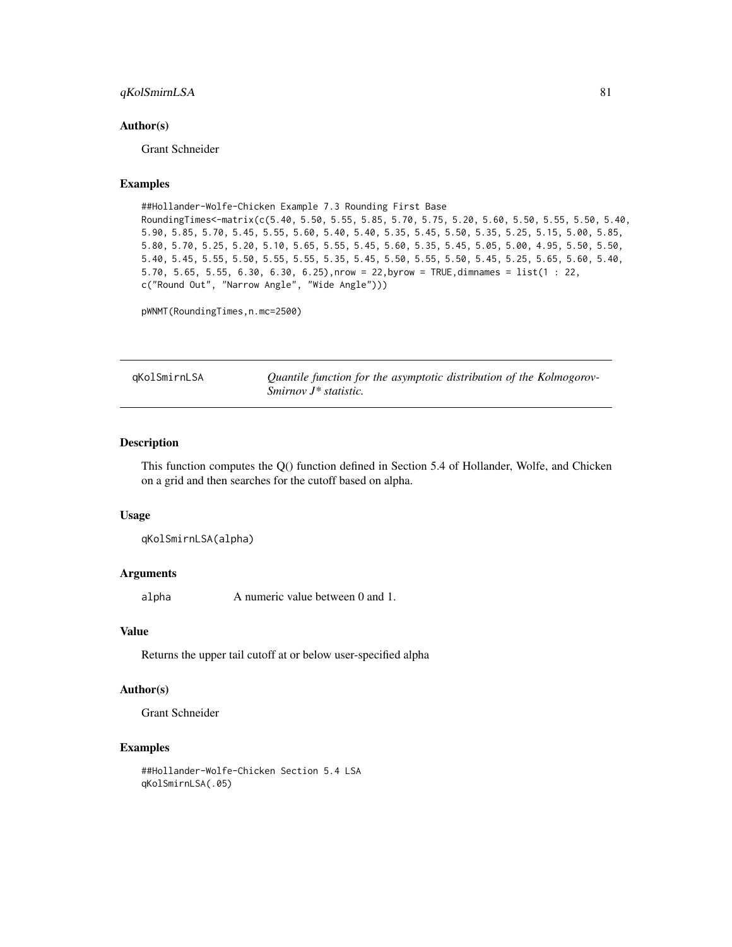# <span id="page-80-0"></span>qKolSmirnLSA 81

#### Author(s)

Grant Schneider

# Examples

```
##Hollander-Wolfe-Chicken Example 7.3 Rounding First Base
RoundingTimes<-matrix(c(5.40, 5.50, 5.55, 5.85, 5.70, 5.75, 5.20, 5.60, 5.50, 5.55, 5.50, 5.40,
5.90, 5.85, 5.70, 5.45, 5.55, 5.60, 5.40, 5.40, 5.35, 5.45, 5.50, 5.35, 5.25, 5.15, 5.00, 5.85,
5.80, 5.70, 5.25, 5.20, 5.10, 5.65, 5.55, 5.45, 5.60, 5.35, 5.45, 5.05, 5.00, 4.95, 5.50, 5.50,
5.40, 5.45, 5.55, 5.50, 5.55, 5.55, 5.35, 5.45, 5.50, 5.55, 5.50, 5.45, 5.25, 5.65, 5.60, 5.40,
5.70, 5.65, 5.55, 6.30, 6.30, 6.25),nrow = 22,byrow = TRUE,dimnames = list(1 : 22,
c("Round Out", "Narrow Angle", "Wide Angle")))
```
pWNMT(RoundingTimes,n.mc=2500)

qKolSmirnLSA *Quantile function for the asymptotic distribution of the Kolmogorov-Smirnov J\* statistic.*

# Description

This function computes the Q() function defined in Section 5.4 of Hollander, Wolfe, and Chicken on a grid and then searches for the cutoff based on alpha.

#### Usage

qKolSmirnLSA(alpha)

#### Arguments

alpha A numeric value between 0 and 1.

#### Value

Returns the upper tail cutoff at or below user-specified alpha

# Author(s)

Grant Schneider

```
##Hollander-Wolfe-Chicken Section 5.4 LSA
qKolSmirnLSA(.05)
```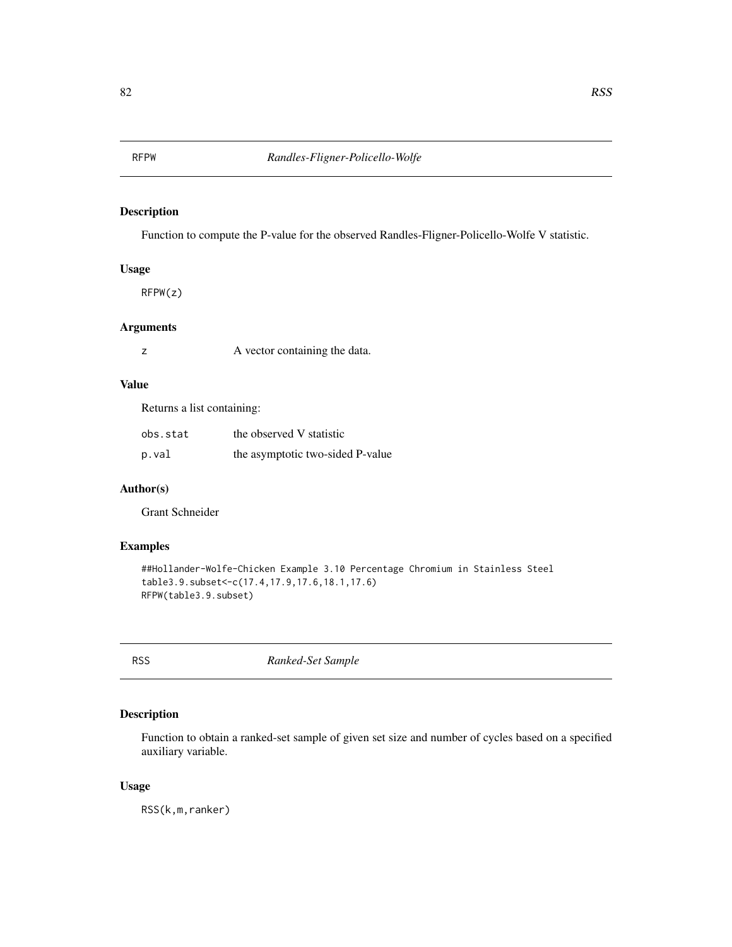<span id="page-81-0"></span>

Function to compute the P-value for the observed Randles-Fligner-Policello-Wolfe V statistic.

# Usage

RFPW(z)

# Arguments

z A vector containing the data.

# Value

Returns a list containing:

| obs.stat | the observed V statistic         |
|----------|----------------------------------|
| p.val    | the asymptotic two-sided P-value |

# Author(s)

Grant Schneider

# Examples

```
##Hollander-Wolfe-Chicken Example 3.10 Percentage Chromium in Stainless Steel
table3.9.subset<-c(17.4,17.9,17.6,18.1,17.6)
RFPW(table3.9.subset)
```
RSS *Ranked-Set Sample*

# Description

Function to obtain a ranked-set sample of given set size and number of cycles based on a specified auxiliary variable.

#### Usage

RSS(k,m,ranker)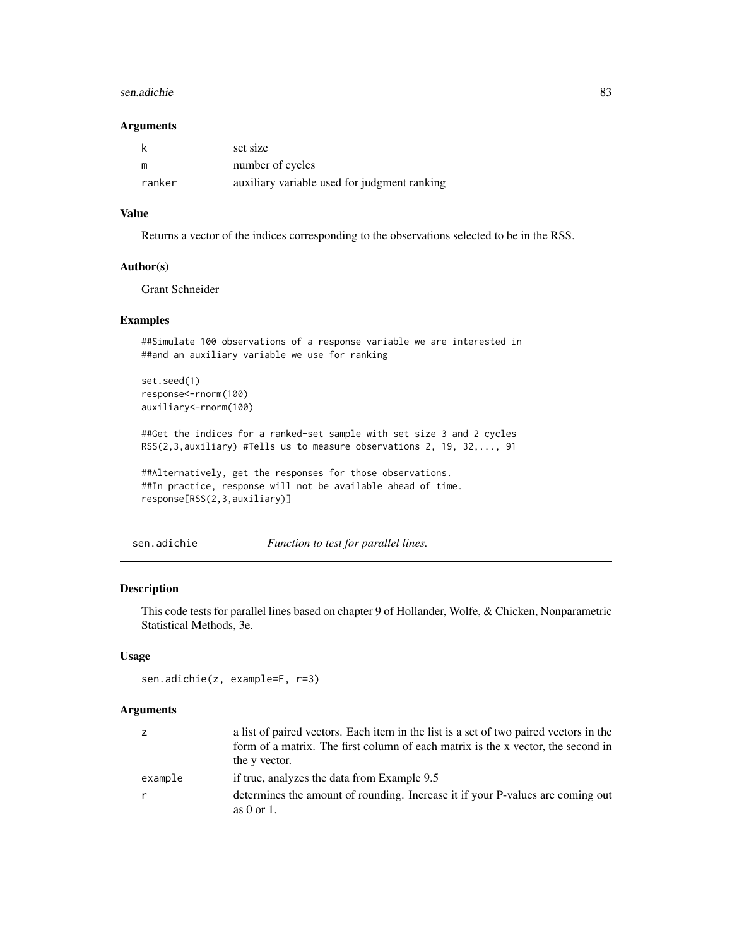#### <span id="page-82-0"></span>sen.adichie 83

#### Arguments

|        | set size                                     |
|--------|----------------------------------------------|
| m      | number of cycles                             |
| ranker | auxiliary variable used for judgment ranking |

# Value

Returns a vector of the indices corresponding to the observations selected to be in the RSS.

#### Author(s)

Grant Schneider

#### Examples

```
##Simulate 100 observations of a response variable we are interested in
##and an auxiliary variable we use for ranking
```
set.seed(1) response<-rnorm(100) auxiliary<-rnorm(100)

##Get the indices for a ranked-set sample with set size 3 and 2 cycles RSS(2,3,auxiliary) #Tells us to measure observations 2, 19, 32,..., 91

##Alternatively, get the responses for those observations. ##In practice, response will not be available ahead of time. response[RSS(2,3,auxiliary)]

sen.adichie *Function to test for parallel lines.*

# Description

This code tests for parallel lines based on chapter 9 of Hollander, Wolfe, & Chicken, Nonparametric Statistical Methods, 3e.

#### Usage

```
sen.adichie(z, example=F, r=3)
```
#### Arguments

| Z       | a list of paired vectors. Each item in the list is a set of two paired vectors in the |
|---------|---------------------------------------------------------------------------------------|
|         | form of a matrix. The first column of each matrix is the x vector, the second in      |
|         | the y vector.                                                                         |
| example | if true, analyzes the data from Example 9.5                                           |
| r       | determines the amount of rounding. Increase it if your P-values are coming out        |
|         | as $0$ or $1$ .                                                                       |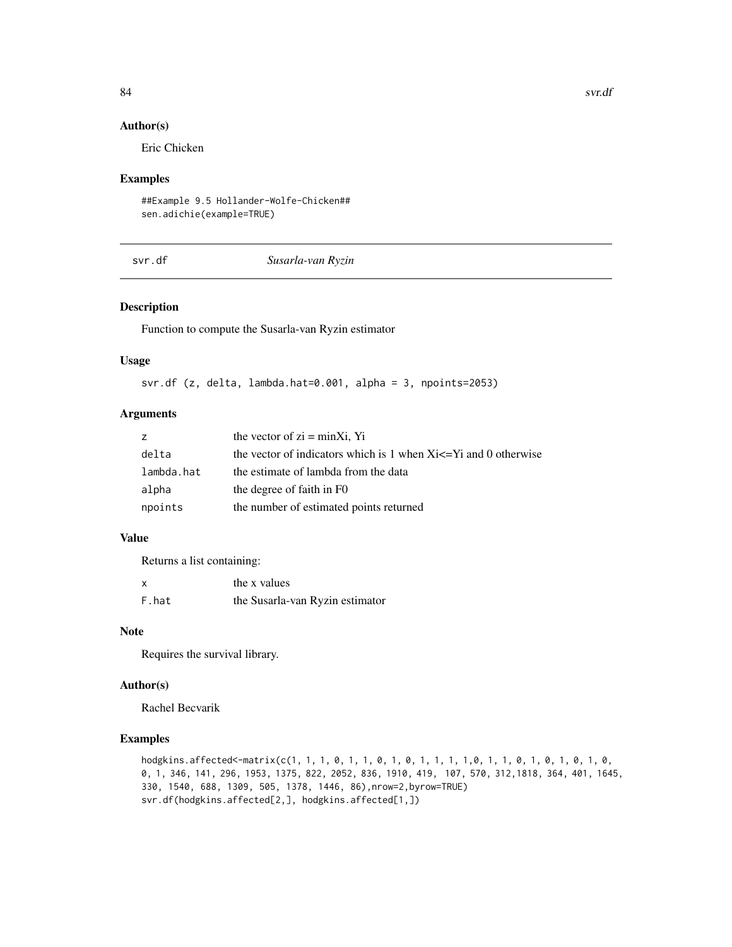#### 84 svr.df

# Author(s)

Eric Chicken

#### Examples

##Example 9.5 Hollander-Wolfe-Chicken## sen.adichie(example=TRUE)

svr.df *Susarla-van Ryzin*

# Description

Function to compute the Susarla-van Ryzin estimator

#### Usage

svr.df (z, delta, lambda.hat=0.001, alpha = 3, npoints=2053)

# Arguments

| Z          | the vector of $zi = minXi$ , Yi                                       |
|------------|-----------------------------------------------------------------------|
| delta      | the vector of indicators which is 1 when $Xi \leq Yi$ and 0 otherwise |
| lambda.hat | the estimate of lambda from the data                                  |
| alpha      | the degree of faith in F0                                             |
| npoints    | the number of estimated points returned                               |

# Value

Returns a list containing:

| x     | the x values                    |
|-------|---------------------------------|
| F.hat | the Susarla-van Ryzin estimator |

# Note

Requires the survival library.

# Author(s)

Rachel Becvarik

```
hodgkins.affected<-matrix(c(1, 1, 1, 0, 1, 1, 0, 1, 0, 1, 1, 1, 1, 0, 1, 1, 0, 1, 0, 1, 0, 1, 0, 1, 0,
0, 1, 346, 141, 296, 1953, 1375, 822, 2052, 836, 1910, 419, 107, 570, 312,1818, 364, 401, 1645,
330, 1540, 688, 1309, 505, 1378, 1446, 86),nrow=2,byrow=TRUE)
svr.df(hodgkins.affected[2,], hodgkins.affected[1,])
```
<span id="page-83-0"></span>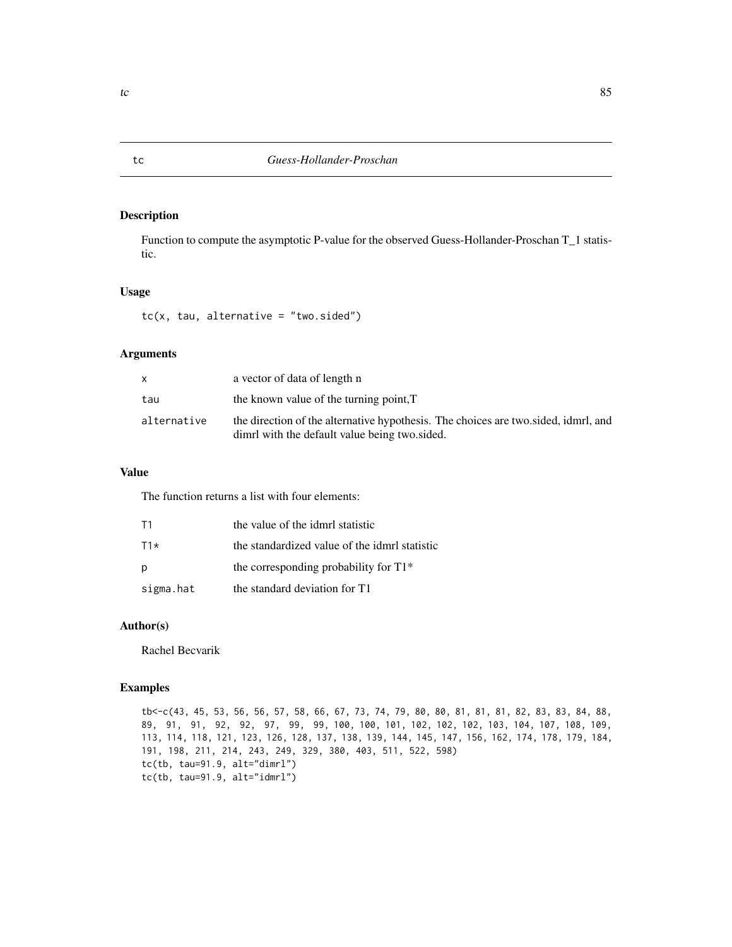Function to compute the asymptotic P-value for the observed Guess-Hollander-Proschan T\_1 statistic.

# Usage

 $tc(x, tau, alternative = "two.sided")$ 

# Arguments

| x           | a vector of data of length n                                                                                                        |
|-------------|-------------------------------------------------------------------------------------------------------------------------------------|
| tau         | the known value of the turning point, T                                                                                             |
| alternative | the direction of the alternative hypothesis. The choices are two sided, idmrl, and<br>dimrl with the default value being two sided. |

# Value

The function returns a list with four elements:

| T1        | the value of the idmrl statistic              |
|-----------|-----------------------------------------------|
| $T1*$     | the standardized value of the idmrl statistic |
| p         | the corresponding probability for $T1*$       |
| sigma.hat | the standard deviation for T1                 |

# Author(s)

Rachel Becvarik

#### Examples

tb<-c(43, 45, 53, 56, 56, 57, 58, 66, 67, 73, 74, 79, 80, 80, 81, 81, 81, 82, 83, 83, 84, 88, 89, 91, 91, 92, 92, 97, 99, 99, 100, 100, 101, 102, 102, 102, 103, 104, 107, 108, 109, 113, 114, 118, 121, 123, 126, 128, 137, 138, 139, 144, 145, 147, 156, 162, 174, 178, 179, 184, 191, 198, 211, 214, 243, 249, 329, 380, 403, 511, 522, 598) tc(tb, tau=91.9, alt="dimrl") tc(tb, tau=91.9, alt="idmrl")

<span id="page-84-0"></span>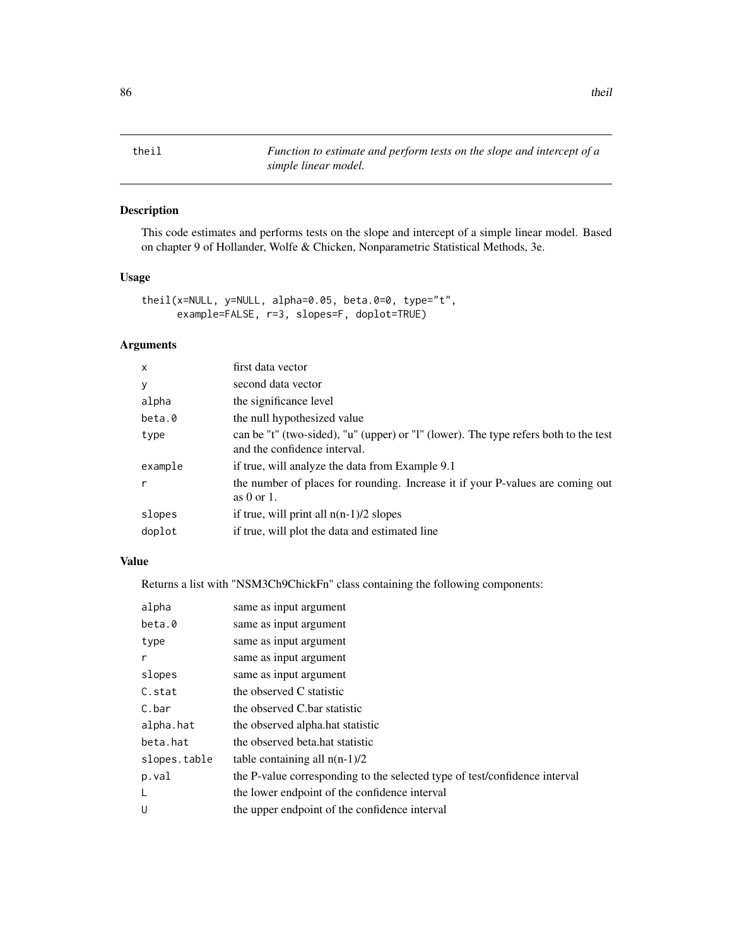<span id="page-85-0"></span>theil *Function to estimate and perform tests on the slope and intercept of a simple linear model.*

# Description

This code estimates and performs tests on the slope and intercept of a simple linear model. Based on chapter 9 of Hollander, Wolfe & Chicken, Nonparametric Statistical Methods, 3e.

# Usage

```
theil(x=NULL, y=NULL, alpha=0.05, beta.0=0, type="t",
     example=FALSE, r=3, slopes=F, doplot=TRUE)
```
# Arguments

| $\boldsymbol{\mathsf{x}}$ | first data vector                                                                                                    |
|---------------------------|----------------------------------------------------------------------------------------------------------------------|
| У                         | second data vector                                                                                                   |
| alpha                     | the significance level                                                                                               |
| beta.0                    | the null hypothesized value                                                                                          |
| type                      | can be "t" (two-sided), "u" (upper) or "l" (lower). The type refers both to the test<br>and the confidence interval. |
| example                   | if true, will analyze the data from Example 9.1                                                                      |
| r                         | the number of places for rounding. Increase it if your P-values are coming out<br>as $0$ or $1$ .                    |
| slopes                    | if true, will print all $n(n-1)/2$ slopes                                                                            |
| doplot                    | if true, will plot the data and estimated line                                                                       |

# Value

Returns a list with "NSM3Ch9ChickFn" class containing the following components:

| alpha        | same as input argument                                                     |
|--------------|----------------------------------------------------------------------------|
| beta.0       | same as input argument                                                     |
| type         | same as input argument                                                     |
| r            | same as input argument                                                     |
| slopes       | same as input argument                                                     |
| C.stat       | the observed C statistic                                                   |
| C.bar        | the observed C.bar statistic                                               |
| alpha.hat    | the observed alpha.hat statistic                                           |
| beta.hat     | the observed beta hat statistic                                            |
| slopes.table | table containing all $n(n-1)/2$                                            |
| p.val        | the P-value corresponding to the selected type of test/confidence interval |
| L            | the lower endpoint of the confidence interval                              |
| U            | the upper endpoint of the confidence interval                              |
|              |                                                                            |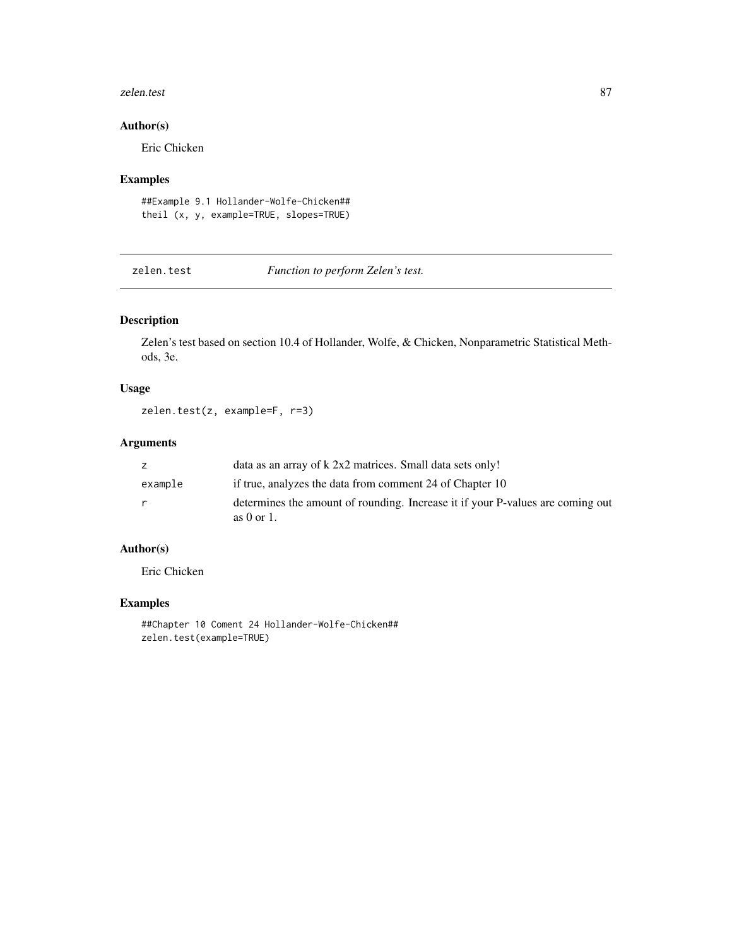#### <span id="page-86-0"></span>zelen.test 87

# Author(s)

Eric Chicken

# Examples

##Example 9.1 Hollander-Wolfe-Chicken## theil (x, y, example=TRUE, slopes=TRUE)

zelen.test *Function to perform Zelen's test.*

# Description

Zelen's test based on section 10.4 of Hollander, Wolfe, & Chicken, Nonparametric Statistical Methods, 3e.

# Usage

```
zelen.test(z, example=F, r=3)
```
# Arguments

| Z.      | data as an array of k 2x2 matrices. Small data sets only!                                         |
|---------|---------------------------------------------------------------------------------------------------|
| example | if true, analyzes the data from comment 24 of Chapter 10                                          |
| r.      | determines the amount of rounding. Increase it if your P-values are coming out<br>as $0$ or $1$ . |

# Author(s)

Eric Chicken

# Examples

##Chapter 10 Coment 24 Hollander-Wolfe-Chicken## zelen.test(example=TRUE)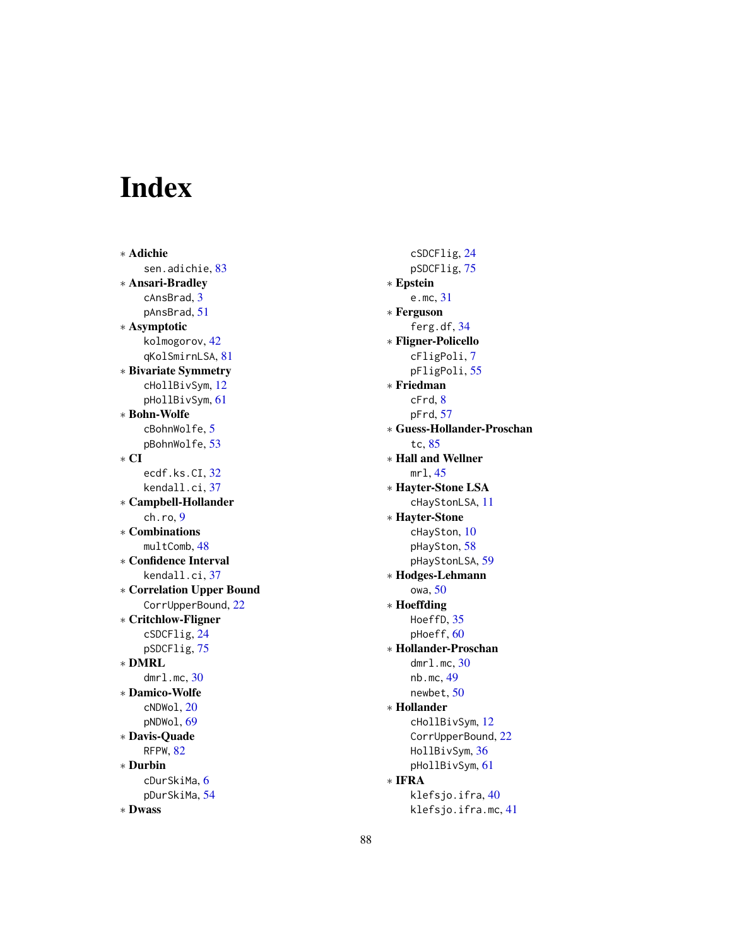# Index

∗ Adichie sen.adichie, [83](#page-82-0) ∗ Ansari-Bradley cAnsBrad, [3](#page-2-0) pAnsBrad, [51](#page-50-0) ∗ Asymptotic kolmogorov, [42](#page-41-0) qKolSmirnLSA, [81](#page-80-0) ∗ Bivariate Symmetry cHollBivSym, [12](#page-11-0) pHollBivSym, [61](#page-60-0) ∗ Bohn-Wolfe cBohnWolfe, [5](#page-4-0) pBohnWolfe, [53](#page-52-0) ∗ CI ecdf.ks.CI, [32](#page-31-0) kendall.ci, [37](#page-36-0) ∗ Campbell-Hollander ch.ro, [9](#page-8-0) ∗ Combinations multComb, [48](#page-47-0) ∗ Confidence Interval kendall.ci, [37](#page-36-0) ∗ Correlation Upper Bound CorrUpperBound, [22](#page-21-0) ∗ Critchlow-Fligner cSDCFlig, [24](#page-23-0) pSDCFlig, [75](#page-74-0) ∗ DMRL dmrl.mc, [30](#page-29-0) ∗ Damico-Wolfe cNDWol, [20](#page-19-0) pNDWol, [69](#page-68-0) ∗ Davis-Quade RFPW, [82](#page-81-0) ∗ Durbin cDurSkiMa, [6](#page-5-0) pDurSkiMa, [54](#page-53-0) ∗ Dwass

cSDCFlig, [24](#page-23-0) pSDCFlig, [75](#page-74-0) ∗ Epstein e.mc, [31](#page-30-0) ∗ Ferguson ferg.df, [34](#page-33-0) ∗ Fligner-Policello cFligPoli, [7](#page-6-0) pFligPoli, [55](#page-54-0) ∗ Friedman cFrd, [8](#page-7-0) pFrd, [57](#page-56-0) ∗ Guess-Hollander-Proschan tc, [85](#page-84-0) ∗ Hall and Wellner mrl, [45](#page-44-0) ∗ Hayter-Stone LSA cHayStonLSA, [11](#page-10-0) ∗ Hayter-Stone cHaySton, [10](#page-9-0) pHaySton, [58](#page-57-0) pHayStonLSA, [59](#page-58-0) ∗ Hodges-Lehmann owa, [50](#page-49-0) ∗ Hoeffding HoeffD, [35](#page-34-0) pHoeff, [60](#page-59-0) ∗ Hollander-Proschan dmrl.mc, [30](#page-29-0) nb.mc, [49](#page-48-0) newbet, [50](#page-49-0) ∗ Hollander cHollBivSym, [12](#page-11-0) CorrUpperBound, [22](#page-21-0) HollBivSym, [36](#page-35-0) pHollBivSym, [61](#page-60-0) ∗ IFRA klefsjo.ifra, [40](#page-39-0) klefsjo.ifra.mc, [41](#page-40-0)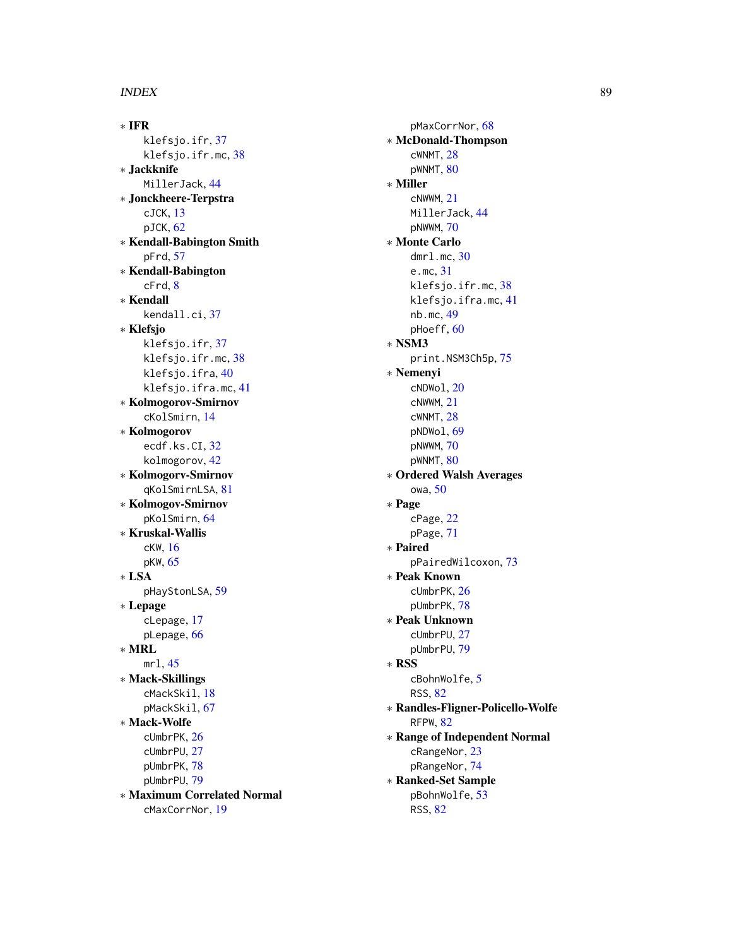∗ IFR klefsjo.ifr, [37](#page-36-0) klefsjo.ifr.mc, [38](#page-37-0) ∗ Jackknife MillerJack, [44](#page-43-0) ∗ Jonckheere-Terpstra cJCK, [13](#page-12-0) pJCK, [62](#page-61-0) ∗ Kendall-Babington Smith pFrd, [57](#page-56-0) ∗ Kendall-Babington cFrd, [8](#page-7-0) ∗ Kendall kendall.ci, [37](#page-36-0) ∗ Klefsjo klefsjo.ifr, [37](#page-36-0) klefsjo.ifr.mc, [38](#page-37-0) klefsjo.ifra, [40](#page-39-0) klefsjo.ifra.mc, [41](#page-40-0) ∗ Kolmogorov-Smirnov cKolSmirn, [14](#page-13-0) ∗ Kolmogorov ecdf.ks.CI, [32](#page-31-0) kolmogorov, [42](#page-41-0) ∗ Kolmogorv-Smirnov qKolSmirnLSA, [81](#page-80-0) ∗ Kolmogov-Smirnov pKolSmirn, [64](#page-63-0) ∗ Kruskal-Wallis cKW, [16](#page-15-0) pKW, [65](#page-64-0) ∗ LSA pHayStonLSA, [59](#page-58-0) ∗ Lepage cLepage, [17](#page-16-0) pLepage, [66](#page-65-0) ∗ MRL mrl, [45](#page-44-0) ∗ Mack-Skillings cMackSkil, [18](#page-17-0) pMackSkil, [67](#page-66-0) ∗ Mack-Wolfe cUmbrPK, [26](#page-25-0) cUmbrPU, [27](#page-26-0) pUmbrPK, [78](#page-77-0) pUmbrPU, [79](#page-78-0) ∗ Maximum Correlated Normal cMaxCorrNor, [19](#page-18-0)

pMaxCorrNor, [68](#page-67-0) ∗ McDonald-Thompson cWNMT, [28](#page-27-0) pWNMT, [80](#page-79-0) ∗ Miller cNWWM, [21](#page-20-0) MillerJack, [44](#page-43-0) pNWWM, [70](#page-69-0) ∗ Monte Carlo dmrl.mc, [30](#page-29-0) e.mc, [31](#page-30-0) klefsjo.ifr.mc, [38](#page-37-0) klefsjo.ifra.mc, [41](#page-40-0) nb.mc, [49](#page-48-0) pHoeff, [60](#page-59-0) ∗ NSM3 print.NSM3Ch5p, [75](#page-74-0) ∗ Nemenyi cNDWol, [20](#page-19-0) cNWWM, [21](#page-20-0) cWNMT, [28](#page-27-0) pNDWol, [69](#page-68-0) pNWWM, [70](#page-69-0) pWNMT, [80](#page-79-0) ∗ Ordered Walsh Averages owa, [50](#page-49-0) ∗ Page cPage, [22](#page-21-0) pPage, [71](#page-70-0) ∗ Paired pPairedWilcoxon, [73](#page-72-0) ∗ Peak Known cUmbrPK, [26](#page-25-0) pUmbrPK, [78](#page-77-0) ∗ Peak Unknown cUmbrPU, [27](#page-26-0) pUmbrPU, [79](#page-78-0) ∗ RSS cBohnWolfe, [5](#page-4-0) RSS, [82](#page-81-0) ∗ Randles-Fligner-Policello-Wolfe RFPW, [82](#page-81-0) ∗ Range of Independent Normal cRangeNor, [23](#page-22-0) pRangeNor, [74](#page-73-0) ∗ Ranked-Set Sample pBohnWolfe, [53](#page-52-0) RSS, [82](#page-81-0)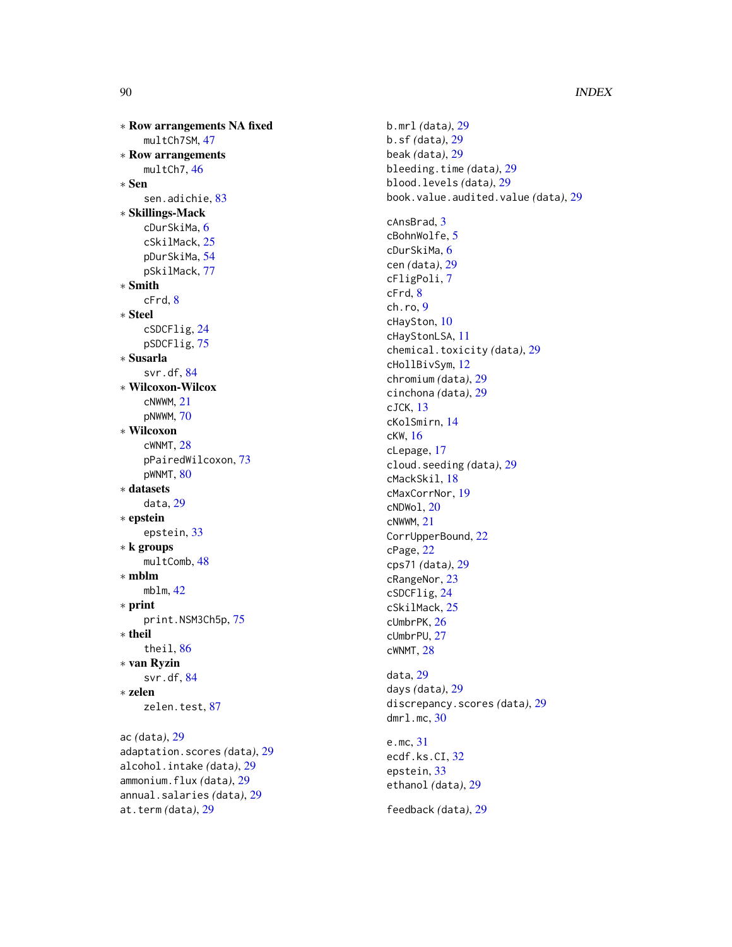∗ Row arrangements NA fixed multCh7SM , [47](#page-46-0) ∗ Row arrangements multCh7,[46](#page-45-0) ∗ Sen sen.adichie, [83](#page-82-0) ∗ Skillings-Mack cDurSkiMa , [6](#page-5-0) cSkilMack , [25](#page-24-0) pDurSkiMa , [54](#page-53-0) pSkilMack , [77](#page-76-0) ∗ Smith cFrd , [8](#page-7-0) ∗ Steel cSDCFlig , [24](#page-23-0) pSDCFlig , [75](#page-74-0) ∗ Susarla svr.df, [84](#page-83-0) ∗ Wilcoxon-Wilcox cNWWM , [21](#page-20-0) pNWWM , [70](#page-69-0) ∗ Wilcoxon cWNMT, [28](#page-27-0) pPairedWilcoxon , [73](#page-72-0) pWNMT, [80](#page-79-0) ∗ datasets data , [29](#page-28-0) ∗ epstein epstein , [33](#page-32-0) ∗ k groups multComb , [48](#page-47-0) ∗ mblm mblm , [42](#page-41-0) ∗ print print.NSM3Ch5p,[75](#page-74-0) ∗ theil theil , [86](#page-85-0) ∗ van Ryzin svr.df, [84](#page-83-0) ∗ zelen zelen.test, [87](#page-86-0) ac *(*data *)* , [29](#page-28-0) adaptation.scores *(*data *)* , [29](#page-28-0) alcohol.intake *(*data *)* , [29](#page-28-0)

ammonium.flux *(*data *)* , [29](#page-28-0) annual.salaries *(*data *)* , [29](#page-28-0)

at.term *(*data *)* , [29](#page-28-0)

b.mrl *(*data *)* , [29](#page-28-0) b.sf *(*data *)* , [29](#page-28-0) beak *(*data *)* , [29](#page-28-0) bleeding.time *(*data *)* , [29](#page-28-0) blood.levels *(*data *)* , [29](#page-28-0) book.value.audited.value *(*data *)* , [29](#page-28-0) cAnsBrad , [3](#page-2-0) cBohnWolfe, [5](#page-4-0) cDurSkiMa , [6](#page-5-0) cen *(*data *)* , [29](#page-28-0) cFligPoli , [7](#page-6-0) cFrd , [8](#page-7-0) ch.ro , [9](#page-8-0) cHaySton , [10](#page-9-0) cHayStonLSA , [11](#page-10-0) chemical.toxicity *(*data *)* , [29](#page-28-0) cHollBivSym , [12](#page-11-0) chromium *(*data *)* , [29](#page-28-0) cinchona *(*data *)* , [29](#page-28-0) cJCK , [13](#page-12-0) cKolSmirn , [14](#page-13-0) cKW , [16](#page-15-0) cLepage , [17](#page-16-0) cloud.seeding *(*data *)* , [29](#page-28-0) cMackSkil , [18](#page-17-0) cMaxCorrNor , [19](#page-18-0) cNDWol , [20](#page-19-0) cNWWM , [21](#page-20-0) CorrUpperBound , [22](#page-21-0) cPage , [22](#page-21-0) cps71 *(*data *)* , [29](#page-28-0) cRangeNor , [23](#page-22-0) cSDCFlig , [24](#page-23-0) cSkilMack , [25](#page-24-0) cUmbrPK , [26](#page-25-0) cUmbrPU , [27](#page-26-0) cWNMT , [28](#page-27-0) data , [29](#page-28-0) days *(*data *)* , [29](#page-28-0) discrepancy.scores *(*data *)* , [29](#page-28-0) dmrl.mc , [30](#page-29-0) e.mc , [31](#page-30-0) ecdf.ks.CI, [32](#page-31-0) epstein , [33](#page-32-0) ethanol *(*data *)* , [29](#page-28-0) feedback *(*data *)* , [29](#page-28-0)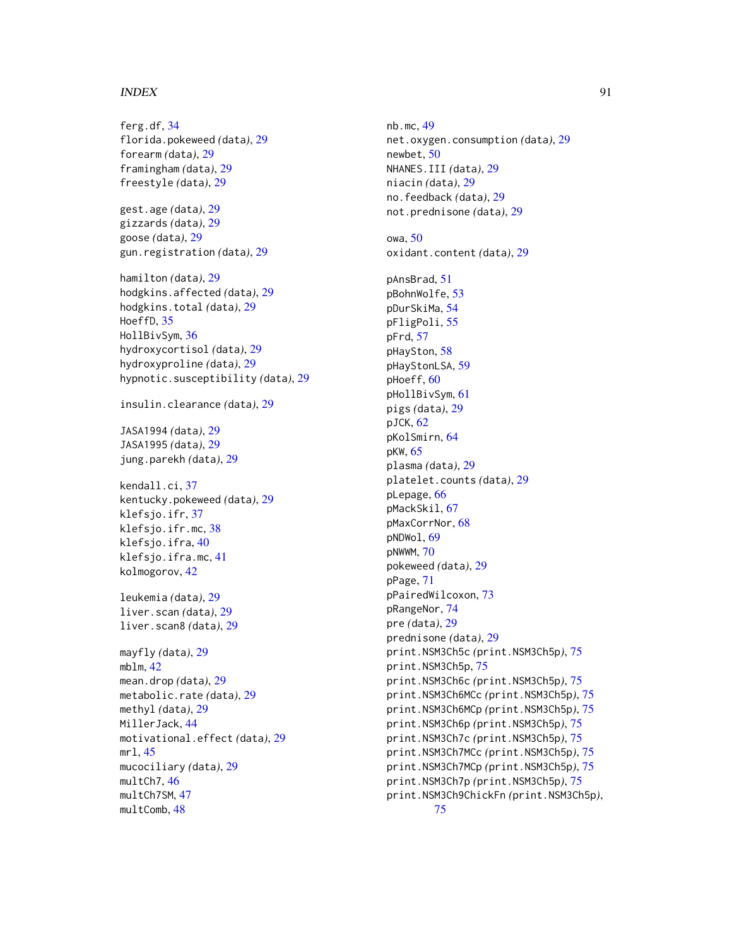ferg.df, [34](#page-33-0) florida.pokeweed *(*data*)*, [29](#page-28-0) forearm *(*data*)*, [29](#page-28-0) framingham *(*data*)*, [29](#page-28-0) freestyle *(*data*)*, [29](#page-28-0) gest.age *(*data*)*, [29](#page-28-0) gizzards *(*data*)*, [29](#page-28-0) goose *(*data*)*, [29](#page-28-0) gun.registration *(*data*)*, [29](#page-28-0) hamilton *(*data*)*, [29](#page-28-0) hodgkins.affected *(*data*)*, [29](#page-28-0) hodgkins.total *(*data*)*, [29](#page-28-0) HoeffD, [35](#page-34-0) HollBivSym, [36](#page-35-0) hydroxycortisol *(*data*)*, [29](#page-28-0) hydroxyproline *(*data*)*, [29](#page-28-0) hypnotic.susceptibility *(*data*)*, [29](#page-28-0) insulin.clearance *(*data*)*, [29](#page-28-0) JASA1994 *(*data*)*, [29](#page-28-0) JASA1995 *(*data*)*, [29](#page-28-0) jung.parekh *(*data*)*, [29](#page-28-0) kendall.ci, [37](#page-36-0) kentucky.pokeweed *(*data*)*, [29](#page-28-0) klefsjo.ifr, [37](#page-36-0) klefsjo.ifr.mc, [38](#page-37-0) klefsjo.ifra, [40](#page-39-0) klefsjo.ifra.mc, [41](#page-40-0) kolmogorov, [42](#page-41-0) leukemia *(*data*)*, [29](#page-28-0) liver.scan *(*data*)*, [29](#page-28-0) liver.scan8 *(*data*)*, [29](#page-28-0) mayfly *(*data*)*, [29](#page-28-0) mblm,  $42$ mean.drop *(*data*)*, [29](#page-28-0) metabolic.rate *(*data*)*, [29](#page-28-0) methyl *(*data*)*, [29](#page-28-0) MillerJack, [44](#page-43-0) motivational.effect *(*data*)*, [29](#page-28-0) mrl, [45](#page-44-0) mucociliary *(*data*)*, [29](#page-28-0) multCh7, [46](#page-45-0)

multCh7SM, [47](#page-46-0) multComb, [48](#page-47-0)

nb.mc, [49](#page-48-0) net.oxygen.consumption *(*data*)*, [29](#page-28-0) newbet, [50](#page-49-0) NHANES.III *(*data*)*, [29](#page-28-0) niacin *(*data*)*, [29](#page-28-0) no.feedback *(*data*)*, [29](#page-28-0) not.prednisone *(*data*)*, [29](#page-28-0) owa, [50](#page-49-0) oxidant.content *(*data*)*, [29](#page-28-0) pAnsBrad, [51](#page-50-0) pBohnWolfe, [53](#page-52-0) pDurSkiMa, [54](#page-53-0) pFligPoli, [55](#page-54-0) pFrd, [57](#page-56-0) pHaySton, [58](#page-57-0) pHayStonLSA, [59](#page-58-0) pHoeff, [60](#page-59-0) pHollBivSym, [61](#page-60-0) pigs *(*data*)*, [29](#page-28-0) pJCK, [62](#page-61-0) pKolSmirn, [64](#page-63-0) pKW, [65](#page-64-0) plasma *(*data*)*, [29](#page-28-0) platelet.counts *(*data*)*, [29](#page-28-0) pLepage, [66](#page-65-0) pMackSkil, [67](#page-66-0) pMaxCorrNor, [68](#page-67-0) pNDWol, [69](#page-68-0) pNWWM, [70](#page-69-0) pokeweed *(*data*)*, [29](#page-28-0) pPage, [71](#page-70-0) pPairedWilcoxon, [73](#page-72-0) pRangeNor, [74](#page-73-0) pre *(*data*)*, [29](#page-28-0) prednisone *(*data*)*, [29](#page-28-0) print.NSM3Ch5c *(*print.NSM3Ch5p*)*, [75](#page-74-0) print.NSM3Ch5p, [75](#page-74-0) print.NSM3Ch6c *(*print.NSM3Ch5p*)*, [75](#page-74-0) print.NSM3Ch6MCc *(*print.NSM3Ch5p*)*, [75](#page-74-0) print.NSM3Ch6MCp *(*print.NSM3Ch5p*)*, [75](#page-74-0) print.NSM3Ch6p *(*print.NSM3Ch5p*)*, [75](#page-74-0) print.NSM3Ch7c *(*print.NSM3Ch5p*)*, [75](#page-74-0) print.NSM3Ch7MCc *(*print.NSM3Ch5p*)*, [75](#page-74-0) print.NSM3Ch7MCp *(*print.NSM3Ch5p*)*, [75](#page-74-0) print.NSM3Ch7p *(*print.NSM3Ch5p*)*, [75](#page-74-0) print.NSM3Ch9ChickFn *(*print.NSM3Ch5p*)*, [75](#page-74-0)